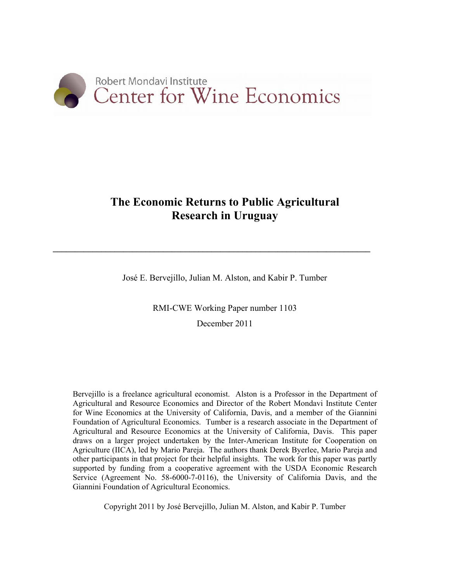

## **The Economic Returns to Public Agricultural Research in Uruguay**

José E. Bervejillo, Julian M. Alston, and Kabir P. Tumber

 $\mathcal{L} = \{ \mathcal{L} \mathcal{L} \mathcal{L} \mathcal{L} \mathcal{L} \mathcal{L} \mathcal{L} \mathcal{L} \mathcal{L} \mathcal{L} \mathcal{L} \mathcal{L} \mathcal{L} \mathcal{L} \mathcal{L} \mathcal{L} \mathcal{L} \mathcal{L} \mathcal{L} \mathcal{L} \mathcal{L} \mathcal{L} \mathcal{L} \mathcal{L} \mathcal{L} \mathcal{L} \mathcal{L} \mathcal{L} \mathcal{L} \mathcal{L} \mathcal{L} \mathcal{L} \mathcal{L} \mathcal{L} \mathcal{L} \$ 

RMI-CWE Working Paper number 1103 December 2011

Bervejillo is a freelance agricultural economist. Alston is a Professor in the Department of Agricultural and Resource Economics and Director of the Robert Mondavi Institute Center for Wine Economics at the University of California, Davis, and a member of the Giannini Foundation of Agricultural Economics. Tumber is a research associate in the Department of Agricultural and Resource Economics at the University of California, Davis. This paper draws on a larger project undertaken by the Inter-American Institute for Cooperation on Agriculture (IICA), led by Mario Pareja. The authors thank Derek Byerlee, Mario Pareja and other participants in that project for their helpful insights. The work for this paper was partly supported by funding from a cooperative agreement with the USDA Economic Research Service (Agreement No. 58-6000-7-0116), the University of California Davis, and the Giannini Foundation of Agricultural Economics.

Copyright 2011 by José Bervejillo, Julian M. Alston, and Kabir P. Tumber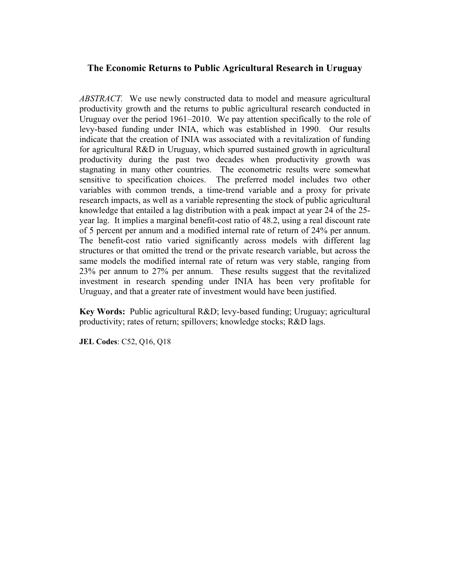### **The Economic Returns to Public Agricultural Research in Uruguay**

*ABSTRACT.* We use newly constructed data to model and measure agricultural productivity growth and the returns to public agricultural research conducted in Uruguay over the period 1961–2010. We pay attention specifically to the role of levy-based funding under INIA, which was established in 1990. Our results indicate that the creation of INIA was associated with a revitalization of funding for agricultural R&D in Uruguay, which spurred sustained growth in agricultural productivity during the past two decades when productivity growth was stagnating in many other countries. The econometric results were somewhat sensitive to specification choices. The preferred model includes two other variables with common trends, a time-trend variable and a proxy for private research impacts, as well as a variable representing the stock of public agricultural knowledge that entailed a lag distribution with a peak impact at year 24 of the 25 year lag. It implies a marginal benefit-cost ratio of 48.2, using a real discount rate of 5 percent per annum and a modified internal rate of return of 24% per annum. The benefit-cost ratio varied significantly across models with different lag structures or that omitted the trend or the private research variable, but across the same models the modified internal rate of return was very stable, ranging from 23% per annum to 27% per annum. These results suggest that the revitalized investment in research spending under INIA has been very profitable for Uruguay, and that a greater rate of investment would have been justified.

**Key Words:** Public agricultural R&D; levy-based funding; Uruguay; agricultural productivity; rates of return; spillovers; knowledge stocks; R&D lags.

**JEL Codes**: C52, Q16, Q18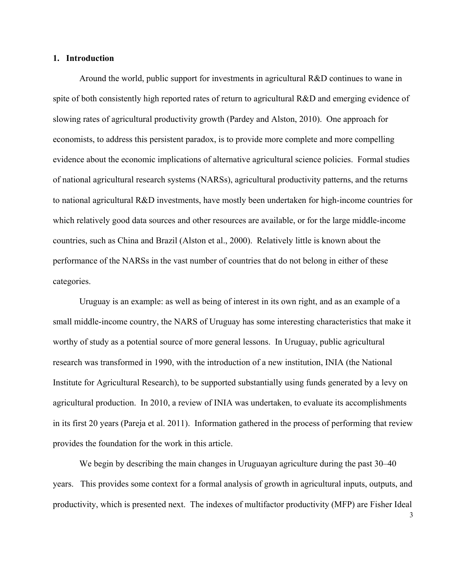#### **1. Introduction**

Around the world, public support for investments in agricultural R&D continues to wane in spite of both consistently high reported rates of return to agricultural R&D and emerging evidence of slowing rates of agricultural productivity growth (Pardey and Alston, 2010). One approach for economists, to address this persistent paradox, is to provide more complete and more compelling evidence about the economic implications of alternative agricultural science policies. Formal studies of national agricultural research systems (NARSs), agricultural productivity patterns, and the returns to national agricultural R&D investments, have mostly been undertaken for high-income countries for which relatively good data sources and other resources are available, or for the large middle-income countries, such as China and Brazil (Alston et al., 2000). Relatively little is known about the performance of the NARSs in the vast number of countries that do not belong in either of these categories.

Uruguay is an example: as well as being of interest in its own right, and as an example of a small middle-income country, the NARS of Uruguay has some interesting characteristics that make it worthy of study as a potential source of more general lessons. In Uruguay, public agricultural research was transformed in 1990, with the introduction of a new institution, INIA (the National Institute for Agricultural Research), to be supported substantially using funds generated by a levy on agricultural production. In 2010, a review of INIA was undertaken, to evaluate its accomplishments in its first 20 years (Pareja et al. 2011). Information gathered in the process of performing that review provides the foundation for the work in this article.

We begin by describing the main changes in Uruguayan agriculture during the past 30–40 years. This provides some context for a formal analysis of growth in agricultural inputs, outputs, and productivity, which is presented next. The indexes of multifactor productivity (MFP) are Fisher Ideal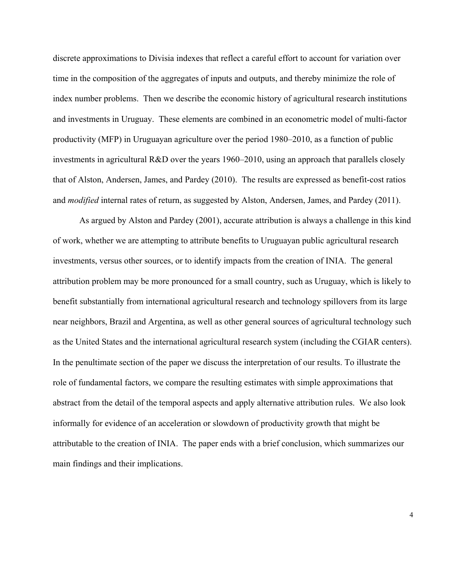discrete approximations to Divisia indexes that reflect a careful effort to account for variation over time in the composition of the aggregates of inputs and outputs, and thereby minimize the role of index number problems. Then we describe the economic history of agricultural research institutions and investments in Uruguay. These elements are combined in an econometric model of multi-factor productivity (MFP) in Uruguayan agriculture over the period 1980–2010, as a function of public investments in agricultural R&D over the years 1960–2010, using an approach that parallels closely that of Alston, Andersen, James, and Pardey (2010). The results are expressed as benefit-cost ratios and *modified* internal rates of return, as suggested by Alston, Andersen, James, and Pardey (2011).

As argued by Alston and Pardey (2001), accurate attribution is always a challenge in this kind of work, whether we are attempting to attribute benefits to Uruguayan public agricultural research investments, versus other sources, or to identify impacts from the creation of INIA. The general attribution problem may be more pronounced for a small country, such as Uruguay, which is likely to benefit substantially from international agricultural research and technology spillovers from its large near neighbors, Brazil and Argentina, as well as other general sources of agricultural technology such as the United States and the international agricultural research system (including the CGIAR centers). In the penultimate section of the paper we discuss the interpretation of our results. To illustrate the role of fundamental factors, we compare the resulting estimates with simple approximations that abstract from the detail of the temporal aspects and apply alternative attribution rules. We also look informally for evidence of an acceleration or slowdown of productivity growth that might be attributable to the creation of INIA. The paper ends with a brief conclusion, which summarizes our main findings and their implications.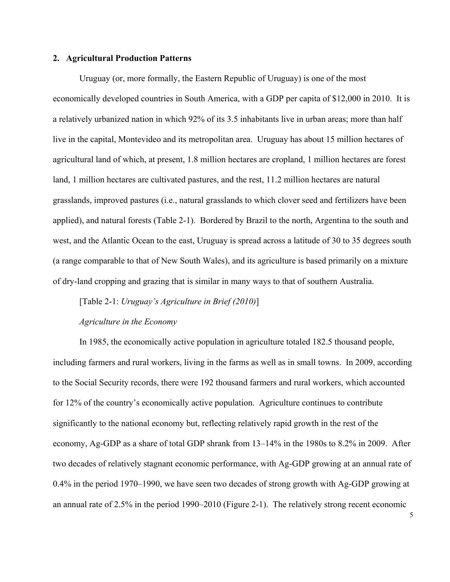#### **2. Agricultural Production Patterns**

Uruguay (or, more formally, the Eastern Republic of Uruguay) is one of the most economically developed countries in South America, with a GDP per capita of \$12,000 in 2010. It is a relatively urbanized nation in which 92% of its 3.5 inhabitants live in urban areas; more than half live in the capital, Montevideo and its metropolitan area. Uruguay has about 15 million hectares of agricultural land of which, at present, 1.8 million hectares are cropland, 1 million hectares are forest land, 1 million hectares are cultivated pastures, and the rest, 11.2 million hectares are natural grasslands, improved pastures (i.e., natural grasslands to which clover seed and fertilizers have been applied), and natural forests (Table 2-1). Bordered by Brazil to the north, Argentina to the south and west, and the Atlantic Ocean to the east, Uruguay is spread across a latitude of 30 to 35 degrees south (a range comparable to that of New South Wales), and its agriculture is based primarily on a mixture of dry-land cropping and grazing that is similar in many ways to that of southern Australia.

[Table 2-1: *Uruguay's Agriculture in Brief (2010)*]

#### *Agriculture in the Economy*

In 1985, the economically active population in agriculture totaled 182.5 thousand people, including farmers and rural workers, living in the farms as well as in small towns. In 2009, according to the Social Security records, there were 192 thousand farmers and rural workers, which accounted for 12% of the country's economically active population. Agriculture continues to contribute significantly to the national economy but, reflecting relatively rapid growth in the rest of the economy, Ag-GDP as a share of total GDP shrank from 13–14% in the 1980s to 8.2% in 2009. After two decades of relatively stagnant economic performance, with Ag-GDP growing at an annual rate of 0.4% in the period 1970–1990, we have seen two decades of strong growth with Ag-GDP growing at an annual rate of 2.5% in the period 1990–2010 (Figure 2-1). The relatively strong recent economic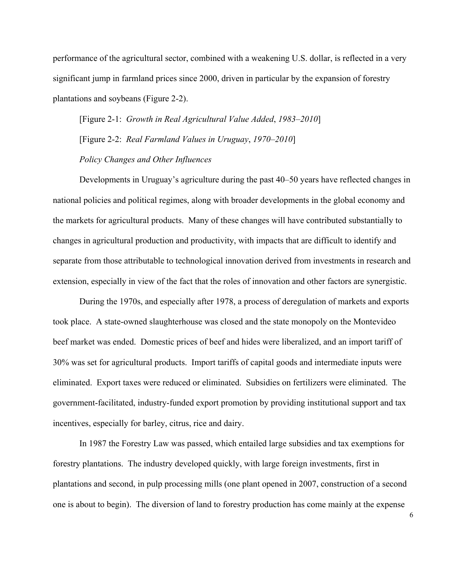performance of the agricultural sector, combined with a weakening U.S. dollar, is reflected in a very significant jump in farmland prices since 2000, driven in particular by the expansion of forestry plantations and soybeans (Figure 2-2).

[Figure 2-1: *Growth in Real Agricultural Value Added*, *1983–2010*] [Figure 2-2: *Real Farmland Values in Uruguay*, *1970–2010*] *Policy Changes and Other Influences*

Developments in Uruguay's agriculture during the past 40–50 years have reflected changes in national policies and political regimes, along with broader developments in the global economy and the markets for agricultural products. Many of these changes will have contributed substantially to changes in agricultural production and productivity, with impacts that are difficult to identify and separate from those attributable to technological innovation derived from investments in research and extension, especially in view of the fact that the roles of innovation and other factors are synergistic.

During the 1970s, and especially after 1978, a process of deregulation of markets and exports took place. A state-owned slaughterhouse was closed and the state monopoly on the Montevideo beef market was ended. Domestic prices of beef and hides were liberalized, and an import tariff of 30% was set for agricultural products. Import tariffs of capital goods and intermediate inputs were eliminated. Export taxes were reduced or eliminated. Subsidies on fertilizers were eliminated. The government-facilitated, industry-funded export promotion by providing institutional support and tax incentives, especially for barley, citrus, rice and dairy.

In 1987 the Forestry Law was passed, which entailed large subsidies and tax exemptions for forestry plantations. The industry developed quickly, with large foreign investments, first in plantations and second, in pulp processing mills (one plant opened in 2007, construction of a second one is about to begin). The diversion of land to forestry production has come mainly at the expense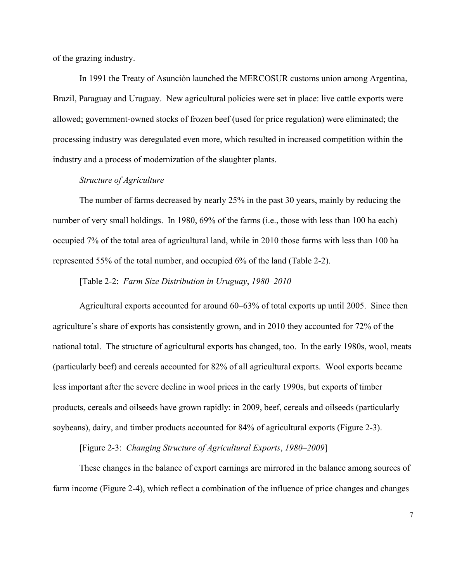of the grazing industry.

In 1991 the Treaty of Asunción launched the MERCOSUR customs union among Argentina, Brazil, Paraguay and Uruguay. New agricultural policies were set in place: live cattle exports were allowed; government-owned stocks of frozen beef (used for price regulation) were eliminated; the processing industry was deregulated even more, which resulted in increased competition within the industry and a process of modernization of the slaughter plants.

#### *Structure of Agriculture*

The number of farms decreased by nearly 25% in the past 30 years, mainly by reducing the number of very small holdings. In 1980, 69% of the farms (i.e., those with less than 100 ha each) occupied 7% of the total area of agricultural land, while in 2010 those farms with less than 100 ha represented 55% of the total number, and occupied 6% of the land (Table 2-2).

[Table 2-2: *Farm Size Distribution in Uruguay*, *1980–2010*

Agricultural exports accounted for around 60–63% of total exports up until 2005. Since then agriculture's share of exports has consistently grown, and in 2010 they accounted for 72% of the national total. The structure of agricultural exports has changed, too. In the early 1980s, wool, meats (particularly beef) and cereals accounted for 82% of all agricultural exports. Wool exports became less important after the severe decline in wool prices in the early 1990s, but exports of timber products, cereals and oilseeds have grown rapidly: in 2009, beef, cereals and oilseeds (particularly soybeans), dairy, and timber products accounted for 84% of agricultural exports (Figure 2-3).

[Figure 2-3: *Changing Structure of Agricultural Exports*, *1980–2009*]

These changes in the balance of export earnings are mirrored in the balance among sources of farm income (Figure 2-4), which reflect a combination of the influence of price changes and changes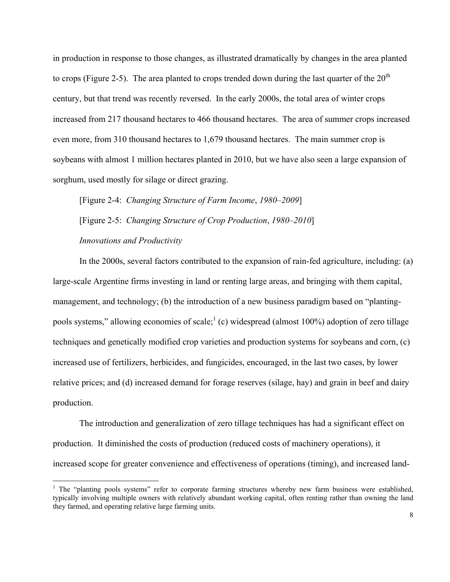in production in response to those changes, as illustrated dramatically by changes in the area planted to crops (Figure 2-5). The area planted to crops trended down during the last quarter of the  $20<sup>th</sup>$ century, but that trend was recently reversed. In the early 2000s, the total area of winter crops increased from 217 thousand hectares to 466 thousand hectares. The area of summer crops increased even more, from 310 thousand hectares to 1,679 thousand hectares. The main summer crop is soybeans with almost 1 million hectares planted in 2010, but we have also seen a large expansion of sorghum, used mostly for silage or direct grazing.

[Figure 2-4: *Changing Structure of Farm Income*, *1980–2009*] [Figure 2-5: *Changing Structure of Crop Production*, *1980–2010*] *Innovations and Productivity*

In the 2000s, several factors contributed to the expansion of rain-fed agriculture, including: (a) large-scale Argentine firms investing in land or renting large areas, and bringing with them capital, management, and technology; (b) the introduction of a new business paradigm based on "plantingpools systems," allowing economies of scale;<sup>1</sup> (c) widespread (almost 100%) adoption of zero tillage techniques and genetically modified crop varieties and production systems for soybeans and corn, (c) increased use of fertilizers, herbicides, and fungicides, encouraged, in the last two cases, by lower relative prices; and (d) increased demand for forage reserves (silage, hay) and grain in beef and dairy production.

The introduction and generalization of zero tillage techniques has had a significant effect on production. It diminished the costs of production (reduced costs of machinery operations), it increased scope for greater convenience and effectiveness of operations (timing), and increased land-

 $\overline{a}$ 

<sup>&</sup>lt;sup>1</sup> The "planting pools systems" refer to corporate farming structures whereby new farm business were established, typically involving multiple owners with relatively abundant working capital, often renting rather than owning the land they farmed, and operating relative large farming units.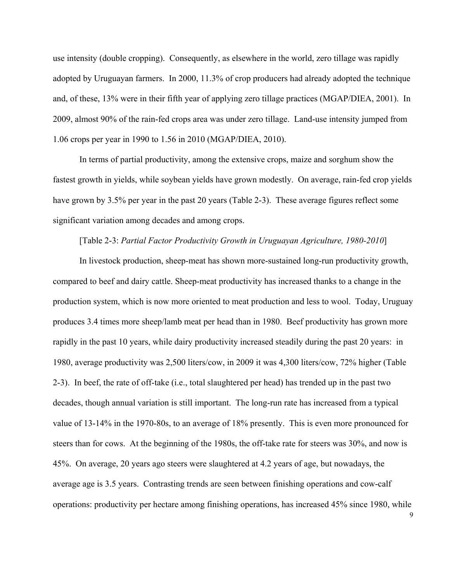use intensity (double cropping). Consequently, as elsewhere in the world, zero tillage was rapidly adopted by Uruguayan farmers. In 2000, 11.3% of crop producers had already adopted the technique and, of these, 13% were in their fifth year of applying zero tillage practices (MGAP/DIEA, 2001). In 2009, almost 90% of the rain-fed crops area was under zero tillage. Land-use intensity jumped from 1.06 crops per year in 1990 to 1.56 in 2010 (MGAP/DIEA, 2010).

In terms of partial productivity, among the extensive crops, maize and sorghum show the fastest growth in yields, while soybean yields have grown modestly. On average, rain-fed crop yields have grown by 3.5% per year in the past 20 years (Table 2-3). These average figures reflect some significant variation among decades and among crops.

#### [Table 2-3: *Partial Factor Productivity Growth in Uruguayan Agriculture, 1980-2010*]

In livestock production, sheep-meat has shown more-sustained long-run productivity growth, compared to beef and dairy cattle. Sheep-meat productivity has increased thanks to a change in the production system, which is now more oriented to meat production and less to wool. Today, Uruguay produces 3.4 times more sheep/lamb meat per head than in 1980. Beef productivity has grown more rapidly in the past 10 years, while dairy productivity increased steadily during the past 20 years: in 1980, average productivity was 2,500 liters/cow, in 2009 it was 4,300 liters/cow, 72% higher (Table 2-3). In beef, the rate of off-take (i.e., total slaughtered per head) has trended up in the past two decades, though annual variation is still important. The long-run rate has increased from a typical value of 13-14% in the 1970-80s, to an average of 18% presently. This is even more pronounced for steers than for cows. At the beginning of the 1980s, the off-take rate for steers was 30%, and now is 45%. On average, 20 years ago steers were slaughtered at 4.2 years of age, but nowadays, the average age is 3.5 years. Contrasting trends are seen between finishing operations and cow-calf operations: productivity per hectare among finishing operations, has increased 45% since 1980, while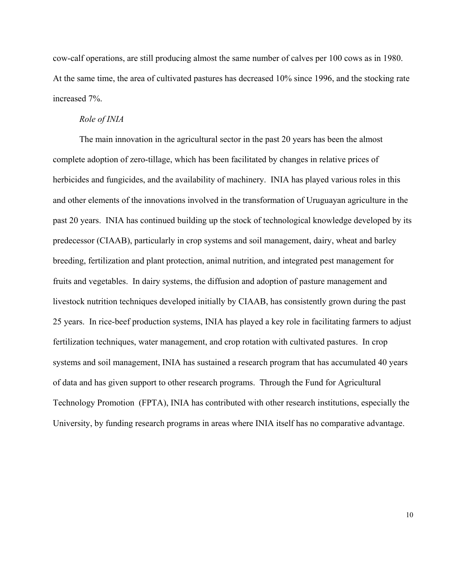cow-calf operations, are still producing almost the same number of calves per 100 cows as in 1980. At the same time, the area of cultivated pastures has decreased 10% since 1996, and the stocking rate increased 7%.

#### *Role of INIA*

The main innovation in the agricultural sector in the past 20 years has been the almost complete adoption of zero-tillage, which has been facilitated by changes in relative prices of herbicides and fungicides, and the availability of machinery. INIA has played various roles in this and other elements of the innovations involved in the transformation of Uruguayan agriculture in the past 20 years. INIA has continued building up the stock of technological knowledge developed by its predecessor (CIAAB), particularly in crop systems and soil management, dairy, wheat and barley breeding, fertilization and plant protection, animal nutrition, and integrated pest management for fruits and vegetables. In dairy systems, the diffusion and adoption of pasture management and livestock nutrition techniques developed initially by CIAAB, has consistently grown during the past 25 years. In rice-beef production systems, INIA has played a key role in facilitating farmers to adjust fertilization techniques, water management, and crop rotation with cultivated pastures. In crop systems and soil management, INIA has sustained a research program that has accumulated 40 years of data and has given support to other research programs. Through the Fund for Agricultural Technology Promotion (FPTA), INIA has contributed with other research institutions, especially the University, by funding research programs in areas where INIA itself has no comparative advantage.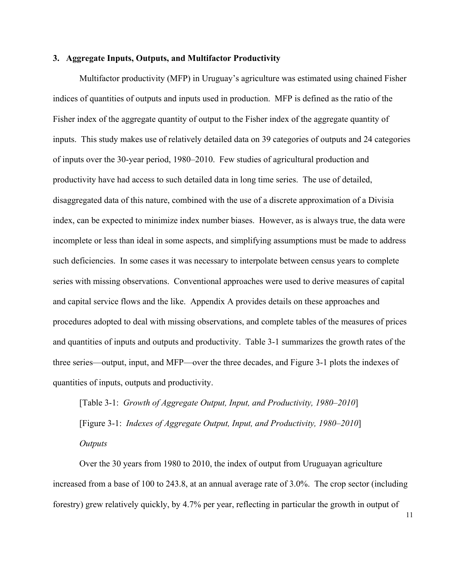#### **3. Aggregate Inputs, Outputs, and Multifactor Productivity**

Multifactor productivity (MFP) in Uruguay's agriculture was estimated using chained Fisher indices of quantities of outputs and inputs used in production. MFP is defined as the ratio of the Fisher index of the aggregate quantity of output to the Fisher index of the aggregate quantity of inputs. This study makes use of relatively detailed data on 39 categories of outputs and 24 categories of inputs over the 30-year period, 1980–2010. Few studies of agricultural production and productivity have had access to such detailed data in long time series. The use of detailed, disaggregated data of this nature, combined with the use of a discrete approximation of a Divisia index, can be expected to minimize index number biases. However, as is always true, the data were incomplete or less than ideal in some aspects, and simplifying assumptions must be made to address such deficiencies. In some cases it was necessary to interpolate between census years to complete series with missing observations. Conventional approaches were used to derive measures of capital and capital service flows and the like. Appendix A provides details on these approaches and procedures adopted to deal with missing observations, and complete tables of the measures of prices and quantities of inputs and outputs and productivity. Table 3-1 summarizes the growth rates of the three series—output, input, and MFP—over the three decades, and Figure 3-1 plots the indexes of quantities of inputs, outputs and productivity.

[Table 3-1:*Growth of Aggregate Output, Input, and Productivity, 1980–2010*] [Figure 3-1:*Indexes of Aggregate Output, Input, and Productivity, 1980–2010*] *Outputs* 

Over the 30 years from 1980 to 2010, the index of output from Uruguayan agriculture increased from a base of 100 to 243.8, at an annual average rate of 3.0%. The crop sector (including forestry) grew relatively quickly, by 4.7% per year, reflecting in particular the growth in output of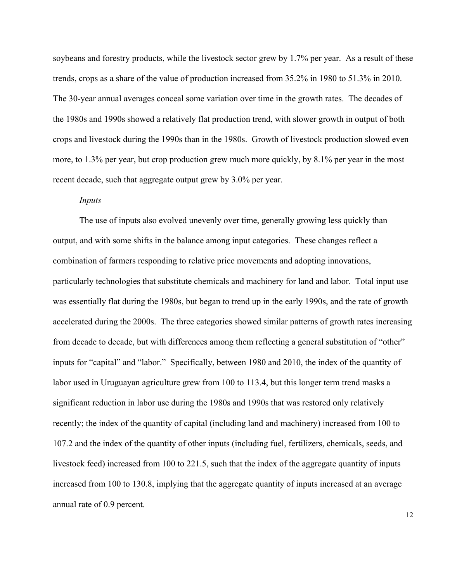soybeans and forestry products, while the livestock sector grew by 1.7% per year. As a result of these trends, crops as a share of the value of production increased from 35.2% in 1980 to 51.3% in 2010. The 30-year annual averages conceal some variation over time in the growth rates. The decades of the 1980s and 1990s showed a relatively flat production trend, with slower growth in output of both crops and livestock during the 1990s than in the 1980s. Growth of livestock production slowed even more, to 1.3% per year, but crop production grew much more quickly, by 8.1% per year in the most recent decade, such that aggregate output grew by 3.0% per year.

#### *Inputs*

The use of inputs also evolved unevenly over time, generally growing less quickly than output, and with some shifts in the balance among input categories. These changes reflect a combination of farmers responding to relative price movements and adopting innovations, particularly technologies that substitute chemicals and machinery for land and labor. Total input use was essentially flat during the 1980s, but began to trend up in the early 1990s, and the rate of growth accelerated during the 2000s. The three categories showed similar patterns of growth rates increasing from decade to decade, but with differences among them reflecting a general substitution of "other" inputs for "capital" and "labor." Specifically, between 1980 and 2010, the index of the quantity of labor used in Uruguayan agriculture grew from 100 to 113.4, but this longer term trend masks a significant reduction in labor use during the 1980s and 1990s that was restored only relatively recently; the index of the quantity of capital (including land and machinery) increased from 100 to 107.2 and the index of the quantity of other inputs (including fuel, fertilizers, chemicals, seeds, and livestock feed) increased from 100 to 221.5, such that the index of the aggregate quantity of inputs increased from 100 to 130.8, implying that the aggregate quantity of inputs increased at an average annual rate of 0.9 percent.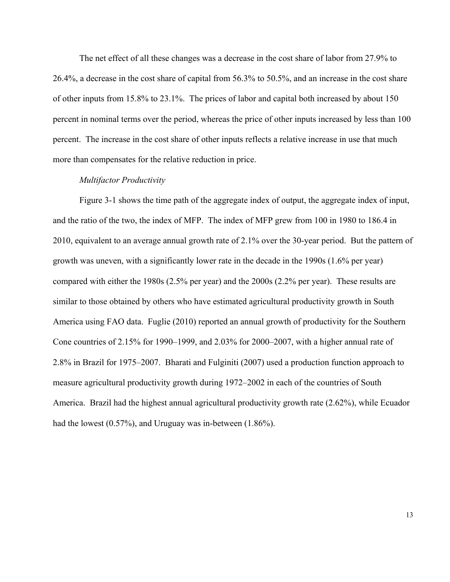The net effect of all these changes was a decrease in the cost share of labor from 27.9% to 26.4%, a decrease in the cost share of capital from 56.3% to 50.5%, and an increase in the cost share of other inputs from 15.8% to 23.1%. The prices of labor and capital both increased by about 150 percent in nominal terms over the period, whereas the price of other inputs increased by less than 100 percent. The increase in the cost share of other inputs reflects a relative increase in use that much more than compensates for the relative reduction in price.

#### *Multifactor Productivity*

Figure 3-1 shows the time path of the aggregate index of output, the aggregate index of input, and the ratio of the two, the index of MFP. The index of MFP grew from 100 in 1980 to 186.4 in 2010, equivalent to an average annual growth rate of 2.1% over the 30-year period. But the pattern of growth was uneven, with a significantly lower rate in the decade in the 1990s (1.6% per year) compared with either the 1980s (2.5% per year) and the 2000s (2.2% per year). These results are similar to those obtained by others who have estimated agricultural productivity growth in South America using FAO data. Fuglie (2010) reported an annual growth of productivity for the Southern Cone countries of 2.15% for 1990–1999, and 2.03% for 2000–2007, with a higher annual rate of 2.8% in Brazil for 1975–2007. Bharati and Fulginiti (2007) used a production function approach to measure agricultural productivity growth during 1972–2002 in each of the countries of South America. Brazil had the highest annual agricultural productivity growth rate (2.62%), while Ecuador had the lowest (0.57%), and Uruguay was in-between (1.86%).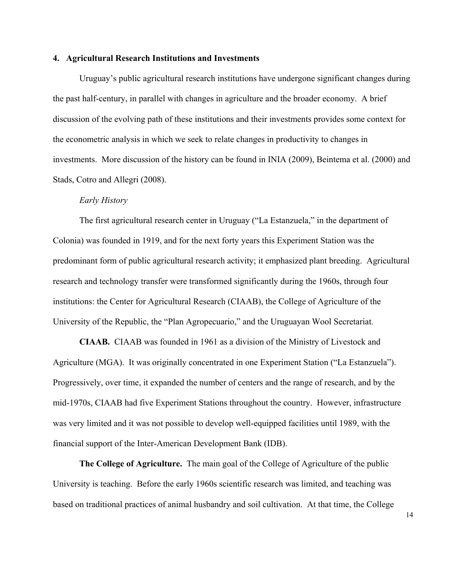#### **4. Agricultural Research Institutions and Investments**

Uruguay's public agricultural research institutions have undergone significant changes during the past half-century, in parallel with changes in agriculture and the broader economy. A brief discussion of the evolving path of these institutions and their investments provides some context for the econometric analysis in which we seek to relate changes in productivity to changes in investments. More discussion of the history can be found in INIA (2009), Beintema et al. (2000) and Stads, Cotro and Allegri (2008).

#### *Early History*

The first agricultural research center in Uruguay ("La Estanzuela," in the department of Colonia) was founded in 1919, and for the next forty years this Experiment Station was the predominant form of public agricultural research activity; it emphasized plant breeding. Agricultural research and technology transfer were transformed significantly during the 1960s, through four institutions: the Center for Agricultural Research (CIAAB), the College of Agriculture of the University of the Republic, the "Plan Agropecuario," and the Uruguayan Wool Secretariat.

**CIAAB.** CIAAB was founded in 1961 as a division of the Ministry of Livestock and Agriculture (MGA). It was originally concentrated in one Experiment Station ("La Estanzuela"). Progressively, over time, it expanded the number of centers and the range of research, and by the mid-1970s, CIAAB had five Experiment Stations throughout the country. However, infrastructure was very limited and it was not possible to develop well-equipped facilities until 1989, with the financial support of the Inter-American Development Bank (IDB).

**The College of Agriculture.** The main goal of the College of Agriculture of the public University is teaching. Before the early 1960s scientific research was limited, and teaching was based on traditional practices of animal husbandry and soil cultivation. At that time, the College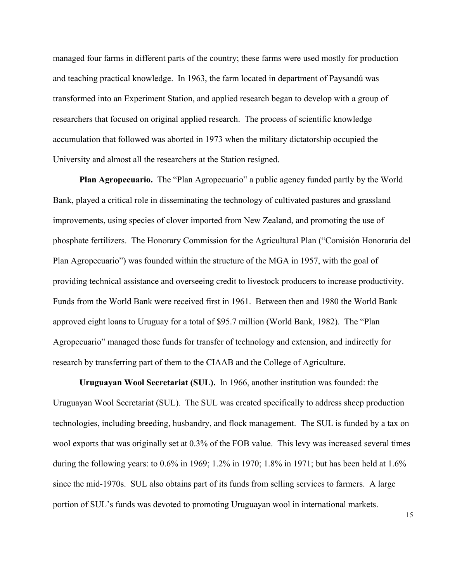managed four farms in different parts of the country; these farms were used mostly for production and teaching practical knowledge. In 1963, the farm located in department of Paysandú was transformed into an Experiment Station, and applied research began to develop with a group of researchers that focused on original applied research. The process of scientific knowledge accumulation that followed was aborted in 1973 when the military dictatorship occupied the University and almost all the researchers at the Station resigned.

**Plan Agropecuario.** The "Plan Agropecuario" a public agency funded partly by the World Bank, played a critical role in disseminating the technology of cultivated pastures and grassland improvements, using species of clover imported from New Zealand, and promoting the use of phosphate fertilizers. The Honorary Commission for the Agricultural Plan ("Comisión Honoraria del Plan Agropecuario") was founded within the structure of the MGA in 1957, with the goal of providing technical assistance and overseeing credit to livestock producers to increase productivity. Funds from the World Bank were received first in 1961. Between then and 1980 the World Bank approved eight loans to Uruguay for a total of \$95.7 million (World Bank, 1982). The "Plan Agropecuario" managed those funds for transfer of technology and extension, and indirectly for research by transferring part of them to the CIAAB and the College of Agriculture.

**Uruguayan Wool Secretariat (SUL).** In 1966, another institution was founded: the Uruguayan Wool Secretariat (SUL). The SUL was created specifically to address sheep production technologies, including breeding, husbandry, and flock management. The SUL is funded by a tax on wool exports that was originally set at 0.3% of the FOB value. This levy was increased several times during the following years: to 0.6% in 1969; 1.2% in 1970; 1.8% in 1971; but has been held at 1.6% since the mid-1970s. SUL also obtains part of its funds from selling services to farmers. A large portion of SUL's funds was devoted to promoting Uruguayan wool in international markets.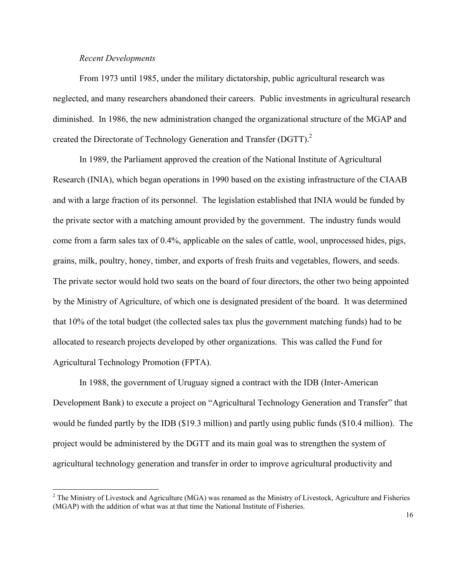#### *Recent Developments*

 $\overline{a}$ 

From 1973 until 1985, under the military dictatorship, public agricultural research was neglected, and many researchers abandoned their careers. Public investments in agricultural research diminished. In 1986, the new administration changed the organizational structure of the MGAP and created the Directorate of Technology Generation and Transfer (DGTT).<sup>2</sup>

In 1989, the Parliament approved the creation of the National Institute of Agricultural Research (INIA), which began operations in 1990 based on the existing infrastructure of the CIAAB and with a large fraction of its personnel. The legislation established that INIA would be funded by the private sector with a matching amount provided by the government. The industry funds would come from a farm sales tax of 0.4%, applicable on the sales of cattle, wool, unprocessed hides, pigs, grains, milk, poultry, honey, timber, and exports of fresh fruits and vegetables, flowers, and seeds. The private sector would hold two seats on the board of four directors, the other two being appointed by the Ministry of Agriculture, of which one is designated president of the board. It was determined that 10% of the total budget (the collected sales tax plus the government matching funds) had to be allocated to research projects developed by other organizations. This was called the Fund for Agricultural Technology Promotion (FPTA).

In 1988, the government of Uruguay signed a contract with the IDB (Inter-American Development Bank) to execute a project on "Agricultural Technology Generation and Transfer" that would be funded partly by the IDB (\$19.3 million) and partly using public funds (\$10.4 million). The project would be administered by the DGTT and its main goal was to strengthen the system of agricultural technology generation and transfer in order to improve agricultural productivity and

 $2^2$  The Ministry of Livestock and Agriculture (MGA) was renamed as the Ministry of Livestock, Agriculture and Fisheries (MGAP) with the addition of what was at that time the National Institute of Fisheries.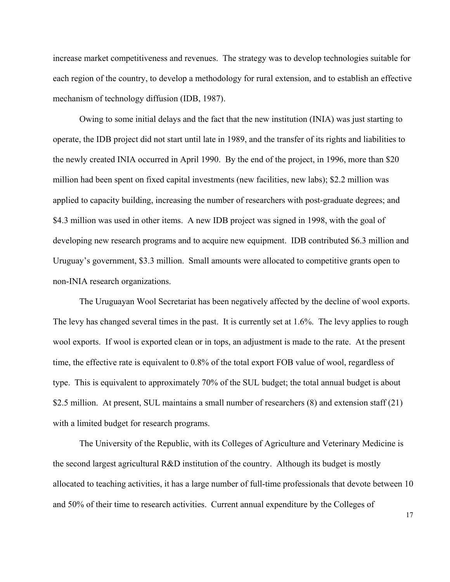increase market competitiveness and revenues. The strategy was to develop technologies suitable for each region of the country, to develop a methodology for rural extension, and to establish an effective mechanism of technology diffusion (IDB, 1987).

Owing to some initial delays and the fact that the new institution (INIA) was just starting to operate, the IDB project did not start until late in 1989, and the transfer of its rights and liabilities to the newly created INIA occurred in April 1990. By the end of the project, in 1996, more than \$20 million had been spent on fixed capital investments (new facilities, new labs); \$2.2 million was applied to capacity building, increasing the number of researchers with post-graduate degrees; and \$4.3 million was used in other items. A new IDB project was signed in 1998, with the goal of developing new research programs and to acquire new equipment. IDB contributed \$6.3 million and Uruguay's government, \$3.3 million. Small amounts were allocated to competitive grants open to non-INIA research organizations.

The Uruguayan Wool Secretariat has been negatively affected by the decline of wool exports. The levy has changed several times in the past. It is currently set at 1.6%. The levy applies to rough wool exports. If wool is exported clean or in tops, an adjustment is made to the rate. At the present time, the effective rate is equivalent to 0.8% of the total export FOB value of wool, regardless of type. This is equivalent to approximately 70% of the SUL budget; the total annual budget is about \$2.5 million. At present, SUL maintains a small number of researchers (8) and extension staff (21) with a limited budget for research programs.

The University of the Republic, with its Colleges of Agriculture and Veterinary Medicine is the second largest agricultural R&D institution of the country. Although its budget is mostly allocated to teaching activities, it has a large number of full-time professionals that devote between 10 and 50% of their time to research activities. Current annual expenditure by the Colleges of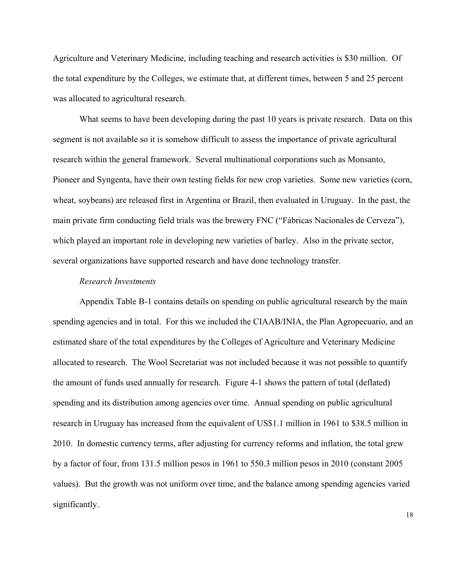Agriculture and Veterinary Medicine, including teaching and research activities is \$30 million. Of the total expenditure by the Colleges, we estimate that, at different times, between 5 and 25 percent was allocated to agricultural research.

What seems to have been developing during the past 10 years is private research. Data on this segment is not available so it is somehow difficult to assess the importance of private agricultural research within the general framework. Several multinational corporations such as Monsanto, Pioneer and Syngenta, have their own testing fields for new crop varieties. Some new varieties (corn, wheat, soybeans) are released first in Argentina or Brazil, then evaluated in Uruguay. In the past, the main private firm conducting field trials was the brewery FNC ("Fábricas Nacionales de Cerveza"), which played an important role in developing new varieties of barley. Also in the private sector, several organizations have supported research and have done technology transfer.

#### *Research Investments*

Appendix Table B-1 contains details on spending on public agricultural research by the main spending agencies and in total. For this we included the CIAAB/INIA, the Plan Agropecuario, and an estimated share of the total expenditures by the Colleges of Agriculture and Veterinary Medicine allocated to research. The Wool Secretariat was not included because it was not possible to quantify the amount of funds used annually for research. Figure 4-1 shows the pattern of total (deflated) spending and its distribution among agencies over time. Annual spending on public agricultural research in Uruguay has increased from the equivalent of US\$1.1 million in 1961 to \$38.5 million in 2010. In domestic currency terms, after adjusting for currency reforms and inflation, the total grew by a factor of four, from 131.5 million pesos in 1961 to 550.3 million pesos in 2010 (constant 2005 values). But the growth was not uniform over time, and the balance among spending agencies varied significantly.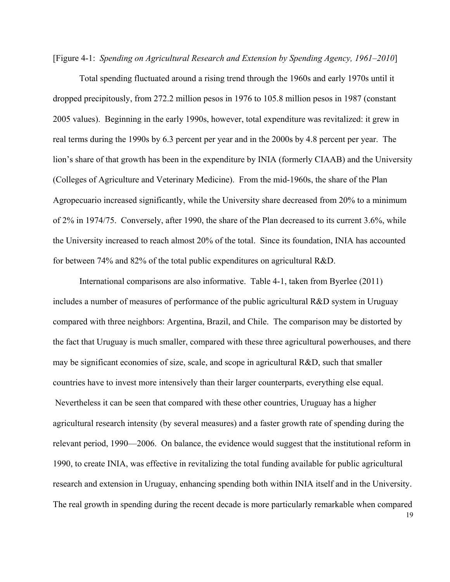[Figure 4-1:*Spending on Agricultural Research and Extension by Spending Agency, 1961–2010*]

Total spending fluctuated around a rising trend through the 1960s and early 1970s until it dropped precipitously, from 272.2 million pesos in 1976 to 105.8 million pesos in 1987 (constant 2005 values). Beginning in the early 1990s, however, total expenditure was revitalized: it grew in real terms during the 1990s by 6.3 percent per year and in the 2000s by 4.8 percent per year. The lion's share of that growth has been in the expenditure by INIA (formerly CIAAB) and the University (Colleges of Agriculture and Veterinary Medicine). From the mid-1960s, the share of the Plan Agropecuario increased significantly, while the University share decreased from 20% to a minimum of 2% in 1974/75. Conversely, after 1990, the share of the Plan decreased to its current 3.6%, while the University increased to reach almost 20% of the total. Since its foundation, INIA has accounted for between 74% and 82% of the total public expenditures on agricultural R&D.

International comparisons are also informative. Table 4-1, taken from Byerlee (2011) includes a number of measures of performance of the public agricultural R&D system in Uruguay compared with three neighbors: Argentina, Brazil, and Chile. The comparison may be distorted by the fact that Uruguay is much smaller, compared with these three agricultural powerhouses, and there may be significant economies of size, scale, and scope in agricultural R&D, such that smaller countries have to invest more intensively than their larger counterparts, everything else equal. Nevertheless it can be seen that compared with these other countries, Uruguay has a higher agricultural research intensity (by several measures) and a faster growth rate of spending during the relevant period, 1990—2006. On balance, the evidence would suggest that the institutional reform in 1990, to create INIA, was effective in revitalizing the total funding available for public agricultural research and extension in Uruguay, enhancing spending both within INIA itself and in the University. The real growth in spending during the recent decade is more particularly remarkable when compared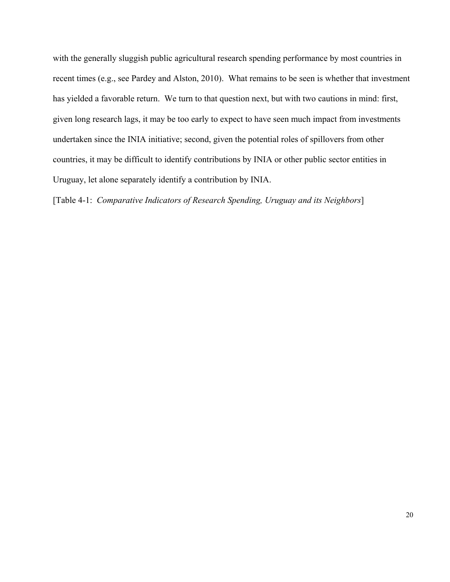with the generally sluggish public agricultural research spending performance by most countries in recent times (e.g., see Pardey and Alston, 2010). What remains to be seen is whether that investment has yielded a favorable return. We turn to that question next, but with two cautions in mind: first, given long research lags, it may be too early to expect to have seen much impact from investments undertaken since the INIA initiative; second, given the potential roles of spillovers from other countries, it may be difficult to identify contributions by INIA or other public sector entities in Uruguay, let alone separately identify a contribution by INIA.

[Table 4-1:*Comparative Indicators of Research Spending, Uruguay and its Neighbors*]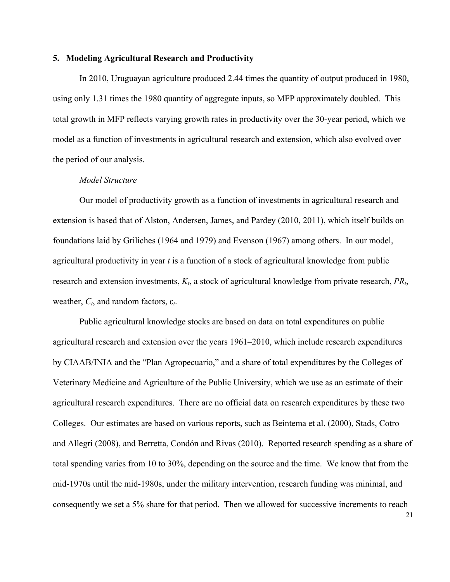#### **5. Modeling Agricultural Research and Productivity**

In 2010, Uruguayan agriculture produced 2.44 times the quantity of output produced in 1980, using only 1.31 times the 1980 quantity of aggregate inputs, so MFP approximately doubled. This total growth in MFP reflects varying growth rates in productivity over the 30-year period, which we model as a function of investments in agricultural research and extension, which also evolved over the period of our analysis.

#### *Model Structure*

Our model of productivity growth as a function of investments in agricultural research and extension is based that of Alston, Andersen, James, and Pardey (2010, 2011), which itself builds on foundations laid by Griliches (1964 and 1979) and Evenson (1967) among others. In our model, agricultural productivity in year *t* is a function of a stock of agricultural knowledge from public research and extension investments, *Kt*, a stock of agricultural knowledge from private research, *PRt*, weather,  $C_t$ , and random factors,  $\varepsilon_t$ .

Public agricultural knowledge stocks are based on data on total expenditures on public agricultural research and extension over the years 1961–2010, which include research expenditures by CIAAB/INIA and the "Plan Agropecuario," and a share of total expenditures by the Colleges of Veterinary Medicine and Agriculture of the Public University, which we use as an estimate of their agricultural research expenditures. There are no official data on research expenditures by these two Colleges. Our estimates are based on various reports, such as Beintema et al. (2000), Stads, Cotro and Allegri (2008), and Berretta, Condón and Rivas (2010). Reported research spending as a share of total spending varies from 10 to 30%, depending on the source and the time. We know that from the mid-1970s until the mid-1980s, under the military intervention, research funding was minimal, and consequently we set a 5% share for that period. Then we allowed for successive increments to reach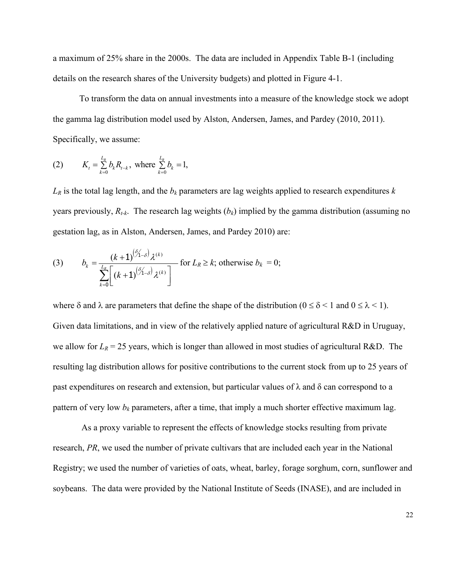a maximum of 25% share in the 2000s. The data are included in Appendix Table B-1 (including details on the research shares of the University budgets) and plotted in Figure 4-1.

To transform the data on annual investments into a measure of the knowledge stock we adopt the gamma lag distribution model used by Alston, Andersen, James, and Pardey (2010, 2011). Specifically, we assume:

(2) 
$$
K_{t} = \sum_{k=0}^{L_{R}} b_{k} R_{t-k}, \text{ where } \sum_{k=0}^{L_{R}} b_{k} = 1,
$$

 $L_R$  is the total lag length, and the  $b_k$  parameters are lag weights applied to research expenditures  $k$ years previously,  $R_{t-k}$ . The research lag weights  $(b_k)$  implied by the gamma distribution (assuming no gestation lag, as in Alston, Andersen, James, and Pardey 2010) are:

(3) 
$$
b_k = \frac{(k+1)^{(\hat{\beta}_{1-\delta})}\lambda^{(k)}}{\sum_{k=0}^{L_R} \left[ (k+1)^{(\hat{\beta}_{1-\delta})}\lambda^{(k)} \right]} \text{ for } L_R \ge k \text{; otherwise } b_k = 0;
$$

where  $\delta$  and  $\lambda$  are parameters that define the shape of the distribution ( $0 \le \delta < 1$  and  $0 \le \lambda < 1$ ). Given data limitations, and in view of the relatively applied nature of agricultural R&D in Uruguay, we allow for  $L_R$  = 25 years, which is longer than allowed in most studies of agricultural R&D. The resulting lag distribution allows for positive contributions to the current stock from up to 25 years of past expenditures on research and extension, but particular values of  $\lambda$  and  $\delta$  can correspond to a pattern of very low  $b_k$  parameters, after a time, that imply a much shorter effective maximum lag.

 As a proxy variable to represent the effects of knowledge stocks resulting from private research, *PR*, we used the number of private cultivars that are included each year in the National Registry; we used the number of varieties of oats, wheat, barley, forage sorghum, corn, sunflower and soybeans. The data were provided by the National Institute of Seeds (INASE), and are included in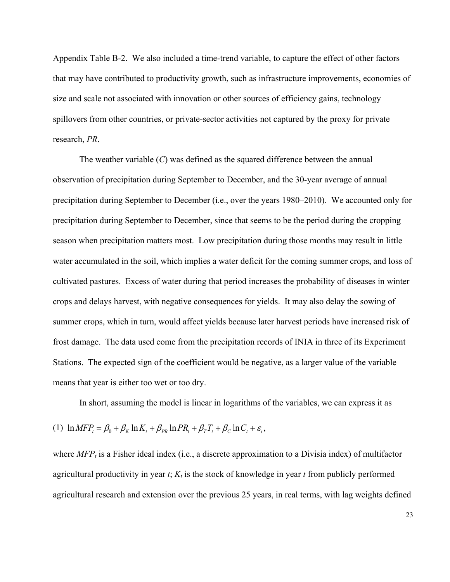Appendix Table B-2. We also included a time-trend variable, to capture the effect of other factors that may have contributed to productivity growth, such as infrastructure improvements, economies of size and scale not associated with innovation or other sources of efficiency gains, technology spillovers from other countries, or private-sector activities not captured by the proxy for private research, *PR*.

The weather variable (*C*) was defined as the squared difference between the annual observation of precipitation during September to December, and the 30-year average of annual precipitation during September to December (i.e., over the years 1980–2010). We accounted only for precipitation during September to December, since that seems to be the period during the cropping season when precipitation matters most. Low precipitation during those months may result in little water accumulated in the soil, which implies a water deficit for the coming summer crops, and loss of cultivated pastures. Excess of water during that period increases the probability of diseases in winter crops and delays harvest, with negative consequences for yields. It may also delay the sowing of summer crops, which in turn, would affect yields because later harvest periods have increased risk of frost damage. The data used come from the precipitation records of INIA in three of its Experiment Stations. The expected sign of the coefficient would be negative, as a larger value of the variable means that year is either too wet or too dry.

In short, assuming the model is linear in logarithms of the variables, we can express it as

(1) 
$$
\ln MFP_t = \beta_0 + \beta_K \ln K_t + \beta_{PR} \ln PR_t + \beta_T T_t + \beta_C \ln C_t + \varepsilon_t,
$$

where  $MFP<sub>t</sub>$  is a Fisher ideal index (i.e., a discrete approximation to a Divisia index) of multifactor agricultural productivity in year  $t$ ;  $K_t$  is the stock of knowledge in year  $t$  from publicly performed agricultural research and extension over the previous 25 years, in real terms, with lag weights defined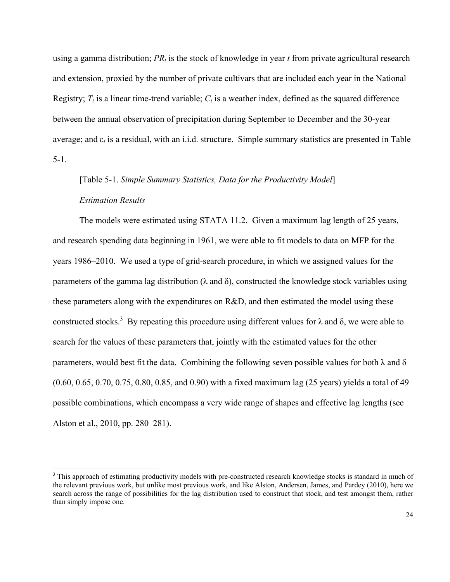using a gamma distribution;  $PR_t$  is the stock of knowledge in year  $t$  from private agricultural research and extension, proxied by the number of private cultivars that are included each year in the National Registry;  $T_t$  is a linear time-trend variable;  $C_t$  is a weather index, defined as the squared difference between the annual observation of precipitation during September to December and the 30-year average; and ε*t* is a residual, with an i.i.d. structure. Simple summary statistics are presented in Table 5-1.

# [Table 5-1. *Simple Summary Statistics, Data for the Productivity Model*] *Estimation Results*

The models were estimated using STATA 11.2. Given a maximum lag length of 25 years, and research spending data beginning in 1961, we were able to fit models to data on MFP for the years 1986–2010. We used a type of grid-search procedure, in which we assigned values for the parameters of the gamma lag distribution ( $\lambda$  and  $\delta$ ), constructed the knowledge stock variables using these parameters along with the expenditures on R&D, and then estimated the model using these constructed stocks.<sup>3</sup> By repeating this procedure using different values for  $\lambda$  and  $\delta$ , we were able to search for the values of these parameters that, jointly with the estimated values for the other parameters, would best fit the data. Combining the following seven possible values for both  $\lambda$  and  $\delta$ (0.60, 0.65, 0.70, 0.75, 0.80, 0.85, and 0.90) with a fixed maximum lag (25 years) yields a total of 49 possible combinations, which encompass a very wide range of shapes and effective lag lengths (see Alston et al., 2010, pp. 280–281).

<sup>&</sup>lt;sup>3</sup> This approach of estimating productivity models with pre-constructed research knowledge stocks is standard in much of the relevant previous work, but unlike most previous work, and like Alston, Andersen, James, and Pardey (2010), here we search across the range of possibilities for the lag distribution used to construct that stock, and test amongst them, rather than simply impose one.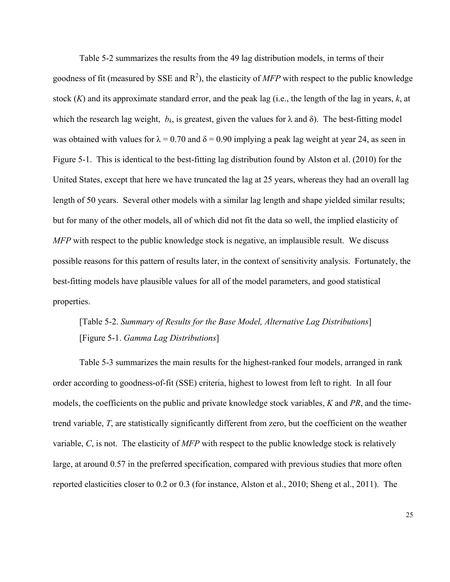Table 5-2 summarizes the results from the 49 lag distribution models, in terms of their goodness of fit (measured by SSE and  $\mathbb{R}^2$ ), the elasticity of *MFP* with respect to the public knowledge stock (*K*) and its approximate standard error, and the peak lag (i.e., the length of the lag in years, *k*, at which the research lag weight,  $b_k$ , is greatest, given the values for  $\lambda$  and  $\delta$ ). The best-fitting model was obtained with values for  $\lambda = 0.70$  and  $\delta = 0.90$  implying a peak lag weight at year 24, as seen in Figure 5-1. This is identical to the best-fitting lag distribution found by Alston et al. (2010) for the United States, except that here we have truncated the lag at 25 years, whereas they had an overall lag length of 50 years. Several other models with a similar lag length and shape yielded similar results; but for many of the other models, all of which did not fit the data so well, the implied elasticity of *MFP* with respect to the public knowledge stock is negative, an implausible result. We discuss possible reasons for this pattern of results later, in the context of sensitivity analysis. Fortunately, the best-fitting models have plausible values for all of the model parameters, and good statistical properties.

## [Table 5-2. *Summary of Results for the Base Model, Alternative Lag Distributions*] [Figure 5-1. *Gamma Lag Distributions*]

Table 5-3 summarizes the main results for the highest-ranked four models, arranged in rank order according to goodness-of-fit (SSE) criteria, highest to lowest from left to right. In all four models, the coefficients on the public and private knowledge stock variables, *K* and *PR*, and the timetrend variable, *T*, are statistically significantly different from zero, but the coefficient on the weather variable, *C*, is not. The elasticity of *MFP* with respect to the public knowledge stock is relatively large, at around 0.57 in the preferred specification, compared with previous studies that more often reported elasticities closer to 0.2 or 0.3 (for instance, Alston et al., 2010; Sheng et al., 2011). The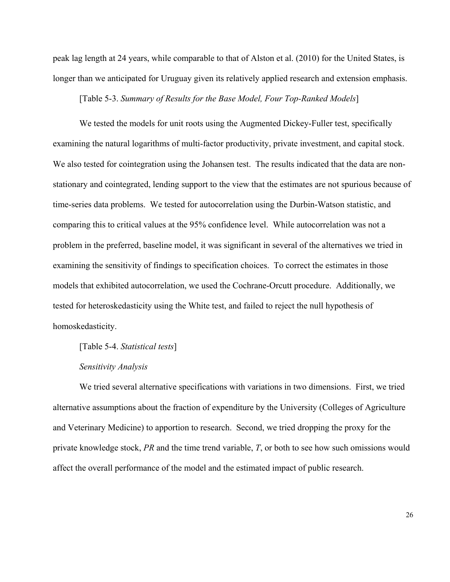peak lag length at 24 years, while comparable to that of Alston et al. (2010) for the United States, is longer than we anticipated for Uruguay given its relatively applied research and extension emphasis.

[Table 5-3. *Summary of Results for the Base Model, Four Top-Ranked Models*]

We tested the models for unit roots using the Augmented Dickey-Fuller test, specifically examining the natural logarithms of multi-factor productivity, private investment, and capital stock. We also tested for cointegration using the Johansen test. The results indicated that the data are nonstationary and cointegrated, lending support to the view that the estimates are not spurious because of time-series data problems. We tested for autocorrelation using the Durbin-Watson statistic, and comparing this to critical values at the 95% confidence level. While autocorrelation was not a problem in the preferred, baseline model, it was significant in several of the alternatives we tried in examining the sensitivity of findings to specification choices. To correct the estimates in those models that exhibited autocorrelation, we used the Cochrane-Orcutt procedure. Additionally, we tested for heteroskedasticity using the White test, and failed to reject the null hypothesis of homoskedasticity.

[Table 5-4. *Statistical tests*]

#### *Sensitivity Analysis*

We tried several alternative specifications with variations in two dimensions. First, we tried alternative assumptions about the fraction of expenditure by the University (Colleges of Agriculture and Veterinary Medicine) to apportion to research. Second, we tried dropping the proxy for the private knowledge stock, *PR* and the time trend variable, *T*, or both to see how such omissions would affect the overall performance of the model and the estimated impact of public research.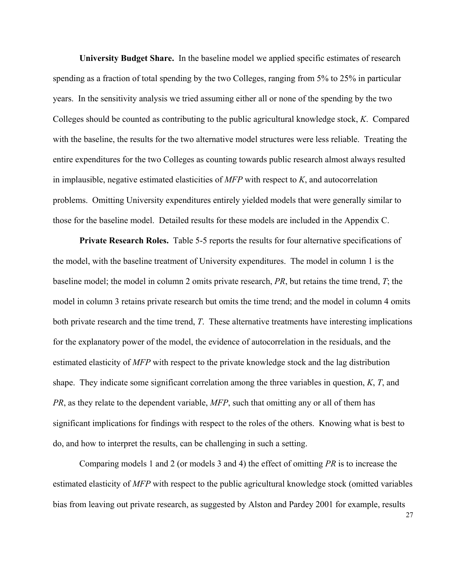**University Budget Share.** In the baseline model we applied specific estimates of research spending as a fraction of total spending by the two Colleges, ranging from 5% to 25% in particular years. In the sensitivity analysis we tried assuming either all or none of the spending by the two Colleges should be counted as contributing to the public agricultural knowledge stock, *K*. Compared with the baseline, the results for the two alternative model structures were less reliable. Treating the entire expenditures for the two Colleges as counting towards public research almost always resulted in implausible, negative estimated elasticities of *MFP* with respect to *K*, and autocorrelation problems. Omitting University expenditures entirely yielded models that were generally similar to those for the baseline model. Detailed results for these models are included in the Appendix C.

**Private Research Roles.** Table 5-5 reports the results for four alternative specifications of the model, with the baseline treatment of University expenditures. The model in column 1 is the baseline model; the model in column 2 omits private research, *PR*, but retains the time trend, *T*; the model in column 3 retains private research but omits the time trend; and the model in column 4 omits both private research and the time trend, *T*. These alternative treatments have interesting implications for the explanatory power of the model, the evidence of autocorrelation in the residuals, and the estimated elasticity of *MFP* with respect to the private knowledge stock and the lag distribution shape. They indicate some significant correlation among the three variables in question, *K*, *T*, and *PR*, as they relate to the dependent variable, *MFP*, such that omitting any or all of them has significant implications for findings with respect to the roles of the others. Knowing what is best to do, and how to interpret the results, can be challenging in such a setting.

Comparing models 1 and 2 (or models 3 and 4) the effect of omitting *PR* is to increase the estimated elasticity of *MFP* with respect to the public agricultural knowledge stock (omitted variables bias from leaving out private research, as suggested by Alston and Pardey 2001 for example, results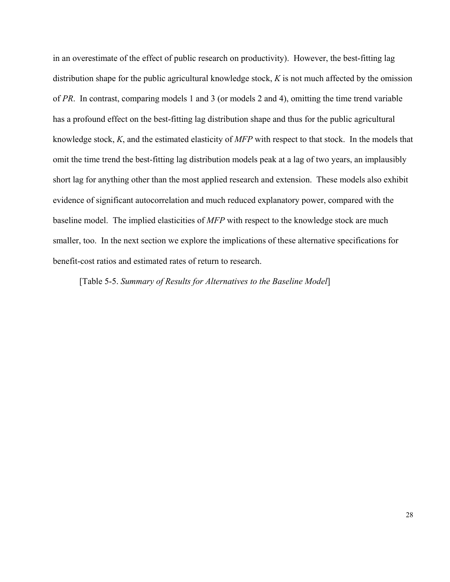in an overestimate of the effect of public research on productivity). However, the best-fitting lag distribution shape for the public agricultural knowledge stock, *K* is not much affected by the omission of *PR*. In contrast, comparing models 1 and 3 (or models 2 and 4), omitting the time trend variable has a profound effect on the best-fitting lag distribution shape and thus for the public agricultural knowledge stock, *K*, and the estimated elasticity of *MFP* with respect to that stock. In the models that omit the time trend the best-fitting lag distribution models peak at a lag of two years, an implausibly short lag for anything other than the most applied research and extension. These models also exhibit evidence of significant autocorrelation and much reduced explanatory power, compared with the baseline model. The implied elasticities of *MFP* with respect to the knowledge stock are much smaller, too. In the next section we explore the implications of these alternative specifications for benefit-cost ratios and estimated rates of return to research.

[Table 5-5. *Summary of Results for Alternatives to the Baseline Model*]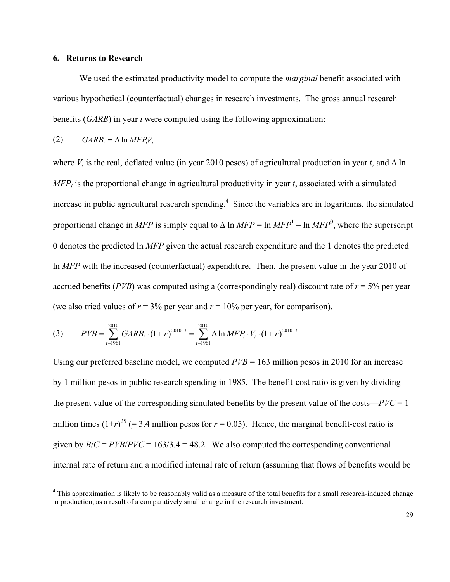#### **6. Returns to Research**

We used the estimated productivity model to compute the *marginal* benefit associated with various hypothetical (counterfactual) changes in research investments. The gross annual research benefits (*GARB*) in year *t* were computed using the following approximation:

$$
(2) \t\t\t\tGARB_t = \Delta \ln MFP_t V_t
$$

<u>.</u>

where  $V_t$  is the real, deflated value (in year 2010 pesos) of agricultural production in year *t*, and  $\Delta$  ln  $MFP<sub>t</sub>$  is the proportional change in agricultural productivity in year *t*, associated with a simulated increase in public agricultural research spending.<sup>4</sup> Since the variables are in logarithms, the simulated proportional change in *MFP* is simply equal to  $\Delta$  ln *MFP* = ln *MFP*<sup>1</sup> – ln *MFP*<sup>0</sup>, where the superscript 0 denotes the predicted ln *MFP* given the actual research expenditure and the 1 denotes the predicted ln *MFP* with the increased (counterfactual) expenditure. Then, the present value in the year 2010 of accrued benefits ( $PVB$ ) was computed using a (correspondingly real) discount rate of  $r = 5\%$  per year (we also tried values of  $r = 3\%$  per year and  $r = 10\%$  per year, for comparison).

(3) 
$$
PVB = \sum_{t=1961}^{2010} GARB_t \cdot (1+r)^{2010-t} = \sum_{t=1961}^{2010} \Delta \ln MFP_t \cdot V_t \cdot (1+r)^{2010-t}
$$

Using our preferred baseline model, we computed  $PVB = 163$  million pesos in 2010 for an increase by 1 million pesos in public research spending in 1985. The benefit-cost ratio is given by dividing the present value of the corresponding simulated benefits by the present value of the costs— $PVC = 1$ million times  $(1+r)^{25}$  (= 3.4 million pesos for  $r = 0.05$ ). Hence, the marginal benefit-cost ratio is given by  $B/C = PVB/PVC = 163/3.4 = 48.2$ . We also computed the corresponding conventional internal rate of return and a modified internal rate of return (assuming that flows of benefits would be

<sup>&</sup>lt;sup>4</sup> This approximation is likely to be reasonably valid as a measure of the total benefits for a small research-induced change in production, as a result of a comparatively small change in the research investment.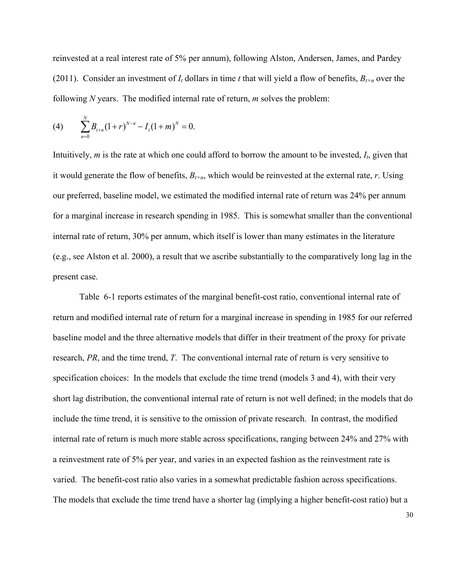reinvested at a real interest rate of 5% per annum), following Alston, Andersen, James, and Pardey (2011). Consider an investment of  $I_t$  dollars in time *t* that will yield a flow of benefits,  $B_{t+n}$  over the following *N* years. The modified internal rate of return, *m* solves the problem:

(4) 
$$
\sum_{n=0}^{N} B_{t+n} (1+r)^{N-n} - I_t (1+m)^N = 0.
$$

Intuitively, *m* is the rate at which one could afford to borrow the amount to be invested, *It*, given that it would generate the flow of benefits,  $B_{t+n}$ , which would be reinvested at the external rate, *r*. Using our preferred, baseline model, we estimated the modified internal rate of return was 24% per annum for a marginal increase in research spending in 1985. This is somewhat smaller than the conventional internal rate of return, 30% per annum, which itself is lower than many estimates in the literature (e.g., see Alston et al. 2000), a result that we ascribe substantially to the comparatively long lag in the present case.

Table 6-1 reports estimates of the marginal benefit-cost ratio, conventional internal rate of return and modified internal rate of return for a marginal increase in spending in 1985 for our referred baseline model and the three alternative models that differ in their treatment of the proxy for private research, *PR*, and the time trend, *T*. The conventional internal rate of return is very sensitive to specification choices: In the models that exclude the time trend (models 3 and 4), with their very short lag distribution, the conventional internal rate of return is not well defined; in the models that do include the time trend, it is sensitive to the omission of private research. In contrast, the modified internal rate of return is much more stable across specifications, ranging between 24% and 27% with a reinvestment rate of 5% per year, and varies in an expected fashion as the reinvestment rate is varied. The benefit-cost ratio also varies in a somewhat predictable fashion across specifications. The models that exclude the time trend have a shorter lag (implying a higher benefit-cost ratio) but a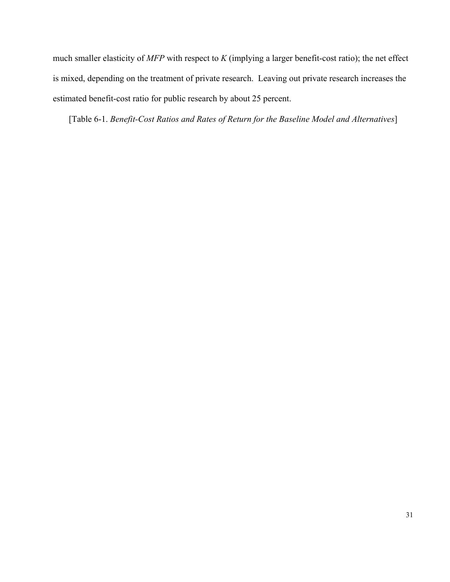much smaller elasticity of *MFP* with respect to *K* (implying a larger benefit-cost ratio); the net effect is mixed, depending on the treatment of private research. Leaving out private research increases the estimated benefit-cost ratio for public research by about 25 percent.

[Table 6-1. *Benefit-Cost Ratios and Rates of Return for the Baseline Model and Alternatives*]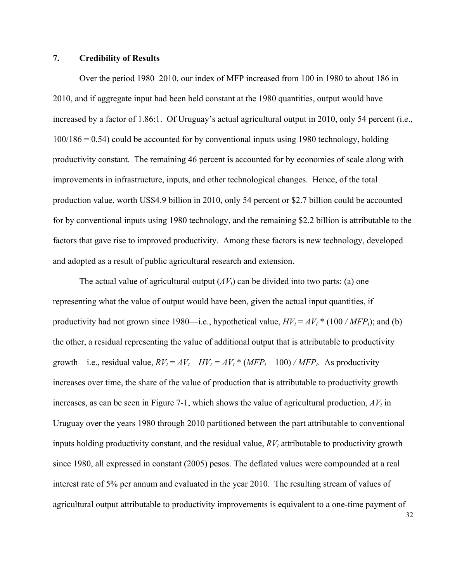#### **7. Credibility of Results**

Over the period 1980–2010, our index of MFP increased from 100 in 1980 to about 186 in 2010, and if aggregate input had been held constant at the 1980 quantities, output would have increased by a factor of 1.86:1. Of Uruguay's actual agricultural output in 2010, only 54 percent (i.e.,  $100/186 = 0.54$ ) could be accounted for by conventional inputs using 1980 technology, holding productivity constant. The remaining 46 percent is accounted for by economies of scale along with improvements in infrastructure, inputs, and other technological changes. Hence, of the total production value, worth US\$4.9 billion in 2010, only 54 percent or \$2.7 billion could be accounted for by conventional inputs using 1980 technology, and the remaining \$2.2 billion is attributable to the factors that gave rise to improved productivity. Among these factors is new technology, developed and adopted as a result of public agricultural research and extension.

The actual value of agricultural output  $(AV_t)$  can be divided into two parts: (a) one representing what the value of output would have been, given the actual input quantities, if productivity had not grown since 1980—i.e., hypothetical value,  $HV_t = AV_t * (100 / MFP_t)$ ; and (b) the other, a residual representing the value of additional output that is attributable to productivity growth—i.e., residual value,  $RV_t = AV_t - HV_t = AV_t * (MFP_t - 100) / MFP_t$ . As productivity increases over time, the share of the value of production that is attributable to productivity growth increases, as can be seen in Figure 7-1, which shows the value of agricultural production,  $AV_t$  in Uruguay over the years 1980 through 2010 partitioned between the part attributable to conventional inputs holding productivity constant, and the residual value,  $RV<sub>t</sub>$  attributable to productivity growth since 1980, all expressed in constant (2005) pesos. The deflated values were compounded at a real interest rate of 5% per annum and evaluated in the year 2010. The resulting stream of values of agricultural output attributable to productivity improvements is equivalent to a one-time payment of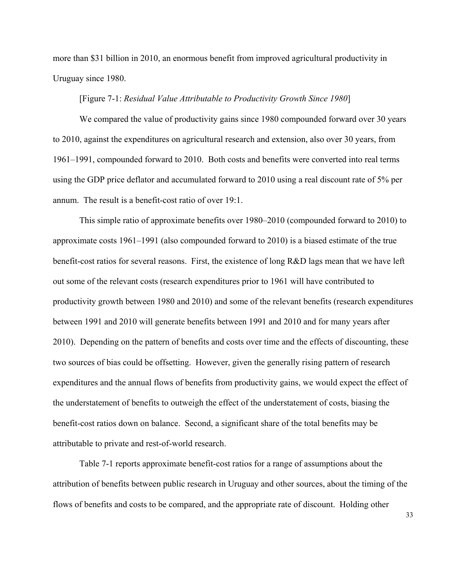more than \$31 billion in 2010, an enormous benefit from improved agricultural productivity in Uruguay since 1980.

#### [Figure 7-1: *Residual Value Attributable to Productivity Growth Since 1980*]

We compared the value of productivity gains since 1980 compounded forward over 30 years to 2010, against the expenditures on agricultural research and extension, also over 30 years, from 1961–1991, compounded forward to 2010. Both costs and benefits were converted into real terms using the GDP price deflator and accumulated forward to 2010 using a real discount rate of 5% per annum. The result is a benefit-cost ratio of over 19:1.

This simple ratio of approximate benefits over 1980–2010 (compounded forward to 2010) to approximate costs 1961–1991 (also compounded forward to 2010) is a biased estimate of the true benefit-cost ratios for several reasons. First, the existence of long R&D lags mean that we have left out some of the relevant costs (research expenditures prior to 1961 will have contributed to productivity growth between 1980 and 2010) and some of the relevant benefits (research expenditures between 1991 and 2010 will generate benefits between 1991 and 2010 and for many years after 2010). Depending on the pattern of benefits and costs over time and the effects of discounting, these two sources of bias could be offsetting. However, given the generally rising pattern of research expenditures and the annual flows of benefits from productivity gains, we would expect the effect of the understatement of benefits to outweigh the effect of the understatement of costs, biasing the benefit-cost ratios down on balance. Second, a significant share of the total benefits may be attributable to private and rest-of-world research.

Table 7-1 reports approximate benefit-cost ratios for a range of assumptions about the attribution of benefits between public research in Uruguay and other sources, about the timing of the flows of benefits and costs to be compared, and the appropriate rate of discount. Holding other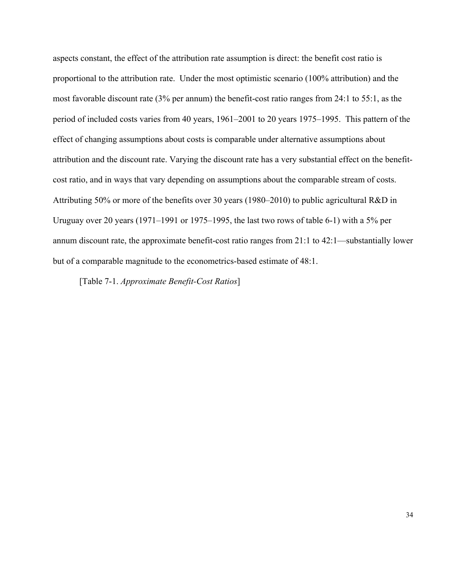aspects constant, the effect of the attribution rate assumption is direct: the benefit cost ratio is proportional to the attribution rate. Under the most optimistic scenario (100% attribution) and the most favorable discount rate (3% per annum) the benefit-cost ratio ranges from 24:1 to 55:1, as the period of included costs varies from 40 years, 1961–2001 to 20 years 1975–1995. This pattern of the effect of changing assumptions about costs is comparable under alternative assumptions about attribution and the discount rate. Varying the discount rate has a very substantial effect on the benefitcost ratio, and in ways that vary depending on assumptions about the comparable stream of costs. Attributing 50% or more of the benefits over 30 years (1980–2010) to public agricultural R&D in Uruguay over 20 years (1971–1991 or 1975–1995, the last two rows of table 6-1) with a 5% per annum discount rate, the approximate benefit-cost ratio ranges from 21:1 to 42:1—substantially lower but of a comparable magnitude to the econometrics-based estimate of 48:1.

[Table 7-1. *Approximate Benefit-Cost Ratios*]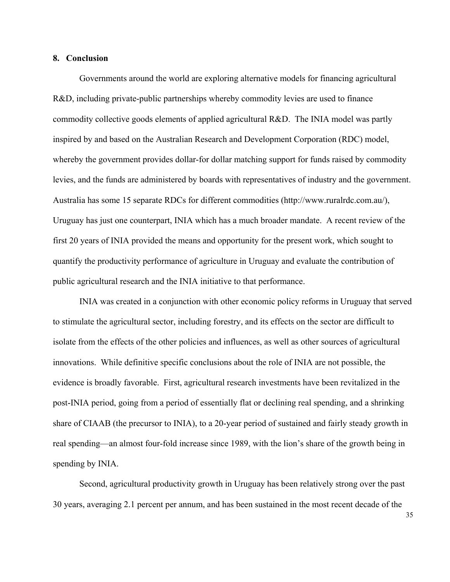#### **8. Conclusion**

Governments around the world are exploring alternative models for financing agricultural R&D, including private-public partnerships whereby commodity levies are used to finance commodity collective goods elements of applied agricultural R&D. The INIA model was partly inspired by and based on the Australian Research and Development Corporation (RDC) model, whereby the government provides dollar-for dollar matching support for funds raised by commodity levies, and the funds are administered by boards with representatives of industry and the government. Australia has some 15 separate RDCs for different commodities (http://www.ruralrdc.com.au/), Uruguay has just one counterpart, INIA which has a much broader mandate. A recent review of the first 20 years of INIA provided the means and opportunity for the present work, which sought to quantify the productivity performance of agriculture in Uruguay and evaluate the contribution of public agricultural research and the INIA initiative to that performance.

INIA was created in a conjunction with other economic policy reforms in Uruguay that served to stimulate the agricultural sector, including forestry, and its effects on the sector are difficult to isolate from the effects of the other policies and influences, as well as other sources of agricultural innovations. While definitive specific conclusions about the role of INIA are not possible, the evidence is broadly favorable. First, agricultural research investments have been revitalized in the post-INIA period, going from a period of essentially flat or declining real spending, and a shrinking share of CIAAB (the precursor to INIA), to a 20-year period of sustained and fairly steady growth in real spending—an almost four-fold increase since 1989, with the lion's share of the growth being in spending by INIA.

Second, agricultural productivity growth in Uruguay has been relatively strong over the past 30 years, averaging 2.1 percent per annum, and has been sustained in the most recent decade of the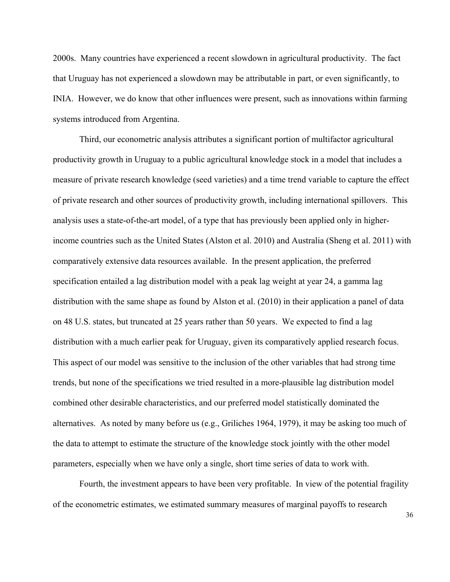2000s. Many countries have experienced a recent slowdown in agricultural productivity. The fact that Uruguay has not experienced a slowdown may be attributable in part, or even significantly, to INIA. However, we do know that other influences were present, such as innovations within farming systems introduced from Argentina.

Third, our econometric analysis attributes a significant portion of multifactor agricultural productivity growth in Uruguay to a public agricultural knowledge stock in a model that includes a measure of private research knowledge (seed varieties) and a time trend variable to capture the effect of private research and other sources of productivity growth, including international spillovers. This analysis uses a state-of-the-art model, of a type that has previously been applied only in higherincome countries such as the United States (Alston et al. 2010) and Australia (Sheng et al. 2011) with comparatively extensive data resources available. In the present application, the preferred specification entailed a lag distribution model with a peak lag weight at year 24, a gamma lag distribution with the same shape as found by Alston et al. (2010) in their application a panel of data on 48 U.S. states, but truncated at 25 years rather than 50 years. We expected to find a lag distribution with a much earlier peak for Uruguay, given its comparatively applied research focus. This aspect of our model was sensitive to the inclusion of the other variables that had strong time trends, but none of the specifications we tried resulted in a more-plausible lag distribution model combined other desirable characteristics, and our preferred model statistically dominated the alternatives. As noted by many before us (e.g., Griliches 1964, 1979), it may be asking too much of the data to attempt to estimate the structure of the knowledge stock jointly with the other model parameters, especially when we have only a single, short time series of data to work with.

Fourth, the investment appears to have been very profitable. In view of the potential fragility of the econometric estimates, we estimated summary measures of marginal payoffs to research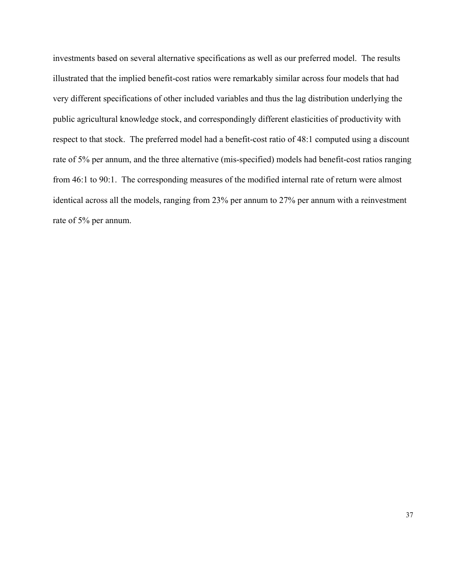investments based on several alternative specifications as well as our preferred model. The results illustrated that the implied benefit-cost ratios were remarkably similar across four models that had very different specifications of other included variables and thus the lag distribution underlying the public agricultural knowledge stock, and correspondingly different elasticities of productivity with respect to that stock. The preferred model had a benefit-cost ratio of 48:1 computed using a discount rate of 5% per annum, and the three alternative (mis-specified) models had benefit-cost ratios ranging from 46:1 to 90:1. The corresponding measures of the modified internal rate of return were almost identical across all the models, ranging from 23% per annum to 27% per annum with a reinvestment rate of 5% per annum.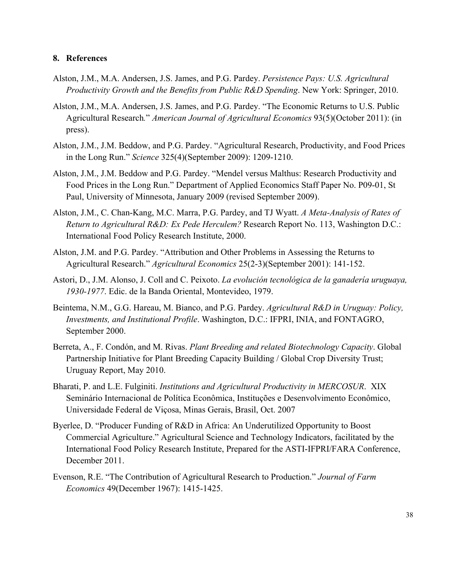#### **8. References**

- Alston, J.M., M.A. Andersen, J.S. James, and P.G. Pardey. *Persistence Pays: U.S. Agricultural Productivity Growth and the Benefits from Public R&D Spending*. New York: Springer, 2010.
- Alston, J.M., M.A. Andersen, J.S. James, and P.G. Pardey. "The Economic Returns to U.S. Public Agricultural Research*.*" *American Journal of Agricultural Economics* 93(5)(October 2011): (in press).
- Alston, J.M., J.M. Beddow, and P.G. Pardey. "Agricultural Research, Productivity, and Food Prices in the Long Run." *Science* 325(4)(September 2009): 1209-1210.
- Alston, J.M., J.M. Beddow and P.G. Pardey. "Mendel versus Malthus: Research Productivity and Food Prices in the Long Run." Department of Applied Economics Staff Paper No. P09-01, St Paul, University of Minnesota, January 2009 (revised September 2009).
- Alston, J.M., C. Chan-Kang, M.C. Marra, P.G. Pardey, and TJ Wyatt. *A Meta-Analysis of Rates of Return to Agricultural R&D: Ex Pede Herculem?* Research Report No. 113, Washington D.C.: International Food Policy Research Institute, 2000.
- Alston, J.M. and P.G. Pardey. "Attribution and Other Problems in Assessing the Returns to Agricultural Research." *Agricultural Economics* 25(2-3)(September 2001): 141-152.
- Astori, D., J.M. Alonso, J. Coll and C. Peixoto. *La evolución tecnológica de la ganadería uruguaya, 1930-1977*. Edic. de la Banda Oriental, Montevideo, 1979.
- Beintema, N.M., G.G. Hareau, M. Bianco, and P.G. Pardey. *Agricultural R&D in Uruguay: Policy, Investments, and Institutional Profile*. Washington, D.C.: IFPRI, INIA, and FONTAGRO, September 2000.
- Berreta, A., F. Condón, and M. Rivas. *Plant Breeding and related Biotechnology Capacity*. Global Partnership Initiative for Plant Breeding Capacity Building / Global Crop Diversity Trust; Uruguay Report, May 2010.
- Bharati, P. and L.E. Fulginiti. *Institutions and Agricultural Productivity in MERCOSUR*. XIX Seminário Internacional de Política Econômica, Instituções e Desenvolvimento Econômico, Universidade Federal de Viçosa, Minas Gerais, Brasil, Oct. 2007
- Byerlee, D. "Producer Funding of R&D in Africa: An Underutilized Opportunity to Boost Commercial Agriculture." Agricultural Science and Technology Indicators, facilitated by the International Food Policy Research Institute, Prepared for the ASTI-IFPRI/FARA Conference, December 2011.
- Evenson, R.E. "The Contribution of Agricultural Research to Production." *Journal of Farm Economics* 49(December 1967): 1415-1425.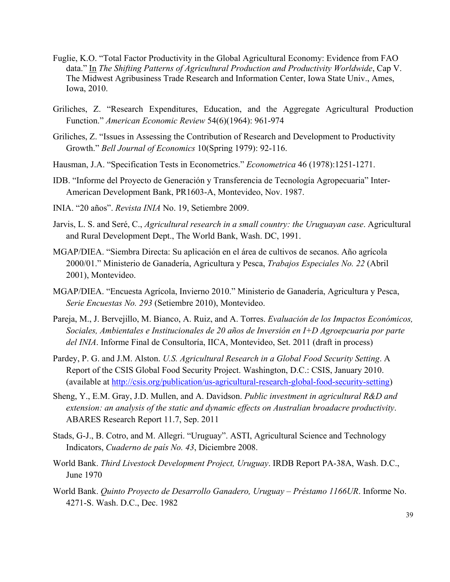- Fuglie, K.O. "Total Factor Productivity in the Global Agricultural Economy: Evidence from FAO data." In *The Shifting Patterns of Agricultural Production and Productivity Worldwide*, Cap V. The Midwest Agribusiness Trade Research and Information Center, Iowa State Univ., Ames, Iowa, 2010.
- Griliches, Z. "Research Expenditures, Education, and the Aggregate Agricultural Production Function." *American Economic Review* 54(6)(1964): 961-974
- Griliches, Z. "Issues in Assessing the Contribution of Research and Development to Productivity Growth." *Bell Journal of Economics* 10(Spring 1979): 92-116.
- Hausman, J.A. "Specification Tests in Econometrics." *Econometrica* 46 (1978):1251-1271.
- IDB. "Informe del Proyecto de Generación y Transferencia de Tecnología Agropecuaria" Inter-American Development Bank, PR1603-A, Montevideo, Nov. 1987.
- INIA. "20 años". *Revista INIA* No. 19, Setiembre 2009.
- Jarvis, L. S. and Seré, C., *Agricultural research in a small country: the Uruguayan case*. Agricultural and Rural Development Dept., The World Bank, Wash. DC, 1991.
- MGAP/DIEA. "Siembra Directa: Su aplicación en el área de cultivos de secanos. Año agrícola 2000/01." Ministerio de Ganadería, Agricultura y Pesca, *Trabajos Especiales No. 22* (Abril 2001), Montevideo.
- MGAP/DIEA. "Encuesta Agrícola, Invierno 2010." Ministerio de Ganadería, Agricultura y Pesca, *Serie Encuestas No. 293* (Setiembre 2010), Montevideo.
- Pareja, M., J. Bervejillo, M. Bianco, A. Ruiz, and A. Torres. *Evaluación de los Impactos Económicos, Sociales, Ambientales e Institucionales de 20 años de Inversión en I+D Agroepcuaria por parte del INIA*. Informe Final de Consultoría, IICA, Montevideo, Set. 2011 (draft in process)
- Pardey, P. G. and J.M. Alston. *U.S. Agricultural Research in a Global Food Security Setting*. A Report of the CSIS Global Food Security Project. Washington, D.C.: CSIS, January 2010. (available at http://csis.org/publication/us-agricultural-research-global-food-security-setting)
- Sheng, Y., E.M. Gray, J.D. Mullen, and A. Davidson. *Public investment in agricultural R&D and extension: an analysis of the static and dynamic effects on Australian broadacre productivity*. ABARES Research Report 11.7, Sep. 2011
- Stads, G-J., B. Cotro, and M. Allegri. "Uruguay". ASTI, Agricultural Science and Technology Indicators, *Cuaderno de país No. 43*, Diciembre 2008.
- World Bank. *Third Livestock Development Project, Uruguay*. IRDB Report PA-38A, Wash. D.C., June 1970
- World Bank. *Quinto Proyecto de Desarrollo Ganadero, Uruguay Préstamo 1166UR*. Informe No. 4271-S. Wash. D.C., Dec. 1982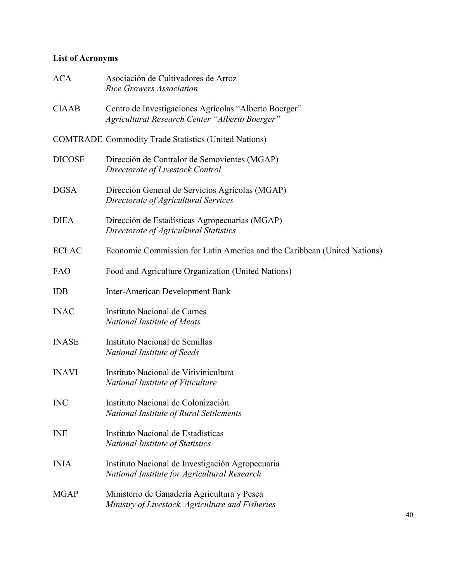## **List of Acronyms**

| <b>ACA</b>    | Asociación de Cultivadores de Arroz<br><b>Rice Growers Association</b>                                  |
|---------------|---------------------------------------------------------------------------------------------------------|
| <b>CIAAB</b>  | Centro de Investigaciones Agrícolas "Alberto Boerger"<br>Agricultural Research Center "Alberto Boerger" |
|               | <b>COMTRADE Commodity Trade Statistics (United Nations)</b>                                             |
| <b>DICOSE</b> | Dirección de Contralor de Semovientes (MGAP)<br>Directorate of Livestock Control                        |
| <b>DGSA</b>   | Dirección General de Servicios Agrícolas (MGAP)<br>Directorate of Agricultural Services                 |
| <b>DIEA</b>   | Dirección de Estadísticas Agropecuarias (MGAP)<br>Directorate of Agricultural Statistics                |
| <b>ECLAC</b>  | Economic Commission for Latin America and the Caribbean (United Nations)                                |
| <b>FAO</b>    | Food and Agriculture Organization (United Nations)                                                      |
| <b>IDB</b>    | <b>Inter-American Development Bank</b>                                                                  |
| <b>INAC</b>   | Instituto Nacional de Carnes<br><b>National Institute of Meats</b>                                      |
| <b>INASE</b>  | Instituto Nacional de Semillas<br>National Institute of Seeds                                           |
| <b>INAVI</b>  | Instituto Nacional de Vitivinicultura<br>National Institute of Viticulture                              |
| <b>INC</b>    | Instituto Nacional de Colonización<br>National Institute of Rural Settlements                           |
| <b>INE</b>    | Instituto Nacional de Estadísticas<br>National Institute of Statistics                                  |
| <b>INIA</b>   | Instituto Nacional de Investigación Agropecuaria<br>National Institute for Agricultural Research        |
| <b>MGAP</b>   | Ministerio de Ganadería Agricultura y Pesca<br>Ministry of Livestock, Agriculture and Fisheries         |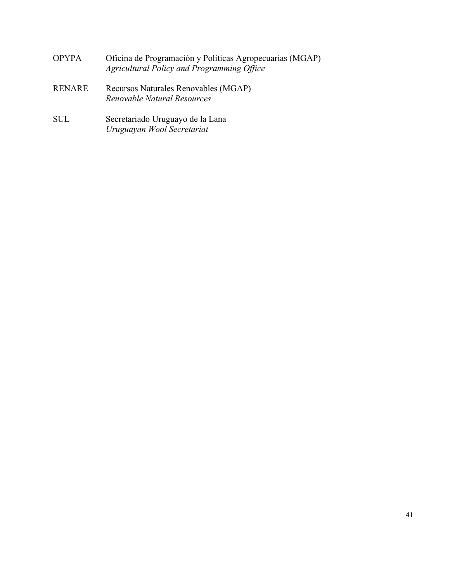- OPYPA Oficina de Programación y Políticas Agropecuarias (MGAP) *Agricultural Policy and Programming Office*
- RENARE Recursos Naturales Renovables (MGAP) *Renovable Natural Resources*
- SUL Secretariado Uruguayo de la Lana *Uruguayan Wool Secretariat*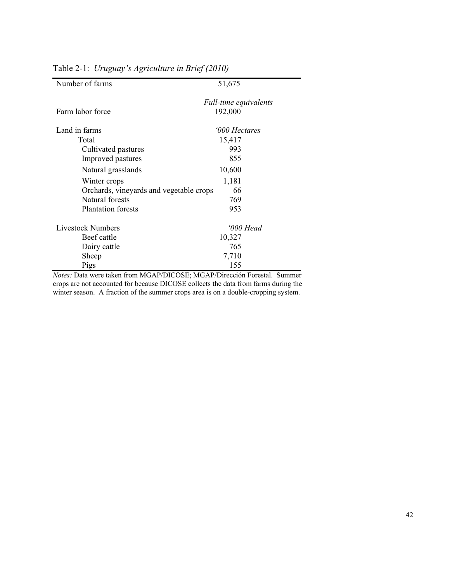| Number of farms                         | 51,675                |
|-----------------------------------------|-----------------------|
|                                         | Full-time equivalents |
| Farm labor force                        | 192,000               |
| Land in farms                           | '000 Hectares         |
| Total                                   | 15,417                |
| Cultivated pastures                     | 993                   |
| Improved pastures                       | 855                   |
| Natural grasslands                      | 10,600                |
| Winter crops                            | 1,181                 |
| Orchards, vineyards and vegetable crops | 66                    |
| Natural forests                         | 769                   |
| <b>Plantation</b> forests               | 953                   |
| <b>Livestock Numbers</b>                | '000 Head             |
| Beef cattle                             | 10,327                |
| Dairy cattle                            | 765                   |
| Sheep                                   | 7,710                 |
| Pigs                                    | 155                   |

Table 2-1: *Uruguay's Agriculture in Brief (2010)*

*Notes:* Data were taken from MGAP/DICOSE; MGAP/Dirección Forestal. Summer crops are not accounted for because DICOSE collects the data from farms during the winter season. A fraction of the summer crops area is on a double-cropping system.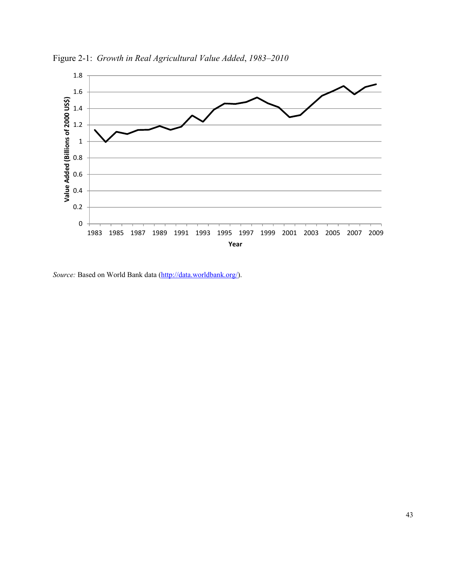

Figure 2-1: *Growth in Real Agricultural Value Added*, *1983–2010*

*Source:* Based on World Bank data (http://data.worldbank.org/).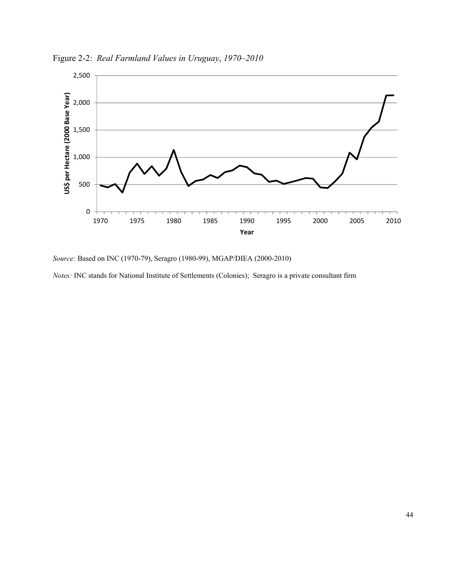

Figure 2-2: *Real Farmland Values in Uruguay*, *1970–2010*

*Source:* Based on INC (1970-79), Seragro (1980-99), MGAP/DIEA (2000-2010)

*Notes:* INC stands for National Institute of Settlements (Colonies); Seragro is a private consultant firm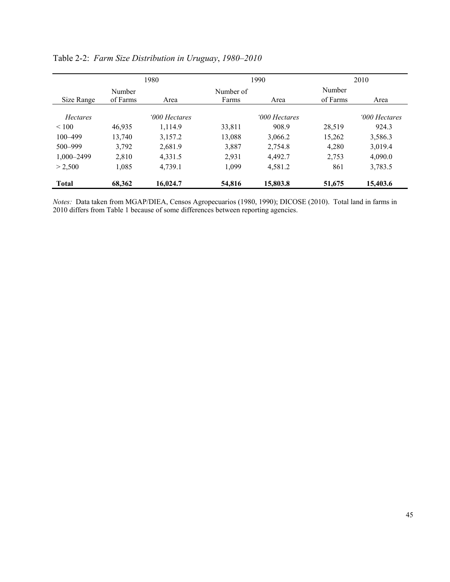|                 | 1980     |               |           | 1990          | 2010     |               |  |
|-----------------|----------|---------------|-----------|---------------|----------|---------------|--|
|                 | Number   |               | Number of |               | Number   |               |  |
| Size Range      | of Farms | Area          | Farms     | Area          | of Farms | Area          |  |
| <b>Hectares</b> |          | '000 Hectares |           | '000 Hectares |          | '000 Hectares |  |
| < 100           | 46.935   | 1.114.9       | 33,811    | 908.9         | 28.519   | 924.3         |  |
| $100 - 499$     | 13,740   | 3,157.2       | 13,088    | 3,066.2       | 15,262   | 3,586.3       |  |
| $500 - 999$     | 3,792    | 2,681.9       | 3,887     | 2,754.8       | 4.280    | 3,019.4       |  |
| 1,000-2499      | 2,810    | 4,331.5       | 2,931     | 4,492.7       | 2,753    | 4,090.0       |  |
| > 2.500         | 1,085    | 4,739.1       | 1,099     | 4,581.2       | 861      | 3,783.5       |  |
| <b>Total</b>    | 68,362   | 16,024.7      | 54,816    | 15,803.8      | 51,675   | 15,403.6      |  |

| Table 2-2: Farm Size Distribution in Uruguay, 1980-2010 |  |  |  |  |  |
|---------------------------------------------------------|--|--|--|--|--|
|---------------------------------------------------------|--|--|--|--|--|

*Notes:* Data taken from MGAP/DIEA, Censos Agropecuarios (1980, 1990); DICOSE (2010). Total land in farms in 2010 differs from Table 1 because of some differences between reporting agencies.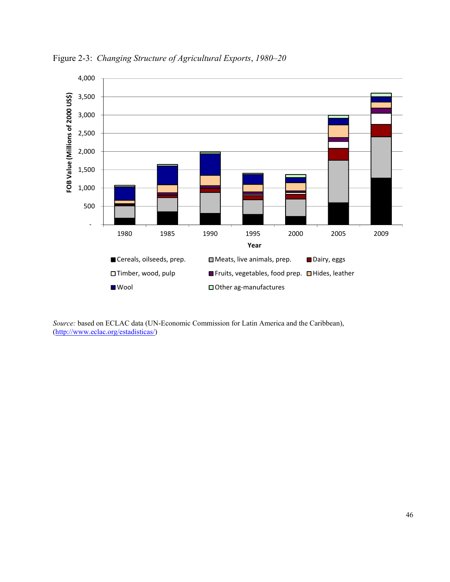

Figure 2-3: *Changing Structure of Agricultural Exports*, *1980–20*

*Source:* based on ECLAC data (UN-Economic Commission for Latin America and the Caribbean), (http://www.eclac.org/estadisticas/)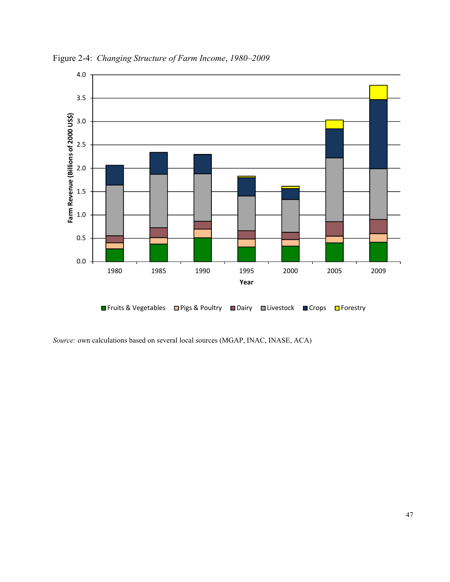

Figure 2-4: *Changing Structure of Farm Income*, *1980–2009*

*Source:* own calculations based on several local sources (MGAP, INAC, INASE, ACA)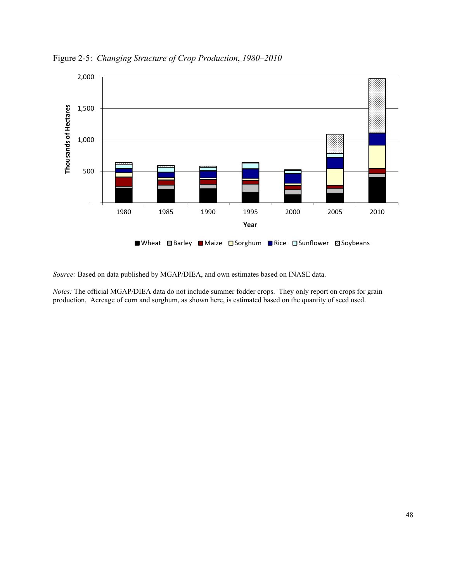

Figure 2-5: *Changing Structure of Crop Production*, *1980–2010*

*Source:* Based on data published by MGAP/DIEA, and own estimates based on INASE data.

*Notes:* The official MGAP/DIEA data do not include summer fodder crops. They only report on crops for grain production. Acreage of corn and sorghum, as shown here, is estimated based on the quantity of seed used.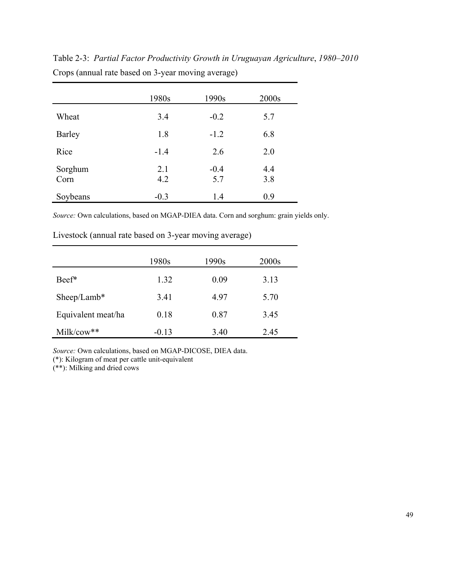|                 | 1980s      | 1990s         | 2000s      |
|-----------------|------------|---------------|------------|
| Wheat           | 3.4        | $-0.2$        | 5.7        |
| <b>Barley</b>   | 1.8        | $-1.2$        | 6.8        |
| Rice            | $-1.4$     | 2.6           | 2.0        |
| Sorghum<br>Corn | 2.1<br>4.2 | $-0.4$<br>5.7 | 4.4<br>3.8 |
| Soybeans        | $-0.3$     | 1.4           | 0.9        |

Table 2-3: *Partial Factor Productivity Growth in Uruguayan Agriculture*, *1980–2010*  Crops (annual rate based on 3-year moving average)

*Source:* Own calculations, based on MGAP-DIEA data. Corn and sorghum: grain yields only.

|                    | 1980s   | 1990s | 2000s |
|--------------------|---------|-------|-------|
| Beef*              | 1.32    | 0.09  | 3.13  |
| $Sheep/Lamb*$      | 3.41    | 4.97  | 5.70  |
| Equivalent meat/ha | 0.18    | 0.87  | 3.45  |
| Milk/cow**         | $-0.13$ | 3.40  | 2.45  |

Livestock (annual rate based on 3-year moving average)

*Source:* Own calculations, based on MGAP-DICOSE, DIEA data.

(\*): Kilogram of meat per cattle unit-equivalent

(\*\*): Milking and dried cows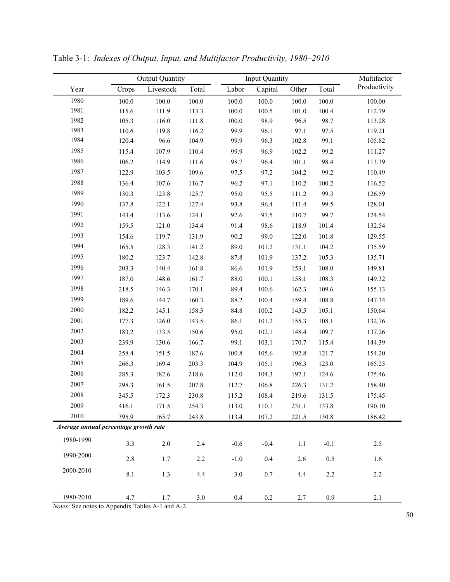|                                       |         | <b>Output Quantity</b>                                                                |         |        | <b>Input Quantity</b> |         |         | Multifactor  |  |
|---------------------------------------|---------|---------------------------------------------------------------------------------------|---------|--------|-----------------------|---------|---------|--------------|--|
| Year                                  | Crops   | Livestock                                                                             | Total   | Labor  | Capital               | Other   | Total   | Productivity |  |
| 1980                                  | 100.0   | 100.0                                                                                 | 100.0   | 100.0  | 100.0                 | 100.0   | 100.0   | 100.00       |  |
| 1981                                  | 115.6   | 111.9                                                                                 | 113.3   | 100.0  | 100.5                 | 101.0   | 100.4   | 112.79       |  |
| 1982                                  | 105.3   | 116.0                                                                                 | 111.8   | 100.0  | 98.9                  | 96.5    | 98.7    | 113.28       |  |
| 1983                                  | 110.6   | 119.8                                                                                 | 116.2   | 99.9   | 96.1                  | 97.1    | 97.5    | 119.21       |  |
| 1984                                  | 120.4   | 96.6                                                                                  | 104.9   | 99.9   | 96.3                  | 102.8   | 99.1    | 105.82       |  |
| 1985                                  | 115.4   | 107.9                                                                                 | 110.4   | 99.9   | 96.9                  | 102.2   | 99.2    | 111.27       |  |
| 1986                                  | 106.2   | 114.9                                                                                 | 111.6   | 98.7   | 96.4                  | 101.1   | 98.4    | 113.39       |  |
| 1987                                  | 122.9   | 103.5                                                                                 | 109.6   | 97.5   | 97.2                  | 104.2   | 99.2    | 110.49       |  |
| 1988                                  | 136.4   | 107.6                                                                                 | 116.7   | 96.2   | 97.1                  | 110.2   | 100.2   | 116.52       |  |
| 1989                                  | 130.3   | 123.8                                                                                 | 125.7   | 95.0   | 95.5                  | 111.2   | 99.3    | 126.59       |  |
| 1990                                  | 137.8   | 122.1                                                                                 | 127.4   | 93.8   | 96.4                  | 111.4   | 99.5    | 128.01       |  |
| 1991                                  | 143.4   | 113.6                                                                                 | 124.1   | 92.6   | 97.5                  | 110.7   | 99.7    | 124.54       |  |
| 1992                                  | 159.5   | 121.0                                                                                 | 134.4   | 91.4   | 98.6                  | 118.9   | 101.4   | 132.54       |  |
| 1993                                  | 154.6   | 119.7                                                                                 | 131.9   | 90.2   | 99.0                  | 122.0   | 101.8   | 129.55       |  |
| 1994                                  | 165.5   | 128.3                                                                                 | 141.2   | 89.0   | 101.2                 | 131.1   | 104.2   | 135.59       |  |
| 1995                                  | 180.2   | 123.7                                                                                 | 142.8   | 87.8   | 101.9                 | 137.2   | 105.3   | 135.71       |  |
| 1996                                  | 203.3   | 140.4                                                                                 | 161.8   | 86.6   | 101.9                 | 153.1   | 108.0   | 149.81       |  |
| 1997                                  | 187.0   | 148.6                                                                                 | 161.7   | 88.0   | 100.1                 | 158.1   | 108.3   | 149.32       |  |
| 1998                                  | 218.5   | 146.3                                                                                 | 170.1   | 89.4   | 100.6                 | 162.3   | 109.6   | 155.13       |  |
| 1999                                  | 189.6   | 144.7                                                                                 | 160.3   | 88.2   | 100.4                 | 159.4   | 108.8   | 147.34       |  |
| 2000                                  | 182.2   | 145.1                                                                                 | 158.3   | 84.8   | 100.2                 | 143.5   | 105.1   | 150.64       |  |
| 2001                                  | 177.3   | 126.0                                                                                 | 143.5   | 86.1   | 101.2                 | 155.3   | 108.1   | 132.76       |  |
| 2002                                  | 183.2   | 133.5                                                                                 | 150.6   | 95.0   | 102.1                 | 148.4   | 109.7   | 137.26       |  |
| 2003                                  | 239.9   | 130.6                                                                                 | 166.7   | 99.1   | 103.1                 | 170.7   | 115.4   | 144.39       |  |
| 2004                                  | 258.4   | 151.5                                                                                 | 187.6   | 100.8  | 105.6                 | 192.8   | 121.7   | 154.20       |  |
| 2005                                  | 266.3   | 169.4                                                                                 | 203.3   | 104.9  | 105.1                 | 196.3   | 123.0   | 165.25       |  |
| 2006                                  | 285.3   | 182.6                                                                                 | 218.6   | 112.0  | 104.3                 | 197.1   | 124.6   | 175.46       |  |
| 2007                                  | 298.3   | 161.5                                                                                 | 207.8   | 112.7  | 106.8                 | 226.3   | 131.2   | 158.40       |  |
| 2008                                  | 345.5   | 172.3                                                                                 | 230.8   | 115.2  | 108.4                 | 219.6   | 131.5   | 175.45       |  |
| 2009                                  | 416.1   | 171.5                                                                                 | 254.3   | 113.0  | 110.1                 | 231.1   | 133.8   | 190.10       |  |
| 2010                                  | 395.9   | 165.7                                                                                 | 243.8   | 113.4  | 107.2                 | 221.5   | 130.8   | 186.42       |  |
| Average annual percentage growth rate |         |                                                                                       |         |        |                       |         |         |              |  |
| 1980-1990                             | 3.3     | $2.0\,$                                                                               | 2.4     | $-0.6$ | $-0.4$                | $1.1\,$ | $-0.1$  | $2.5$        |  |
| 1990-2000                             | 2.8     | 1.7                                                                                   | 2.2     | $-1.0$ | 0.4                   | 2.6     | $0.5\,$ | 1.6          |  |
| 2000-2010                             | $8.1\,$ | 1.3                                                                                   | 4.4     | 3.0    | $0.7\,$               | 4.4     | 2.2     | 2.2          |  |
| 1980-2010                             | 4.7     | 1.7<br>$N \cdot \cos \theta$ See notes to Appendix Tables $\Lambda_1$ and $\Lambda_2$ | $3.0\,$ | 0.4    | $0.2\,$               | 2.7     | $0.9\,$ | 2.1          |  |

Table 3-1: *Indexes of Output, Input, and Multifactor Productivity, 1980–2010* 

*Notes:* See notes to Appendix Tables A-1 and A-2.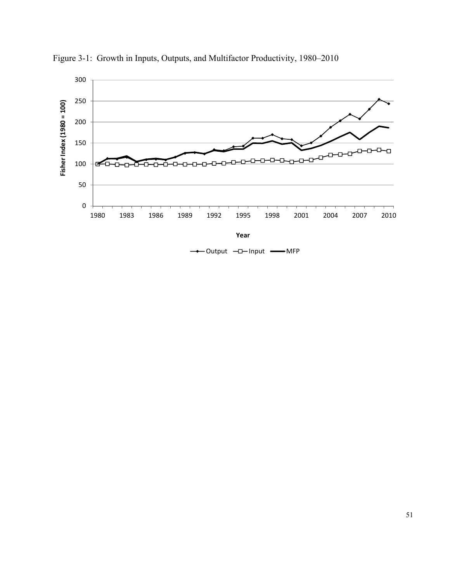

Figure 3-1: Growth in Inputs, Outputs, and Multifactor Productivity, 1980–2010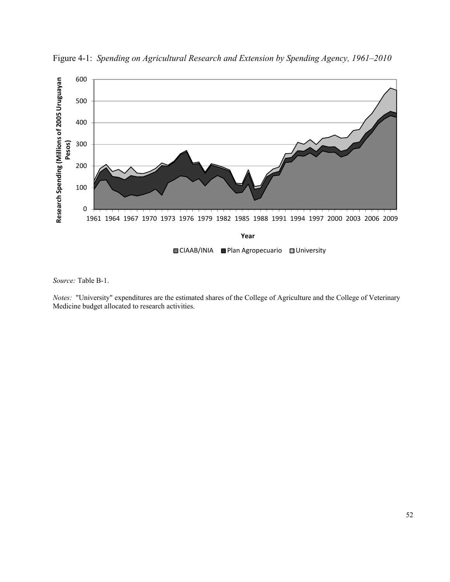

Figure 4-1:*Spending on Agricultural Research and Extension by Spending Agency, 1961–2010*

*Source:* Table B-1.

*Notes:* "University" expenditures are the estimated shares of the College of Agriculture and the College of Veterinary Medicine budget allocated to research activities.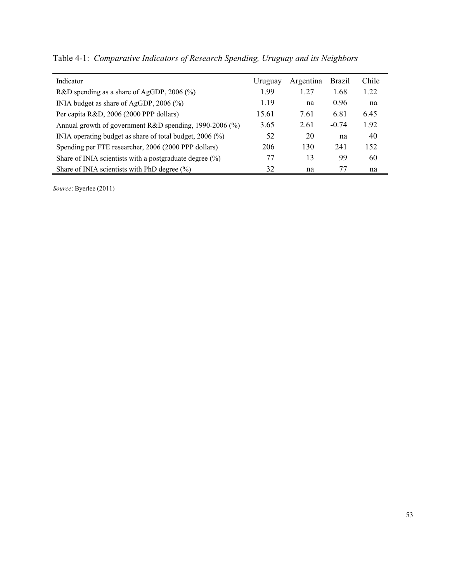| Indicator                                                  | Uruguay | Argentina | <b>Brazil</b> | Chile |  |
|------------------------------------------------------------|---------|-----------|---------------|-------|--|
| R&D spending as a share of AgGDP, $2006$ (%)               | 1.99    | 1.27      | 1.68          | 1.22  |  |
| INIA budget as share of AgGDP, $2006$ (%)                  | 1.19    | na        | 0.96          | na    |  |
| Per capita R&D, 2006 (2000 PPP dollars)                    | 15.61   | 7.61      | 6.81          | 6.45  |  |
| Annual growth of government R&D spending, 1990-2006 (%)    | 3.65    | 2.61      | $-0.74$       | 1.92  |  |
| INIA operating budget as share of total budget, 2006 (%)   | 52      | 20        | na            | 40    |  |
| Spending per FTE researcher, 2006 (2000 PPP dollars)       | 206     | 130       | 241           | 152   |  |
| Share of INIA scientists with a postgraduate degree $(\%)$ | 77      | 13        | 99            | 60    |  |
| Share of INIA scientists with PhD degree $(\% )$           | 32      | na        | 77            | na    |  |

Table 4-1:*Comparative Indicators of Research Spending, Uruguay and its Neighbors* 

*Source*: Byerlee (2011)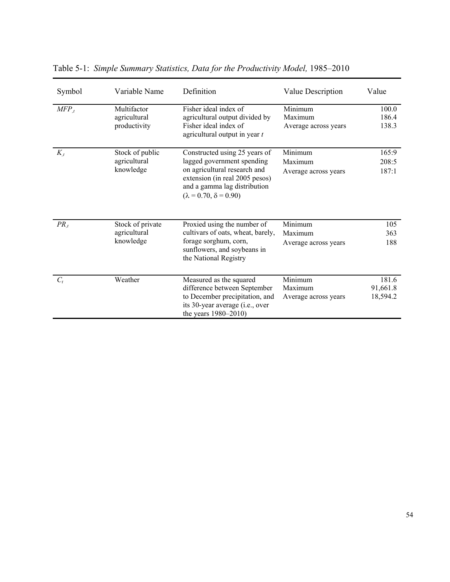| Symbol    | Variable Name    | Definition                                                                                                                          | Value Description    | Value    |
|-----------|------------------|-------------------------------------------------------------------------------------------------------------------------------------|----------------------|----------|
| $MFP_{t}$ | Multifactor      | Fisher ideal index of                                                                                                               | Minimum              | 100.0    |
|           | agricultural     | agricultural output divided by                                                                                                      | Maximum              | 186.4    |
|           | productivity     | Fisher ideal index of<br>agricultural output in year $t$                                                                            | Average across years | 138.3    |
| $K_{t}$   | Stock of public  | Constructed using 25 years of                                                                                                       | Minimum              | 165:9    |
|           | agricultural     | lagged government spending                                                                                                          | Maximum              | 208:5    |
|           | knowledge        | on agricultural research and<br>extension (in real 2005 pesos)<br>and a gamma lag distribution<br>$(\lambda = 0.70, \delta = 0.90)$ | Average across years | 187:1    |
| $PR_{,t}$ | Stock of private | Proxied using the number of                                                                                                         | Minimum              | 105      |
|           | agricultural     | cultivars of oats, wheat, barely,                                                                                                   | Maximum              | 363      |
|           | knowledge        | forage sorghum, corn,<br>sunflowers, and soybeans in<br>the National Registry                                                       | Average across years | 188      |
| $C_t$     | Weather          | Measured as the squared                                                                                                             | Minimum              | 181.6    |
|           |                  | difference between September                                                                                                        | Maximum              | 91,661.8 |
|           |                  | to December precipitation, and                                                                                                      | Average across years | 18,594.2 |
|           |                  | its 30-year average (i.e., over<br>the years 1980-2010)                                                                             |                      |          |

Table 5-1: *Simple Summary Statistics, Data for the Productivity Model,* 1985–2010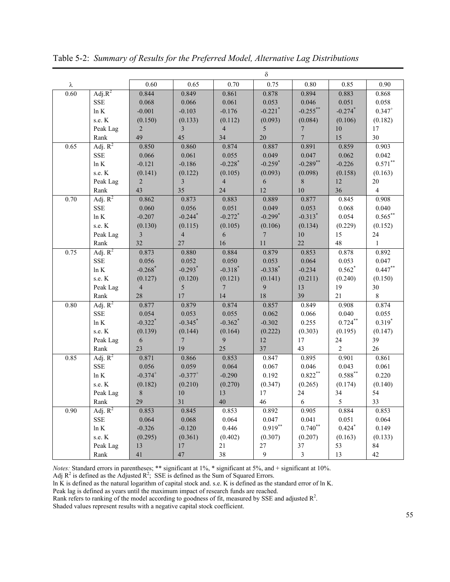|      |             |                       |                       |                       | $\delta$              |                |                |                    |
|------|-------------|-----------------------|-----------------------|-----------------------|-----------------------|----------------|----------------|--------------------|
| λ    |             | 0.60                  | 0.65                  | 0.70                  | 0.75                  | $0.80\,$       | 0.85           | 0.90               |
| 0.60 | Adj. $R^2$  | 0.844                 | 0.849                 | 0.861                 | 0.878                 | 0.894          | 0.883          | 0.868              |
|      | ${\rm SSE}$ | 0.068                 | 0.066                 | 0.061                 | 0.053                 | 0.046          | 0.051          | 0.058              |
|      | $\ln K$     | $-0.001$              | $-0.103$              | $-0.176$              | $-0.221$ <sup>*</sup> | $-0.255***$    | $-0.274$ *     | $0.347^{+}$        |
|      | s.e. K      | (0.150)               | (0.133)               | (0.112)               | (0.093)               | (0.084)        | (0.106)        | (0.182)            |
|      | Peak Lag    | $\sqrt{2}$            | $\overline{3}$        | $\overline{4}$        | 5                     | $\overline{7}$ | $10\,$         | 17                 |
|      | Rank        | 49                    | 45                    | 34                    | 20                    | $\overline{7}$ | 15             | 30                 |
| 0.65 | Adj. $R^2$  | 0.850                 | 0.860                 | 0.874                 | 0.887                 | 0.891          | 0.859          | 0.903              |
|      | <b>SSE</b>  | 0.066                 | 0.061                 | 0.055                 | 0.049                 | 0.047          | 0.062          | 0.042              |
|      | $\ln K$     | $-0.121$              | $-0.186$              | $-0.228$ <sup>*</sup> | $-0.259$ <sup>*</sup> | $-0.289$ **    | $-0.226$       | $0.571^{\ast\ast}$ |
|      | s.e. K      | (0.141)               | (0.122)               | (0.105)               | (0.093)               | (0.098)        | (0.158)        | (0.163)            |
|      | Peak Lag    | $\sqrt{2}$            | $\mathfrak{Z}$        | $\overline{4}$        | 6                     | $\,$ 8 $\,$    | $12\,$         | $20\,$             |
|      | Rank        | 43                    | 35                    | 24                    | 12                    | $10\,$         | 36             | $\overline{4}$     |
| 0.70 | Adj. $R^2$  | 0.862                 | 0.873                 | 0.883                 | 0.889                 | 0.877          | 0.845          | 0.908              |
|      | <b>SSE</b>  | 0.060                 | 0.056                 | 0.051                 | 0.049                 | 0.053          | 0.068          | 0.040              |
|      | $\ln K$     | $-0.207$              | $-0.244$ <sup>*</sup> | $-0.272$ <sup>*</sup> | $-0.299*$             | $-0.313*$      | 0.054          | $0.565^{**}$       |
|      | s.e. K      | (0.130)               | (0.115)               | (0.105)               | (0.106)               | (0.134)        | (0.229)        | (0.152)            |
|      | Peak Lag    | $\mathfrak{Z}$        | $\overline{4}$        | $\sqrt{6}$            | $\overline{7}$        | $10\,$         | 15             | 24                 |
|      | Rank        | 32                    | 27                    | 16                    | 11                    | 22             | 48             | $\mathbf{1}$       |
| 0.75 | Adj. $R^2$  | 0.873                 | 0.880                 | 0.884                 | 0.879                 | 0.853          | 0.878          | 0.892              |
|      | <b>SSE</b>  | 0.056                 | 0.052                 | 0.050                 | 0.053                 | 0.064          | 0.053          | 0.047              |
|      | $\ln K$     | $-0.268$ <sup>*</sup> | $-0.293$ <sup>*</sup> | $-0.318$ <sup>*</sup> | $-0.338$ *            | $-0.234$       | $0.562*$       | $0.447**$          |
|      | s.e. K      | (0.127)               | (0.120)               | (0.121)               | (0.141)               | (0.211)        | (0.240)        | (0.150)            |
|      | Peak Lag    | $\overline{4}$        | $\sqrt{5}$            | $\boldsymbol{7}$      | 9                     | 13             | 19             | 30                 |
|      | Rank        | 28                    | 17                    | 14                    | 18                    | 39             | 21             | $8\,$              |
| 0.80 | Adj. $R^2$  | 0.877                 | 0.879                 | 0.874                 | 0.857                 | 0.849          | 0.908          | 0.874              |
|      | ${\rm SSE}$ | 0.054                 | 0.053                 | 0.055                 | 0.062                 | 0.066          | 0.040          | 0.055              |
|      | $\ln K$     | $-0.322$ <sup>*</sup> | $-0.345$ *            | $-0.362$ *            | $-0.302$              | 0.255          | $0.724***$     | $0.319*$           |
|      | s.e. K      | (0.139)               | (0.144)               | (0.164)               | (0.222)               | (0.303)        | (0.195)        | (0.147)            |
|      | Peak Lag    | $\sqrt{6}$            | $\overline{7}$        | 9                     | $12\,$                | 17             | $24\,$         | 39                 |
|      | Rank        | 23                    | 19                    | 25                    | 37                    | 43             | $\overline{2}$ | 26                 |
| 0.85 | Adj. $R^2$  | 0.871                 | 0.866                 | 0.853                 | 0.847                 | 0.895          | 0.901          | 0.861              |
|      | <b>SSE</b>  | 0.056                 | 0.059                 | 0.064                 | 0.067                 | 0.046          | 0.043          | 0.061              |
|      | $\ln K$     | $-0.374^{+}$          | $-0.377$ <sup>+</sup> | $-0.290$              | 0.192                 | $0.822***$     | $0.588^{**}$   | 0.220              |
|      | s.e. K      | (0.182)               | (0.210)               | (0.270)               | (0.347)               | (0.265)        | (0.174)        | (0.140)            |
|      | Peak Lag    | $\,8\,$               | $10\,$                | 13                    | $17\,$                | $24\,$         | 34             | 54                 |
|      | Rank        | 29                    | 31                    | 40                    | 46                    | 6              | 5 <sup>5</sup> | 33                 |
| 0.90 | Adj. $R^2$  | 0.853                 | 0.845                 | 0.853                 | 0.892                 | 0.905          | 0.884          | 0.853              |
|      | SSE         | 0.064                 | 0.068                 | 0.064                 | 0.047                 | 0.041          | 0.051          | 0.064              |
|      | ln K        | $-0.326$              | $-0.120$              | 0.446                 | $0.919***$            | $0.740**$      | $0.424*$       | 0.149              |
|      | s.e. $K$    | (0.295)               | (0.361)               | (0.402)               | (0.307)               | (0.207)        | (0.163)        | (0.133)            |
|      | Peak Lag    | 13                    | $17\,$                | 21                    | 27                    | 37             | 53             | 84                 |
|      | Rank        | 41                    | 47                    | 38                    | 9                     | $\mathfrak{Z}$ | 13             | 42                 |

Table 5-2: *Summary of Results for the Preferred Model, Alternative Lag Distributions* 

*Notes:* Standard errors in parentheses; \*\* significant at 1%, \* significant at 5%, and + significant at 10%.

Adj  $R^2$  is defined as the Adjusted  $R^2$ ; SSE is defined as the Sum of Squared Errors.

ln K is defined as the natural logarithm of capital stock and. s.e. K is defined as the standard error of ln K.

Peak lag is defined as years until the maximum impact of research funds are reached.

Rank refers to ranking of the model according to goodness of fit, measured by SSE and adjusted  $\mathbb{R}^2$ .

Shaded values represent results with a negative capital stock coefficient.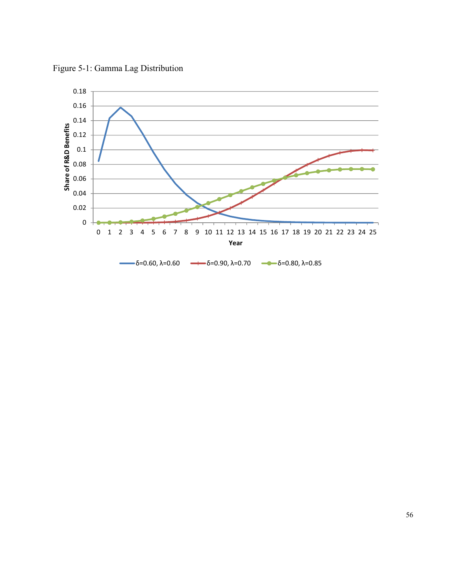

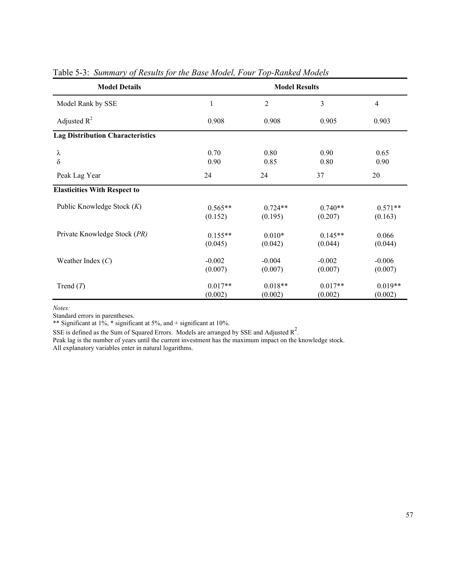| <b>Model Details</b>                    | <b>Model Results</b> |                      |                      |                      |  |  |  |
|-----------------------------------------|----------------------|----------------------|----------------------|----------------------|--|--|--|
| Model Rank by SSE                       | $\mathbf{1}$         | $\overline{2}$       | 3                    | $\overline{4}$       |  |  |  |
| Adjusted $R^2$                          | 0.908                | 0.908                | 0.905                | 0.903                |  |  |  |
| <b>Lag Distribution Characteristics</b> |                      |                      |                      |                      |  |  |  |
| λ<br>$\delta$                           | 0.70<br>0.90         | 0.80<br>0.85         | 0.90<br>0.80         | 0.65<br>0.90         |  |  |  |
| Peak Lag Year                           | 24                   | 24                   | 37                   | 20                   |  |  |  |
| <b>Elasticities With Respect to</b>     |                      |                      |                      |                      |  |  |  |
| Public Knowledge Stock $(K)$            | $0.565**$<br>(0.152) | $0.724**$<br>(0.195) | $0.740**$<br>(0.207) | $0.571**$<br>(0.163) |  |  |  |
| Private Knowledge Stock (PR)            | $0.155**$<br>(0.045) | $0.010*$<br>(0.042)  | $0.145**$<br>(0.044) | 0.066<br>(0.044)     |  |  |  |
| Weather Index $(C)$                     | $-0.002$<br>(0.007)  | $-0.004$<br>(0.007)  | $-0.002$<br>(0.007)  | $-0.006$<br>(0.007)  |  |  |  |
| Trend $(T)$                             | $0.017**$<br>(0.002) | $0.018**$<br>(0.002) | $0.017**$<br>(0.002) | $0.019**$<br>(0.002) |  |  |  |

Table 5-3: *Summary of Results for the Base Model, Four Top-Ranked Models* 

*Notes:* 

Standard errors in parentheses.

\*\* Significant at  $1\%$ , \* significant at 5%, and + significant at 10%.

SSE is defined as the Sum of Squared Errors. Models are arranged by SSE and Adjusted  $R^2$ .

Peak lag is the number of years until the current investment has the maximum impact on the knowledge stock. All explanatory variables enter in natural logarithms.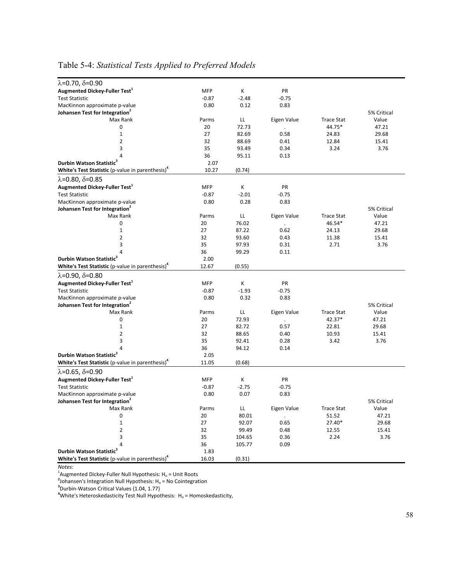| <b>MFP</b><br>К<br>PR<br><b>Test Statistic</b><br>$-0.87$<br>$-2.48$<br>$-0.75$<br>MacKinnon approximate p-value<br>0.80<br>0.12<br>0.83<br>5% Critical<br>Max Rank<br>LL<br>Eigen Value<br><b>Trace Stat</b><br>Value<br>Parms<br>44.75*<br>0<br>20<br>72.73<br>47.21<br>$\cdot$<br>$\mathbf{1}$<br>27<br>82.69<br>0.58<br>24.83<br>29.68<br>$\overline{2}$<br>32<br>88.69<br>12.84<br>0.41<br>15.41<br>3<br>35<br>93.49<br>0.34<br>3.24<br>3.76<br>36<br>95.11<br>4<br>0.13<br>Durbin Watson Statistic <sup>3</sup><br>2.07<br>White's Test Statistic (p-value in parenthesis) <sup>4</sup><br>10.27<br>(0.74)<br>$\lambda$ =0.80, $\delta$ =0.85<br>Augmented Dickey-Fuller Test <sup>1</sup><br><b>MFP</b><br>Κ<br>PR<br>$-2.01$<br><b>Test Statistic</b><br>$-0.87$<br>$-0.75$<br>MacKinnon approximate p-value<br>0.80<br>0.28<br>0.83<br>Johansen Test for Integration <sup>2</sup><br>5% Critical<br>LL<br>Eigen Value<br><b>Trace Stat</b><br>Value<br>Max Rank<br>Parms<br>0<br>20<br>76.02<br>46.54*<br>47.21<br>$\mathbf{1}$<br>27<br>87.22<br>24.13<br>29.68<br>0.62<br>2<br>32<br>93.60<br>11.38<br>0.43<br>15.41<br>3<br>35<br>97.93<br>0.31<br>2.71<br>3.76<br>36<br>99.29<br>0.11<br>Durbin Watson Statistic <sup>®</sup><br>2.00<br>(0.55)<br>12.67<br>$\lambda = 0.90, \delta = 0.80$<br>Augmented Dickey-Fuller Test <sup>1</sup><br><b>MFP</b><br>Κ<br>PR<br>$-1.93$<br><b>Test Statistic</b><br>$-0.87$<br>$-0.75$<br>0.32<br>0.80<br>0.83<br>MacKinnon approximate p-value<br>Johansen Test for Integration <sup>2</sup><br>5% Critical<br>Max Rank<br>Eigen Value<br>Parms<br>LL<br><b>Trace Stat</b><br>Value<br>0<br>20<br>72.93<br>42.37*<br>47.21<br>$\ddot{\phantom{0}}$<br>$1\,$<br>27<br>82.72<br>0.57<br>22.81<br>29.68<br>$\overline{2}$<br>32<br>88.65<br>10.93<br>0.40<br>15.41<br>3<br>35<br>3.42<br>3.76<br>92.41<br>0.28<br>36<br>0.14<br>94.12<br>Durbin Watson Statistic <sup>3</sup><br>2.05<br>White's Test Statistic (p-value in parenthesis) <sup>4</sup><br>(0.68)<br>11.05<br>$\lambda = 0.65, \delta = 0.90$<br>Augmented Dickey-Fuller Test <sup>1</sup><br><b>MFP</b><br>Κ<br>PR<br>$-2.75$<br><b>Test Statistic</b><br>$-0.87$<br>$-0.75$<br>0.80<br>0.07<br>0.83<br>MacKinnon approximate p-value<br>Johansen Test for Integration <sup>2</sup><br>5% Critical<br>Max Rank<br>LL<br>Eigen Value<br><b>Trace Stat</b><br>Value<br>Parms<br>51.52<br>0<br>20<br>80.01<br>47.21<br>92.07<br>0.65<br>27.40*<br>29.68<br>$1\,$<br>27<br>2<br>32<br>99.49<br>0.48<br>12.55<br>15.41<br>35<br>3.76<br>104.65<br>0.36<br>2.24<br>3<br>36<br>105.77<br>0.09 |                                                              |      |  |  |
|-------------------------------------------------------------------------------------------------------------------------------------------------------------------------------------------------------------------------------------------------------------------------------------------------------------------------------------------------------------------------------------------------------------------------------------------------------------------------------------------------------------------------------------------------------------------------------------------------------------------------------------------------------------------------------------------------------------------------------------------------------------------------------------------------------------------------------------------------------------------------------------------------------------------------------------------------------------------------------------------------------------------------------------------------------------------------------------------------------------------------------------------------------------------------------------------------------------------------------------------------------------------------------------------------------------------------------------------------------------------------------------------------------------------------------------------------------------------------------------------------------------------------------------------------------------------------------------------------------------------------------------------------------------------------------------------------------------------------------------------------------------------------------------------------------------------------------------------------------------------------------------------------------------------------------------------------------------------------------------------------------------------------------------------------------------------------------------------------------------------------------------------------------------------------------------------------------------------------------------------------------------------------------------------------------------------------------------------------------------------------------------------------------------------------------------------------------------------------------------------------------------------------------------------------------------------------------------------------------|--------------------------------------------------------------|------|--|--|
|                                                                                                                                                                                                                                                                                                                                                                                                                                                                                                                                                                                                                                                                                                                                                                                                                                                                                                                                                                                                                                                                                                                                                                                                                                                                                                                                                                                                                                                                                                                                                                                                                                                                                                                                                                                                                                                                                                                                                                                                                                                                                                                                                                                                                                                                                                                                                                                                                                                                                                                                                                                                       | $\lambda = 0.70, \delta = 0.90$                              |      |  |  |
|                                                                                                                                                                                                                                                                                                                                                                                                                                                                                                                                                                                                                                                                                                                                                                                                                                                                                                                                                                                                                                                                                                                                                                                                                                                                                                                                                                                                                                                                                                                                                                                                                                                                                                                                                                                                                                                                                                                                                                                                                                                                                                                                                                                                                                                                                                                                                                                                                                                                                                                                                                                                       | Augmented Dickey-Fuller Test <sup>1</sup>                    |      |  |  |
|                                                                                                                                                                                                                                                                                                                                                                                                                                                                                                                                                                                                                                                                                                                                                                                                                                                                                                                                                                                                                                                                                                                                                                                                                                                                                                                                                                                                                                                                                                                                                                                                                                                                                                                                                                                                                                                                                                                                                                                                                                                                                                                                                                                                                                                                                                                                                                                                                                                                                                                                                                                                       |                                                              |      |  |  |
|                                                                                                                                                                                                                                                                                                                                                                                                                                                                                                                                                                                                                                                                                                                                                                                                                                                                                                                                                                                                                                                                                                                                                                                                                                                                                                                                                                                                                                                                                                                                                                                                                                                                                                                                                                                                                                                                                                                                                                                                                                                                                                                                                                                                                                                                                                                                                                                                                                                                                                                                                                                                       |                                                              |      |  |  |
|                                                                                                                                                                                                                                                                                                                                                                                                                                                                                                                                                                                                                                                                                                                                                                                                                                                                                                                                                                                                                                                                                                                                                                                                                                                                                                                                                                                                                                                                                                                                                                                                                                                                                                                                                                                                                                                                                                                                                                                                                                                                                                                                                                                                                                                                                                                                                                                                                                                                                                                                                                                                       | Johansen Test for Integration <sup>2</sup>                   |      |  |  |
|                                                                                                                                                                                                                                                                                                                                                                                                                                                                                                                                                                                                                                                                                                                                                                                                                                                                                                                                                                                                                                                                                                                                                                                                                                                                                                                                                                                                                                                                                                                                                                                                                                                                                                                                                                                                                                                                                                                                                                                                                                                                                                                                                                                                                                                                                                                                                                                                                                                                                                                                                                                                       |                                                              |      |  |  |
|                                                                                                                                                                                                                                                                                                                                                                                                                                                                                                                                                                                                                                                                                                                                                                                                                                                                                                                                                                                                                                                                                                                                                                                                                                                                                                                                                                                                                                                                                                                                                                                                                                                                                                                                                                                                                                                                                                                                                                                                                                                                                                                                                                                                                                                                                                                                                                                                                                                                                                                                                                                                       |                                                              |      |  |  |
|                                                                                                                                                                                                                                                                                                                                                                                                                                                                                                                                                                                                                                                                                                                                                                                                                                                                                                                                                                                                                                                                                                                                                                                                                                                                                                                                                                                                                                                                                                                                                                                                                                                                                                                                                                                                                                                                                                                                                                                                                                                                                                                                                                                                                                                                                                                                                                                                                                                                                                                                                                                                       |                                                              |      |  |  |
|                                                                                                                                                                                                                                                                                                                                                                                                                                                                                                                                                                                                                                                                                                                                                                                                                                                                                                                                                                                                                                                                                                                                                                                                                                                                                                                                                                                                                                                                                                                                                                                                                                                                                                                                                                                                                                                                                                                                                                                                                                                                                                                                                                                                                                                                                                                                                                                                                                                                                                                                                                                                       |                                                              |      |  |  |
|                                                                                                                                                                                                                                                                                                                                                                                                                                                                                                                                                                                                                                                                                                                                                                                                                                                                                                                                                                                                                                                                                                                                                                                                                                                                                                                                                                                                                                                                                                                                                                                                                                                                                                                                                                                                                                                                                                                                                                                                                                                                                                                                                                                                                                                                                                                                                                                                                                                                                                                                                                                                       |                                                              |      |  |  |
|                                                                                                                                                                                                                                                                                                                                                                                                                                                                                                                                                                                                                                                                                                                                                                                                                                                                                                                                                                                                                                                                                                                                                                                                                                                                                                                                                                                                                                                                                                                                                                                                                                                                                                                                                                                                                                                                                                                                                                                                                                                                                                                                                                                                                                                                                                                                                                                                                                                                                                                                                                                                       |                                                              |      |  |  |
|                                                                                                                                                                                                                                                                                                                                                                                                                                                                                                                                                                                                                                                                                                                                                                                                                                                                                                                                                                                                                                                                                                                                                                                                                                                                                                                                                                                                                                                                                                                                                                                                                                                                                                                                                                                                                                                                                                                                                                                                                                                                                                                                                                                                                                                                                                                                                                                                                                                                                                                                                                                                       |                                                              |      |  |  |
|                                                                                                                                                                                                                                                                                                                                                                                                                                                                                                                                                                                                                                                                                                                                                                                                                                                                                                                                                                                                                                                                                                                                                                                                                                                                                                                                                                                                                                                                                                                                                                                                                                                                                                                                                                                                                                                                                                                                                                                                                                                                                                                                                                                                                                                                                                                                                                                                                                                                                                                                                                                                       |                                                              |      |  |  |
|                                                                                                                                                                                                                                                                                                                                                                                                                                                                                                                                                                                                                                                                                                                                                                                                                                                                                                                                                                                                                                                                                                                                                                                                                                                                                                                                                                                                                                                                                                                                                                                                                                                                                                                                                                                                                                                                                                                                                                                                                                                                                                                                                                                                                                                                                                                                                                                                                                                                                                                                                                                                       |                                                              |      |  |  |
|                                                                                                                                                                                                                                                                                                                                                                                                                                                                                                                                                                                                                                                                                                                                                                                                                                                                                                                                                                                                                                                                                                                                                                                                                                                                                                                                                                                                                                                                                                                                                                                                                                                                                                                                                                                                                                                                                                                                                                                                                                                                                                                                                                                                                                                                                                                                                                                                                                                                                                                                                                                                       |                                                              |      |  |  |
|                                                                                                                                                                                                                                                                                                                                                                                                                                                                                                                                                                                                                                                                                                                                                                                                                                                                                                                                                                                                                                                                                                                                                                                                                                                                                                                                                                                                                                                                                                                                                                                                                                                                                                                                                                                                                                                                                                                                                                                                                                                                                                                                                                                                                                                                                                                                                                                                                                                                                                                                                                                                       |                                                              |      |  |  |
|                                                                                                                                                                                                                                                                                                                                                                                                                                                                                                                                                                                                                                                                                                                                                                                                                                                                                                                                                                                                                                                                                                                                                                                                                                                                                                                                                                                                                                                                                                                                                                                                                                                                                                                                                                                                                                                                                                                                                                                                                                                                                                                                                                                                                                                                                                                                                                                                                                                                                                                                                                                                       |                                                              |      |  |  |
|                                                                                                                                                                                                                                                                                                                                                                                                                                                                                                                                                                                                                                                                                                                                                                                                                                                                                                                                                                                                                                                                                                                                                                                                                                                                                                                                                                                                                                                                                                                                                                                                                                                                                                                                                                                                                                                                                                                                                                                                                                                                                                                                                                                                                                                                                                                                                                                                                                                                                                                                                                                                       |                                                              |      |  |  |
|                                                                                                                                                                                                                                                                                                                                                                                                                                                                                                                                                                                                                                                                                                                                                                                                                                                                                                                                                                                                                                                                                                                                                                                                                                                                                                                                                                                                                                                                                                                                                                                                                                                                                                                                                                                                                                                                                                                                                                                                                                                                                                                                                                                                                                                                                                                                                                                                                                                                                                                                                                                                       |                                                              |      |  |  |
|                                                                                                                                                                                                                                                                                                                                                                                                                                                                                                                                                                                                                                                                                                                                                                                                                                                                                                                                                                                                                                                                                                                                                                                                                                                                                                                                                                                                                                                                                                                                                                                                                                                                                                                                                                                                                                                                                                                                                                                                                                                                                                                                                                                                                                                                                                                                                                                                                                                                                                                                                                                                       |                                                              |      |  |  |
|                                                                                                                                                                                                                                                                                                                                                                                                                                                                                                                                                                                                                                                                                                                                                                                                                                                                                                                                                                                                                                                                                                                                                                                                                                                                                                                                                                                                                                                                                                                                                                                                                                                                                                                                                                                                                                                                                                                                                                                                                                                                                                                                                                                                                                                                                                                                                                                                                                                                                                                                                                                                       |                                                              |      |  |  |
|                                                                                                                                                                                                                                                                                                                                                                                                                                                                                                                                                                                                                                                                                                                                                                                                                                                                                                                                                                                                                                                                                                                                                                                                                                                                                                                                                                                                                                                                                                                                                                                                                                                                                                                                                                                                                                                                                                                                                                                                                                                                                                                                                                                                                                                                                                                                                                                                                                                                                                                                                                                                       |                                                              |      |  |  |
|                                                                                                                                                                                                                                                                                                                                                                                                                                                                                                                                                                                                                                                                                                                                                                                                                                                                                                                                                                                                                                                                                                                                                                                                                                                                                                                                                                                                                                                                                                                                                                                                                                                                                                                                                                                                                                                                                                                                                                                                                                                                                                                                                                                                                                                                                                                                                                                                                                                                                                                                                                                                       |                                                              |      |  |  |
|                                                                                                                                                                                                                                                                                                                                                                                                                                                                                                                                                                                                                                                                                                                                                                                                                                                                                                                                                                                                                                                                                                                                                                                                                                                                                                                                                                                                                                                                                                                                                                                                                                                                                                                                                                                                                                                                                                                                                                                                                                                                                                                                                                                                                                                                                                                                                                                                                                                                                                                                                                                                       |                                                              |      |  |  |
|                                                                                                                                                                                                                                                                                                                                                                                                                                                                                                                                                                                                                                                                                                                                                                                                                                                                                                                                                                                                                                                                                                                                                                                                                                                                                                                                                                                                                                                                                                                                                                                                                                                                                                                                                                                                                                                                                                                                                                                                                                                                                                                                                                                                                                                                                                                                                                                                                                                                                                                                                                                                       |                                                              |      |  |  |
|                                                                                                                                                                                                                                                                                                                                                                                                                                                                                                                                                                                                                                                                                                                                                                                                                                                                                                                                                                                                                                                                                                                                                                                                                                                                                                                                                                                                                                                                                                                                                                                                                                                                                                                                                                                                                                                                                                                                                                                                                                                                                                                                                                                                                                                                                                                                                                                                                                                                                                                                                                                                       | White's Test Statistic (p-value in parenthesis) <sup>4</sup> |      |  |  |
|                                                                                                                                                                                                                                                                                                                                                                                                                                                                                                                                                                                                                                                                                                                                                                                                                                                                                                                                                                                                                                                                                                                                                                                                                                                                                                                                                                                                                                                                                                                                                                                                                                                                                                                                                                                                                                                                                                                                                                                                                                                                                                                                                                                                                                                                                                                                                                                                                                                                                                                                                                                                       |                                                              |      |  |  |
|                                                                                                                                                                                                                                                                                                                                                                                                                                                                                                                                                                                                                                                                                                                                                                                                                                                                                                                                                                                                                                                                                                                                                                                                                                                                                                                                                                                                                                                                                                                                                                                                                                                                                                                                                                                                                                                                                                                                                                                                                                                                                                                                                                                                                                                                                                                                                                                                                                                                                                                                                                                                       |                                                              |      |  |  |
|                                                                                                                                                                                                                                                                                                                                                                                                                                                                                                                                                                                                                                                                                                                                                                                                                                                                                                                                                                                                                                                                                                                                                                                                                                                                                                                                                                                                                                                                                                                                                                                                                                                                                                                                                                                                                                                                                                                                                                                                                                                                                                                                                                                                                                                                                                                                                                                                                                                                                                                                                                                                       |                                                              |      |  |  |
|                                                                                                                                                                                                                                                                                                                                                                                                                                                                                                                                                                                                                                                                                                                                                                                                                                                                                                                                                                                                                                                                                                                                                                                                                                                                                                                                                                                                                                                                                                                                                                                                                                                                                                                                                                                                                                                                                                                                                                                                                                                                                                                                                                                                                                                                                                                                                                                                                                                                                                                                                                                                       |                                                              |      |  |  |
|                                                                                                                                                                                                                                                                                                                                                                                                                                                                                                                                                                                                                                                                                                                                                                                                                                                                                                                                                                                                                                                                                                                                                                                                                                                                                                                                                                                                                                                                                                                                                                                                                                                                                                                                                                                                                                                                                                                                                                                                                                                                                                                                                                                                                                                                                                                                                                                                                                                                                                                                                                                                       |                                                              |      |  |  |
|                                                                                                                                                                                                                                                                                                                                                                                                                                                                                                                                                                                                                                                                                                                                                                                                                                                                                                                                                                                                                                                                                                                                                                                                                                                                                                                                                                                                                                                                                                                                                                                                                                                                                                                                                                                                                                                                                                                                                                                                                                                                                                                                                                                                                                                                                                                                                                                                                                                                                                                                                                                                       |                                                              |      |  |  |
|                                                                                                                                                                                                                                                                                                                                                                                                                                                                                                                                                                                                                                                                                                                                                                                                                                                                                                                                                                                                                                                                                                                                                                                                                                                                                                                                                                                                                                                                                                                                                                                                                                                                                                                                                                                                                                                                                                                                                                                                                                                                                                                                                                                                                                                                                                                                                                                                                                                                                                                                                                                                       |                                                              |      |  |  |
|                                                                                                                                                                                                                                                                                                                                                                                                                                                                                                                                                                                                                                                                                                                                                                                                                                                                                                                                                                                                                                                                                                                                                                                                                                                                                                                                                                                                                                                                                                                                                                                                                                                                                                                                                                                                                                                                                                                                                                                                                                                                                                                                                                                                                                                                                                                                                                                                                                                                                                                                                                                                       |                                                              |      |  |  |
|                                                                                                                                                                                                                                                                                                                                                                                                                                                                                                                                                                                                                                                                                                                                                                                                                                                                                                                                                                                                                                                                                                                                                                                                                                                                                                                                                                                                                                                                                                                                                                                                                                                                                                                                                                                                                                                                                                                                                                                                                                                                                                                                                                                                                                                                                                                                                                                                                                                                                                                                                                                                       |                                                              |      |  |  |
|                                                                                                                                                                                                                                                                                                                                                                                                                                                                                                                                                                                                                                                                                                                                                                                                                                                                                                                                                                                                                                                                                                                                                                                                                                                                                                                                                                                                                                                                                                                                                                                                                                                                                                                                                                                                                                                                                                                                                                                                                                                                                                                                                                                                                                                                                                                                                                                                                                                                                                                                                                                                       |                                                              |      |  |  |
|                                                                                                                                                                                                                                                                                                                                                                                                                                                                                                                                                                                                                                                                                                                                                                                                                                                                                                                                                                                                                                                                                                                                                                                                                                                                                                                                                                                                                                                                                                                                                                                                                                                                                                                                                                                                                                                                                                                                                                                                                                                                                                                                                                                                                                                                                                                                                                                                                                                                                                                                                                                                       |                                                              |      |  |  |
|                                                                                                                                                                                                                                                                                                                                                                                                                                                                                                                                                                                                                                                                                                                                                                                                                                                                                                                                                                                                                                                                                                                                                                                                                                                                                                                                                                                                                                                                                                                                                                                                                                                                                                                                                                                                                                                                                                                                                                                                                                                                                                                                                                                                                                                                                                                                                                                                                                                                                                                                                                                                       |                                                              |      |  |  |
|                                                                                                                                                                                                                                                                                                                                                                                                                                                                                                                                                                                                                                                                                                                                                                                                                                                                                                                                                                                                                                                                                                                                                                                                                                                                                                                                                                                                                                                                                                                                                                                                                                                                                                                                                                                                                                                                                                                                                                                                                                                                                                                                                                                                                                                                                                                                                                                                                                                                                                                                                                                                       |                                                              |      |  |  |
|                                                                                                                                                                                                                                                                                                                                                                                                                                                                                                                                                                                                                                                                                                                                                                                                                                                                                                                                                                                                                                                                                                                                                                                                                                                                                                                                                                                                                                                                                                                                                                                                                                                                                                                                                                                                                                                                                                                                                                                                                                                                                                                                                                                                                                                                                                                                                                                                                                                                                                                                                                                                       |                                                              |      |  |  |
|                                                                                                                                                                                                                                                                                                                                                                                                                                                                                                                                                                                                                                                                                                                                                                                                                                                                                                                                                                                                                                                                                                                                                                                                                                                                                                                                                                                                                                                                                                                                                                                                                                                                                                                                                                                                                                                                                                                                                                                                                                                                                                                                                                                                                                                                                                                                                                                                                                                                                                                                                                                                       |                                                              |      |  |  |
|                                                                                                                                                                                                                                                                                                                                                                                                                                                                                                                                                                                                                                                                                                                                                                                                                                                                                                                                                                                                                                                                                                                                                                                                                                                                                                                                                                                                                                                                                                                                                                                                                                                                                                                                                                                                                                                                                                                                                                                                                                                                                                                                                                                                                                                                                                                                                                                                                                                                                                                                                                                                       |                                                              |      |  |  |
|                                                                                                                                                                                                                                                                                                                                                                                                                                                                                                                                                                                                                                                                                                                                                                                                                                                                                                                                                                                                                                                                                                                                                                                                                                                                                                                                                                                                                                                                                                                                                                                                                                                                                                                                                                                                                                                                                                                                                                                                                                                                                                                                                                                                                                                                                                                                                                                                                                                                                                                                                                                                       |                                                              |      |  |  |
|                                                                                                                                                                                                                                                                                                                                                                                                                                                                                                                                                                                                                                                                                                                                                                                                                                                                                                                                                                                                                                                                                                                                                                                                                                                                                                                                                                                                                                                                                                                                                                                                                                                                                                                                                                                                                                                                                                                                                                                                                                                                                                                                                                                                                                                                                                                                                                                                                                                                                                                                                                                                       |                                                              |      |  |  |
|                                                                                                                                                                                                                                                                                                                                                                                                                                                                                                                                                                                                                                                                                                                                                                                                                                                                                                                                                                                                                                                                                                                                                                                                                                                                                                                                                                                                                                                                                                                                                                                                                                                                                                                                                                                                                                                                                                                                                                                                                                                                                                                                                                                                                                                                                                                                                                                                                                                                                                                                                                                                       |                                                              |      |  |  |
|                                                                                                                                                                                                                                                                                                                                                                                                                                                                                                                                                                                                                                                                                                                                                                                                                                                                                                                                                                                                                                                                                                                                                                                                                                                                                                                                                                                                                                                                                                                                                                                                                                                                                                                                                                                                                                                                                                                                                                                                                                                                                                                                                                                                                                                                                                                                                                                                                                                                                                                                                                                                       |                                                              |      |  |  |
|                                                                                                                                                                                                                                                                                                                                                                                                                                                                                                                                                                                                                                                                                                                                                                                                                                                                                                                                                                                                                                                                                                                                                                                                                                                                                                                                                                                                                                                                                                                                                                                                                                                                                                                                                                                                                                                                                                                                                                                                                                                                                                                                                                                                                                                                                                                                                                                                                                                                                                                                                                                                       |                                                              |      |  |  |
|                                                                                                                                                                                                                                                                                                                                                                                                                                                                                                                                                                                                                                                                                                                                                                                                                                                                                                                                                                                                                                                                                                                                                                                                                                                                                                                                                                                                                                                                                                                                                                                                                                                                                                                                                                                                                                                                                                                                                                                                                                                                                                                                                                                                                                                                                                                                                                                                                                                                                                                                                                                                       |                                                              |      |  |  |
|                                                                                                                                                                                                                                                                                                                                                                                                                                                                                                                                                                                                                                                                                                                                                                                                                                                                                                                                                                                                                                                                                                                                                                                                                                                                                                                                                                                                                                                                                                                                                                                                                                                                                                                                                                                                                                                                                                                                                                                                                                                                                                                                                                                                                                                                                                                                                                                                                                                                                                                                                                                                       |                                                              |      |  |  |
|                                                                                                                                                                                                                                                                                                                                                                                                                                                                                                                                                                                                                                                                                                                                                                                                                                                                                                                                                                                                                                                                                                                                                                                                                                                                                                                                                                                                                                                                                                                                                                                                                                                                                                                                                                                                                                                                                                                                                                                                                                                                                                                                                                                                                                                                                                                                                                                                                                                                                                                                                                                                       |                                                              |      |  |  |
|                                                                                                                                                                                                                                                                                                                                                                                                                                                                                                                                                                                                                                                                                                                                                                                                                                                                                                                                                                                                                                                                                                                                                                                                                                                                                                                                                                                                                                                                                                                                                                                                                                                                                                                                                                                                                                                                                                                                                                                                                                                                                                                                                                                                                                                                                                                                                                                                                                                                                                                                                                                                       | Durbin Watson Statistic                                      | 1.83 |  |  |
| White's Test Statistic (p-value in parenthesis) <sup>4</sup><br>16.03<br>(0.31)                                                                                                                                                                                                                                                                                                                                                                                                                                                                                                                                                                                                                                                                                                                                                                                                                                                                                                                                                                                                                                                                                                                                                                                                                                                                                                                                                                                                                                                                                                                                                                                                                                                                                                                                                                                                                                                                                                                                                                                                                                                                                                                                                                                                                                                                                                                                                                                                                                                                                                                       |                                                              |      |  |  |

## Table 5-4: *Statistical Tests Applied to Preferred Models*

*Notes:*

<sup>1</sup>Augmented Dickey-Fuller Null Hypothesis: H<sub>o</sub> = Unit Roots<br><sup>2</sup>Iohansaris Integration Null Umathesis: U. - No Cointegra

<sup>2</sup> Johansen's Integration Null Hypothesis:  $H_o$  = No Cointegration <sup>3</sup> Durbin-Watson Critical Values {1.04, 1.77}

<sup>3</sup>Durbin-Watson Critical Values {1.04, 1.77}<br><sup>4</sup>White's Heteroskedasticity Test Null Hypothesis: H<sub>o</sub> = Homoskedasticity,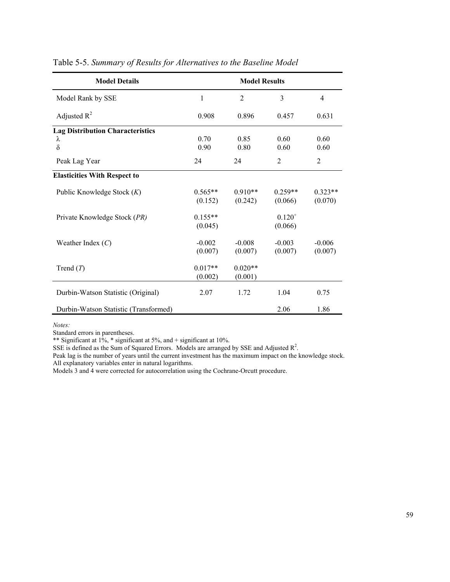| <b>Model Details</b>                                     |                      | <b>Model Results</b> |                        |                      |
|----------------------------------------------------------|----------------------|----------------------|------------------------|----------------------|
| Model Rank by SSE                                        | 1                    | $\overline{2}$       | 3                      | 4                    |
| Adjusted $R^2$                                           | 0.908                | 0.896                | 0.457                  | 0.631                |
| <b>Lag Distribution Characteristics</b><br>λ<br>$\delta$ | 0.70<br>0.90         | 0.85<br>0.80         | 0.60<br>0.60           | 0.60<br>0.60         |
| Peak Lag Year                                            | 24                   | 24                   | 2                      | $\overline{2}$       |
| <b>Elasticities With Respect to</b>                      |                      |                      |                        |                      |
| Public Knowledge Stock $(K)$                             | $0.565**$<br>(0.152) | $0.910**$<br>(0.242) | $0.259**$<br>(0.066)   | $0.323**$<br>(0.070) |
| Private Knowledge Stock (PR)                             | $0.155**$<br>(0.045) |                      | $0.120^{+}$<br>(0.066) |                      |
| Weather Index $(C)$                                      | $-0.002$<br>(0.007)  | $-0.008$<br>(0.007)  | $-0.003$<br>(0.007)    | $-0.006$<br>(0.007)  |
| Trend $(T)$                                              | $0.017**$<br>(0.002) | $0.020**$<br>(0.001) |                        |                      |
| Durbin-Watson Statistic (Original)                       | 2.07                 | 1.72                 | 1.04                   | 0.75                 |
| Durbin-Watson Statistic (Transformed)                    |                      |                      | 2.06                   | 1.86                 |

## Table 5-5. *Summary of Results for Alternatives to the Baseline Model*

*Notes:*

Standard errors in parentheses.

\*\* Significant at  $1\%$ , \* significant at  $5\%$ , and + significant at  $10\%$ .

SSE is defined as the Sum of Squared Errors. Models are arranged by SSE and Adjusted  $\mathbb{R}^2$ .

Peak lag is the number of years until the current investment has the maximum impact on the knowledge stock. All explanatory variables enter in natural logarithms.

Models 3 and 4 were corrected for autocorrelation using the Cochrane-Orcutt procedure.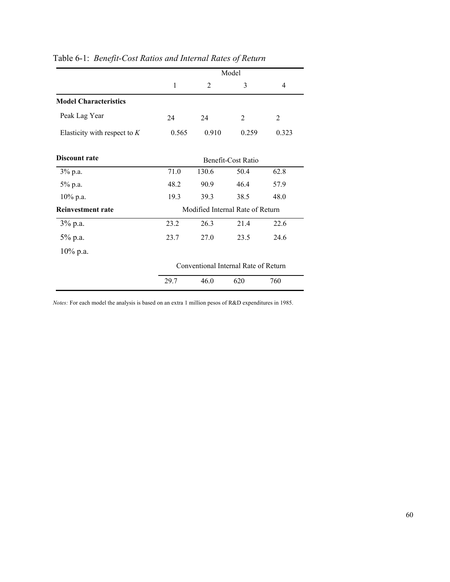|                                |       |       | Model                                |                |
|--------------------------------|-------|-------|--------------------------------------|----------------|
|                                | 1     | 2     | 3                                    | 4              |
| <b>Model Characteristics</b>   |       |       |                                      |                |
| Peak Lag Year                  | 24    | 24    | 2                                    | $\overline{2}$ |
| Elasticity with respect to $K$ | 0.565 | 0.910 | 0.259                                | 0.323          |
| Discount rate                  |       |       | Benefit-Cost Ratio                   |                |
| 3% p.a.                        | 71.0  | 130.6 | 50.4                                 | 62.8           |
| 5% p.a.                        | 48.2  | 90.9  | 46.4                                 | 57.9           |
| 10% p.a.                       | 19.3  | 39.3  | 38.5                                 | 48.0           |
| Reinvestment rate              |       |       | Modified Internal Rate of Return     |                |
| $3\%$ p.a.                     | 23.2  | 26.3  | 21.4                                 | 22.6           |
| 5% p.a.                        | 23.7  | 27.0  | 23.5                                 | 24.6           |
| 10% p.a.                       |       |       |                                      |                |
|                                |       |       | Conventional Internal Rate of Return |                |
|                                | 29.7  | 46.0  | 620                                  | 760            |

## Table 6-1: *Benefit-Cost Ratios and Internal Rates of Return*

*Notes:* For each model the analysis is based on an extra 1 million pesos of R&D expenditures in 1985.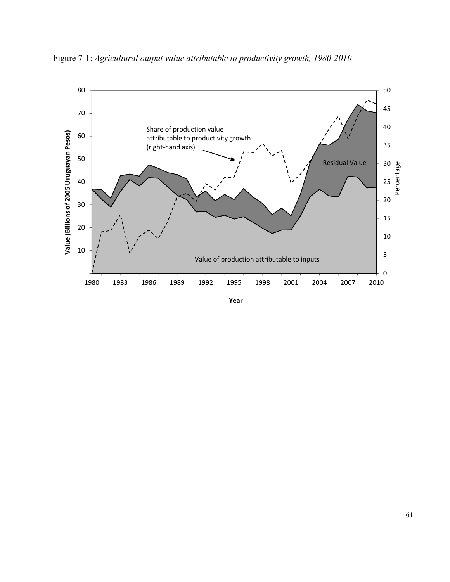

Figure 7-1: *Agricultural output value attributable to productivity growth, 1980-2010*

**Year**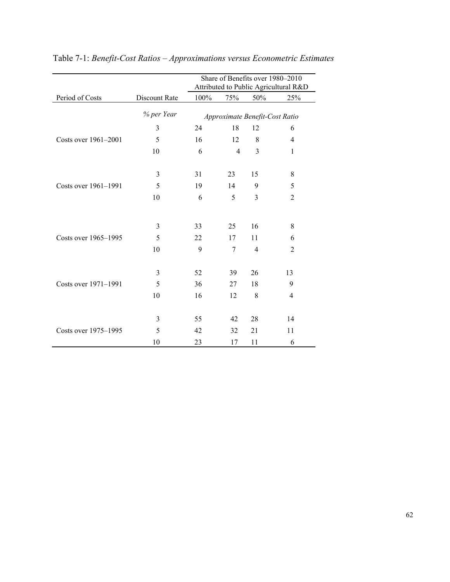|                      |               |      |                |                                | Share of Benefits over 1980-2010      |
|----------------------|---------------|------|----------------|--------------------------------|---------------------------------------|
|                      |               |      |                |                                | Attributed to Public Agricultural R&D |
| Period of Costs      | Discount Rate | 100% | 75%            | 50%                            | 25%                                   |
|                      | % per Year    |      |                | Approximate Benefit-Cost Ratio |                                       |
|                      | 3             | 24   | 18             | 12                             | 6                                     |
| Costs over 1961-2001 | 5             | 16   | 12             | 8                              | 4                                     |
|                      | 10            | 6    | $\overline{4}$ | 3                              | 1                                     |
|                      |               |      |                |                                |                                       |
|                      | 3             | 31   | 23             | 15                             | 8                                     |
| Costs over 1961-1991 | 5             | 19   | 14             | 9                              | 5                                     |
|                      | 10            | 6    | 5              | 3                              | $\overline{2}$                        |
|                      |               |      |                |                                |                                       |
|                      | 3             | 33   | 25             | 16                             | 8                                     |
| Costs over 1965-1995 | 5             | 22   | 17             | 11                             | 6                                     |
|                      | 10            | 9    | $\overline{7}$ | $\overline{4}$                 | $\overline{2}$                        |
|                      |               |      |                |                                |                                       |
|                      | 3             | 52   | 39             | 26                             | 13                                    |
| Costs over 1971-1991 | 5             | 36   | 27             | 18                             | 9                                     |
|                      | 10            | 16   | 12             | 8                              | 4                                     |
|                      |               |      |                |                                |                                       |
|                      | 3             | 55   | 42             | 28                             | 14                                    |
| Costs over 1975-1995 | 5             | 42   | 32             | 21                             | 11                                    |
|                      | 10            | 23   | 17             | 11                             | 6                                     |

# Table 7-1: *Benefit-Cost Ratios – Approximations versus Econometric Estimates*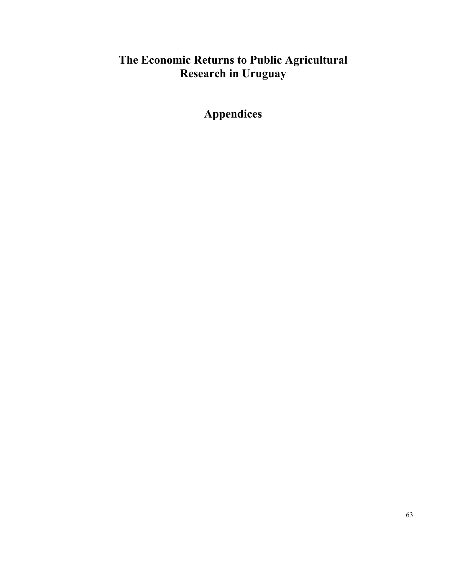# **The Economic Returns to Public Agricultural Research in Uruguay**

**Appendices**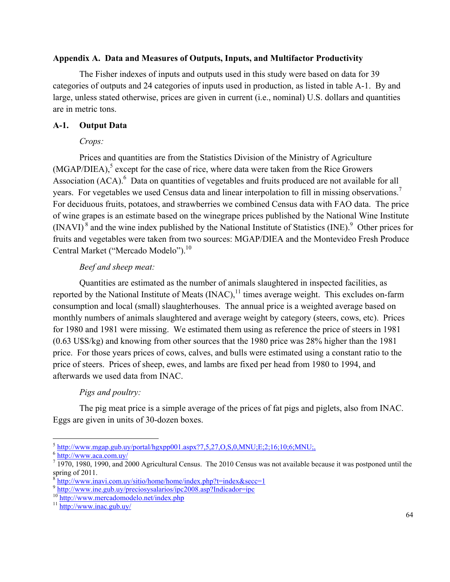### **Appendix A. Data and Measures of Outputs, Inputs, and Multifactor Productivity**

The Fisher indexes of inputs and outputs used in this study were based on data for 39 categories of outputs and 24 categories of inputs used in production, as listed in table A-1. By and large, unless stated otherwise, prices are given in current (i.e., nominal) U.S. dollars and quantities are in metric tons.

## **A-1. Output Data**

## *Crops:*

Prices and quantities are from the Statistics Division of the Ministry of Agriculture  $(MGAP/DIEA)$ ,<sup>5</sup> except for the case of rice, where data were taken from the Rice Growers Association  $(ACA)$ .<sup>6</sup> Data on quantities of vegetables and fruits produced are not available for all years. For vegetables we used Census data and linear interpolation to fill in missing observations.<sup>7</sup> For deciduous fruits, potatoes, and strawberries we combined Census data with FAO data. The price of wine grapes is an estimate based on the winegrape prices published by the National Wine Institute  $(INAVI)<sup>8</sup>$  and the wine index published by the National Institute of Statistics  $(INE)<sup>9</sup>$  Other prices for fruits and vegetables were taken from two sources: MGAP/DIEA and the Montevideo Fresh Produce Central Market ("Mercado Modelo").<sup>10</sup>

## *Beef and sheep meat:*

Quantities are estimated as the number of animals slaughtered in inspected facilities, as reported by the National Institute of Meats  $(INAC)$ ,<sup>11</sup> times average weight. This excludes on-farm consumption and local (small) slaughterhouses. The annual price is a weighted average based on monthly numbers of animals slaughtered and average weight by category (steers, cows, etc). Prices for 1980 and 1981 were missing. We estimated them using as reference the price of steers in 1981 (0.63 U\$S/kg) and knowing from other sources that the 1980 price was 28% higher than the 1981 price. For those years prices of cows, calves, and bulls were estimated using a constant ratio to the price of steers. Prices of sheep, ewes, and lambs are fixed per head from 1980 to 1994, and afterwards we used data from INAC.

## *Pigs and poultry:*

The pig meat price is a simple average of the prices of fat pigs and piglets, also from INAC. Eggs are given in units of 30-dozen boxes.

 $\overline{a}$  $^5$  http://www.mgap.gub.uy/portal/hgxpp001.aspx?7,5,27,O,S,0,MNU;E;2;16;10;6;MNU;,  $^6$  http://www.aca.com.uy/

 $<sup>7</sup>$  1970, 1980, 1990, and 2000 Agricultural Census. The 2010 Census was not available because it was postponed until the</sup> spring of 2011.<br><sup>8</sup>http://www.inavi.com.uy/sitio/home/home/index.php?t=index&secc=1

 $\frac{9 \text{http://www.ine.gub.uy/preciosysalarios/ipc2008.asp?Indicador=ipc}}{0 \text{http://www.mercadomodelo.net/index.php}}$ 10 http://www.mercadomodelo.net/index.php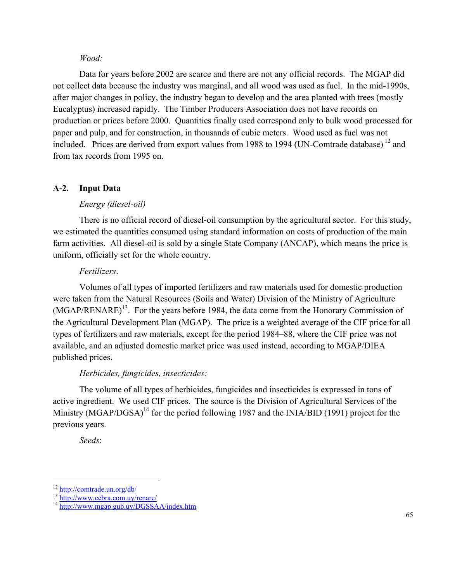#### *Wood:*

Data for years before 2002 are scarce and there are not any official records. The MGAP did not collect data because the industry was marginal, and all wood was used as fuel. In the mid-1990s, after major changes in policy, the industry began to develop and the area planted with trees (mostly Eucalyptus) increased rapidly. The Timber Producers Association does not have records on production or prices before 2000. Quantities finally used correspond only to bulk wood processed for paper and pulp, and for construction, in thousands of cubic meters. Wood used as fuel was not included. Prices are derived from export values from 1988 to 1994 (UN-Comtrade database)<sup>12</sup> and from tax records from 1995 on.

## **A-2. Input Data**

## *Energy (diesel-oil)*

There is no official record of diesel-oil consumption by the agricultural sector. For this study, we estimated the quantities consumed using standard information on costs of production of the main farm activities. All diesel-oil is sold by a single State Company (ANCAP), which means the price is uniform, officially set for the whole country.

### *Fertilizers*.

Volumes of all types of imported fertilizers and raw materials used for domestic production were taken from the Natural Resources (Soils and Water) Division of the Ministry of Agriculture  $(MGAP/RENARE)^{13}$ . For the years before 1984, the data come from the Honorary Commission of the Agricultural Development Plan (MGAP). The price is a weighted average of the CIF price for all types of fertilizers and raw materials, except for the period 1984–88, where the CIF price was not available, and an adjusted domestic market price was used instead, according to MGAP/DIEA published prices.

## *Herbicides, fungicides, insecticides:*

The volume of all types of herbicides, fungicides and insecticides is expressed in tons of active ingredient. We used CIF prices. The source is the Division of Agricultural Services of the Ministry (MGAP/DGSA)<sup>14</sup> for the period following 1987 and the INIA/BID (1991) project for the previous years.

*Seeds*:

 $12$  http://comtrade.un.org/db/

<sup>13</sup> http://www.cebra.com.uy/renare/<br><sup>14</sup> http://www.mgap.gub.uy/DGSSAA/index.htm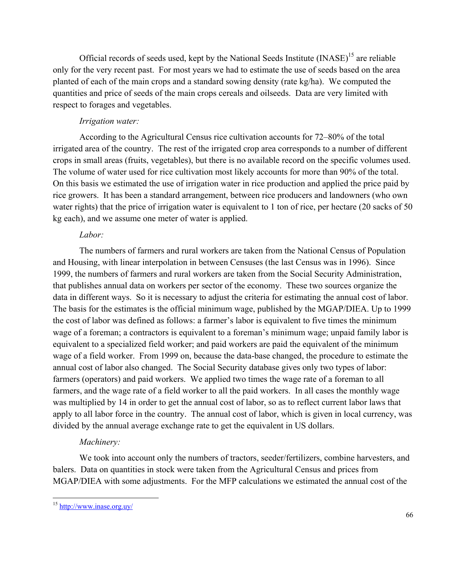Official records of seeds used, kept by the National Seeds Institute (INASE)<sup>15</sup> are reliable only for the very recent past. For most years we had to estimate the use of seeds based on the area planted of each of the main crops and a standard sowing density (rate kg/ha). We computed the quantities and price of seeds of the main crops cereals and oilseeds. Data are very limited with respect to forages and vegetables.

## *Irrigation water:*

According to the Agricultural Census rice cultivation accounts for 72–80% of the total irrigated area of the country. The rest of the irrigated crop area corresponds to a number of different crops in small areas (fruits, vegetables), but there is no available record on the specific volumes used. The volume of water used for rice cultivation most likely accounts for more than 90% of the total. On this basis we estimated the use of irrigation water in rice production and applied the price paid by rice growers. It has been a standard arrangement, between rice producers and landowners (who own water rights) that the price of irrigation water is equivalent to 1 ton of rice, per hectare (20 sacks of 50 kg each), and we assume one meter of water is applied.

## *Labor:*

The numbers of farmers and rural workers are taken from the National Census of Population and Housing, with linear interpolation in between Censuses (the last Census was in 1996). Since 1999, the numbers of farmers and rural workers are taken from the Social Security Administration, that publishes annual data on workers per sector of the economy. These two sources organize the data in different ways. So it is necessary to adjust the criteria for estimating the annual cost of labor. The basis for the estimates is the official minimum wage, published by the MGAP/DIEA. Up to 1999 the cost of labor was defined as follows: a farmer's labor is equivalent to five times the minimum wage of a foreman; a contractors is equivalent to a foreman's minimum wage; unpaid family labor is equivalent to a specialized field worker; and paid workers are paid the equivalent of the minimum wage of a field worker. From 1999 on, because the data-base changed, the procedure to estimate the annual cost of labor also changed. The Social Security database gives only two types of labor: farmers (operators) and paid workers. We applied two times the wage rate of a foreman to all farmers, and the wage rate of a field worker to all the paid workers. In all cases the monthly wage was multiplied by 14 in order to get the annual cost of labor, so as to reflect current labor laws that apply to all labor force in the country. The annual cost of labor, which is given in local currency, was divided by the annual average exchange rate to get the equivalent in US dollars.

## *Machinery:*

We took into account only the numbers of tractors, seeder/fertilizers, combine harvesters, and balers. Data on quantities in stock were taken from the Agricultural Census and prices from MGAP/DIEA with some adjustments. For the MFP calculations we estimated the annual cost of the

 $\overline{a}$ <sup>15</sup> http://www.inase.org.uy/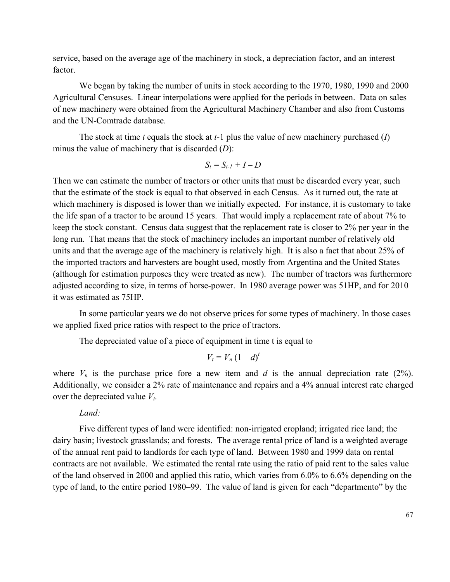service, based on the average age of the machinery in stock, a depreciation factor, and an interest factor.

We began by taking the number of units in stock according to the 1970, 1980, 1990 and 2000 Agricultural Censuses. Linear interpolations were applied for the periods in between. Data on sales of new machinery were obtained from the Agricultural Machinery Chamber and also from Customs and the UN-Comtrade database.

The stock at time *t* equals the stock at *t-*1 plus the value of new machinery purchased (*I*) minus the value of machinery that is discarded (*D*):

$$
S_t = S_{t-1} + I - D
$$

Then we can estimate the number of tractors or other units that must be discarded every year, such that the estimate of the stock is equal to that observed in each Census. As it turned out, the rate at which machinery is disposed is lower than we initially expected. For instance, it is customary to take the life span of a tractor to be around 15 years. That would imply a replacement rate of about 7% to keep the stock constant. Census data suggest that the replacement rate is closer to 2% per year in the long run. That means that the stock of machinery includes an important number of relatively old units and that the average age of the machinery is relatively high. It is also a fact that about 25% of the imported tractors and harvesters are bought used, mostly from Argentina and the United States (although for estimation purposes they were treated as new). The number of tractors was furthermore adjusted according to size, in terms of horse-power. In 1980 average power was 51HP, and for 2010 it was estimated as 75HP.

In some particular years we do not observe prices for some types of machinery. In those cases we applied fixed price ratios with respect to the price of tractors.

The depreciated value of a piece of equipment in time t is equal to

$$
V_t = V_n (1 - d)^t
$$

where  $V_n$  is the purchase price fore a new item and *d* is the annual depreciation rate (2%). Additionally, we consider a 2% rate of maintenance and repairs and a 4% annual interest rate charged over the depreciated value  $V_t$ .

*Land:*

Five different types of land were identified: non-irrigated cropland; irrigated rice land; the dairy basin; livestock grasslands; and forests. The average rental price of land is a weighted average of the annual rent paid to landlords for each type of land. Between 1980 and 1999 data on rental contracts are not available. We estimated the rental rate using the ratio of paid rent to the sales value of the land observed in 2000 and applied this ratio, which varies from 6.0% to 6.6% depending on the type of land, to the entire period 1980–99. The value of land is given for each "departmento" by the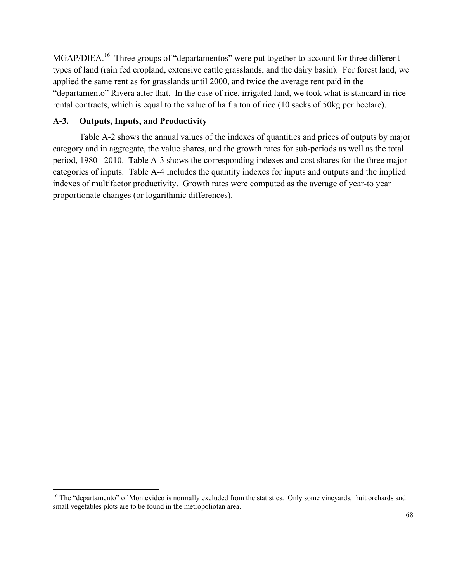MGAP/DIEA.<sup>16</sup> Three groups of "departamentos" were put together to account for three different types of land (rain fed cropland, extensive cattle grasslands, and the dairy basin). For forest land, we applied the same rent as for grasslands until 2000, and twice the average rent paid in the "departamento" Rivera after that. In the case of rice, irrigated land, we took what is standard in rice rental contracts, which is equal to the value of half a ton of rice (10 sacks of 50kg per hectare).

## **A-3. Outputs, Inputs, and Productivity**

 $\overline{a}$ 

 Table A-2 shows the annual values of the indexes of quantities and prices of outputs by major category and in aggregate, the value shares, and the growth rates for sub-periods as well as the total period, 1980– 2010. Table A-3 shows the corresponding indexes and cost shares for the three major categories of inputs. Table A-4 includes the quantity indexes for inputs and outputs and the implied indexes of multifactor productivity. Growth rates were computed as the average of year-to year proportionate changes (or logarithmic differences).

<sup>&</sup>lt;sup>16</sup> The "departamento" of Montevideo is normally excluded from the statistics. Only some vineyards, fruit orchards and small vegetables plots are to be found in the metropoliotan area.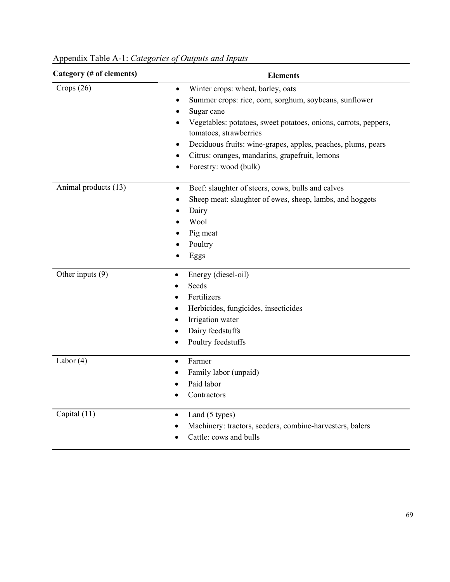| Category (# of elements) | <b>Elements</b>                                                                                        |
|--------------------------|--------------------------------------------------------------------------------------------------------|
| Crops $(26)$             | Winter crops: wheat, barley, oats<br>$\bullet$                                                         |
|                          | Summer crops: rice, corn, sorghum, soybeans, sunflower                                                 |
|                          | Sugar cane                                                                                             |
|                          | Vegetables: potatoes, sweet potatoes, onions, carrots, peppers,<br>$\bullet$<br>tomatoes, strawberries |
|                          | Deciduous fruits: wine-grapes, apples, peaches, plums, pears<br>$\bullet$                              |
|                          | Citrus: oranges, mandarins, grapefruit, lemons<br>$\bullet$                                            |
|                          | Forestry: wood (bulk)<br>$\bullet$                                                                     |
| Animal products (13)     | Beef: slaughter of steers, cows, bulls and calves<br>$\bullet$                                         |
|                          | Sheep meat: slaughter of ewes, sheep, lambs, and hoggets<br>$\bullet$                                  |
|                          | Dairy<br>$\bullet$                                                                                     |
|                          | Wool                                                                                                   |
|                          | Pig meat                                                                                               |
|                          | Poultry                                                                                                |
|                          | Eggs                                                                                                   |
| Other inputs (9)         | Energy (diesel-oil)<br>$\bullet$                                                                       |
|                          | Seeds                                                                                                  |
|                          | Fertilizers<br>$\bullet$                                                                               |
|                          | Herbicides, fungicides, insecticides<br>$\bullet$                                                      |
|                          | Irrigation water<br>$\bullet$                                                                          |
|                          | Dairy feedstuffs<br>$\bullet$                                                                          |
|                          | Poultry feedstuffs                                                                                     |
| Labor $(4)$              | Farmer<br>$\bullet$                                                                                    |
|                          | Family labor (unpaid)<br>$\bullet$                                                                     |
|                          | Paid labor                                                                                             |
|                          | Contractors                                                                                            |
| Capital (11)             | Land (5 types)<br>$\bullet$                                                                            |
|                          | Machinery: tractors, seeders, combine-harvesters, balers                                               |
|                          | Cattle: cows and bulls                                                                                 |

Appendix Table A-1: *Categories of Outputs and Inputs*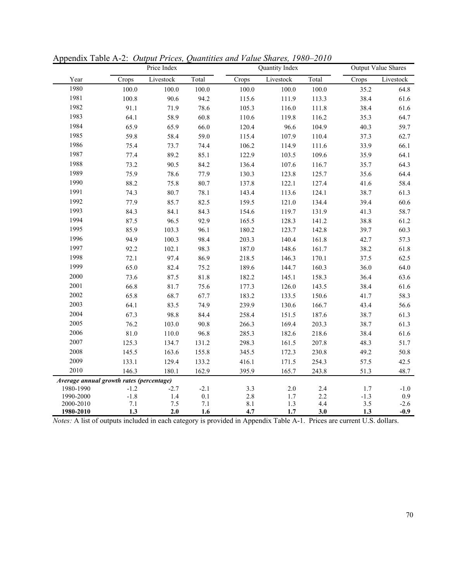|                                          |                | Price Index    |            |                | Quantity Index |            |            | <b>Output Value Shares</b> |
|------------------------------------------|----------------|----------------|------------|----------------|----------------|------------|------------|----------------------------|
| Year                                     | Crops          | Livestock      | Total      | Crops          | Livestock      | Total      | Crops      | Livestock                  |
| 1980                                     | 100.0          | 100.0          | 100.0      | 100.0          | 100.0          | 100.0      | 35.2       | 64.8                       |
| 1981                                     | 100.8          | 90.6           | 94.2       | 115.6          | 111.9          | 113.3      | 38.4       | 61.6                       |
| 1982                                     | 91.1           | 71.9           | 78.6       | 105.3          | 116.0          | 111.8      | 38.4       | 61.6                       |
| 1983                                     | 64.1           | 58.9           | 60.8       | 110.6          | 119.8          | 116.2      | 35.3       | 64.7                       |
| 1984                                     | 65.9           | 65.9           | 66.0       | 120.4          | 96.6           | 104.9      | 40.3       | 59.7                       |
| 1985                                     | 59.8           | 58.4           | 59.0       | 115.4          | 107.9          | 110.4      | 37.3       | 62.7                       |
| 1986                                     | 75.4           | 73.7           | 74.4       | 106.2          | 114.9          | 111.6      | 33.9       | 66.1                       |
| 1987                                     | 77.4           | 89.2           | 85.1       | 122.9          | 103.5          | 109.6      | 35.9       | 64.1                       |
| 1988                                     | 73.2           | 90.5           | 84.2       | 136.4          | 107.6          | 116.7      | 35.7       | 64.3                       |
| 1989                                     | 75.9           | 78.6           | 77.9       | 130.3          | 123.8          | 125.7      | 35.6       | 64.4                       |
| 1990                                     | 88.2           | 75.8           | 80.7       | 137.8          | 122.1          | 127.4      | 41.6       | 58.4                       |
| 1991                                     | 74.3           | 80.7           | 78.1       | 143.4          | 113.6          | 124.1      | 38.7       | 61.3                       |
| 1992                                     | 77.9           | 85.7           | 82.5       | 159.5          | 121.0          | 134.4      | 39.4       | 60.6                       |
| 1993                                     | 84.3           | 84.1           | 84.3       | 154.6          | 119.7          | 131.9      | 41.3       | 58.7                       |
| 1994                                     | 87.5           | 96.5           | 92.9       | 165.5          | 128.3          | 141.2      | 38.8       | 61.2                       |
| 1995                                     | 85.9           | 103.3          | 96.1       | 180.2          | 123.7          | 142.8      | 39.7       | 60.3                       |
| 1996                                     | 94.9           | 100.3          | 98.4       | 203.3          | 140.4          | 161.8      | 42.7       | 57.3                       |
| 1997                                     | 92.2           | 102.1          | 98.3       | 187.0          | 148.6          | 161.7      | 38.2       | 61.8                       |
| 1998                                     | 72.1           | 97.4           | 86.9       | 218.5          | 146.3          | 170.1      | 37.5       | 62.5                       |
| 1999                                     | 65.0           | 82.4           | 75.2       | 189.6          | 144.7          | 160.3      | 36.0       | 64.0                       |
| 2000                                     | 73.6           | 87.5           | 81.8       | 182.2          | 145.1          | 158.3      | 36.4       | 63.6                       |
| 2001                                     | 66.8           | 81.7           | 75.6       | 177.3          | 126.0          | 143.5      | 38.4       | 61.6                       |
| 2002                                     | 65.8           | 68.7           | 67.7       | 183.2          | 133.5          | 150.6      | 41.7       | 58.3                       |
| 2003                                     | 64.1           | 83.5           | 74.9       | 239.9          | 130.6          | 166.7      | 43.4       | 56.6                       |
| 2004                                     | 67.3           | 98.8           | 84.4       | 258.4          | 151.5          | 187.6      | 38.7       | 61.3                       |
| 2005                                     | 76.2           | 103.0          | 90.8       | 266.3          | 169.4          | 203.3      | 38.7       | 61.3                       |
| 2006                                     | 81.0           | 110.0          | 96.8       | 285.3          | 182.6          | 218.6      | 38.4       | 61.6                       |
| 2007                                     | 125.3          | 134.7          | 131.2      | 298.3          | 161.5          | 207.8      | 48.3       | 51.7                       |
| 2008                                     | 145.5          | 163.6          | 155.8      | 345.5          | 172.3          | 230.8      | 49.2       | 50.8                       |
| 2009                                     | 133.1          | 129.4          | 133.2      | 416.1          | 171.5          | 254.3      | 57.5       | 42.5                       |
| 2010                                     | 146.3          | 180.1          | 162.9      | 395.9          | 165.7          | 243.8      | 51.3       | 48.7                       |
| Average annual growth rates (percentage) |                |                |            |                |                |            |            |                            |
| 1980-1990                                | $-1.2$         | $-2.7$         | $-2.1$     | $3.3\,$        | $2.0\,$        | 2.4        | 1.7        | $-1.0$                     |
| 1990-2000                                | $-1.8$         | $1.4$          | $0.1\,$    | $2.8\,$        | 1.7            | 2.2        | $-1.3$     | 0.9                        |
| 2000-2010<br>1980-2010                   | $7.1\,$<br>1.3 | $7.5\,$<br>2.0 | 7.1<br>1.6 | $8.1\,$<br>4.7 | $1.3$<br>1.7   | 4.4<br>3.0 | 3.5<br>1.3 | $-2.6$<br>$-0.9$           |

Appendix Table A-2:*Output Prices, Quantities and Value Shares, 1980–2010* 

*Notes:* A list of outputs included in each category is provided in Appendix Table A-1. Prices are current U.S. dollars.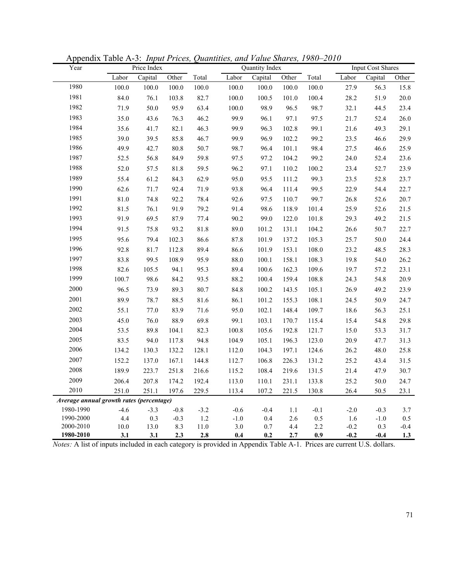| Year                                     |             | $\mathbf{r} \cdot \mathbf{r}$<br>Price Index |            |                 |            | $\sim$<br>Quantity Index |            |            |                  | <b>Input Cost Shares</b> |               |
|------------------------------------------|-------------|----------------------------------------------|------------|-----------------|------------|--------------------------|------------|------------|------------------|--------------------------|---------------|
|                                          | Labor       | Capital                                      | Other      | Total           | Labor      | Capital                  | Other      | Total      | Labor            | Capital                  | Other         |
| 1980                                     | 100.0       | 100.0                                        | 100.0      | 100.0           | 100.0      | 100.0                    | 100.0      | 100.0      | 27.9             | 56.3                     | 15.8          |
| 1981                                     | 84.0        | 76.1                                         | 103.8      | 82.7            | 100.0      | 100.5                    | 101.0      | 100.4      | 28.2             | 51.9                     | 20.0          |
| 1982                                     | 71.9        | 50.0                                         | 95.9       | 63.4            | 100.0      | 98.9                     | 96.5       | 98.7       | 32.1             | 44.5                     | 23.4          |
| 1983                                     | 35.0        | 43.6                                         | 76.3       | 46.2            | 99.9       | 96.1                     | 97.1       | 97.5       | 21.7             | 52.4                     | 26.0          |
| 1984                                     | 35.6        | 41.7                                         | 82.1       | 46.3            | 99.9       | 96.3                     | 102.8      | 99.1       | 21.6             | 49.3                     | 29.1          |
| 1985                                     | 39.0        | 39.5                                         | 85.8       | 46.7            | 99.9       | 96.9                     | 102.2      | 99.2       | 23.5             | 46.6                     | 29.9          |
| 1986                                     | 49.9        | 42.7                                         | 80.8       | 50.7            | 98.7       | 96.4                     | 101.1      | 98.4       | 27.5             | 46.6                     | 25.9          |
| 1987                                     | 52.5        | 56.8                                         | 84.9       | 59.8            | 97.5       | 97.2                     | 104.2      | 99.2       | 24.0             | 52.4                     | 23.6          |
| 1988                                     | 52.0        | 57.5                                         | 81.8       | 59.5            | 96.2       | 97.1                     | 110.2      | 100.2      | 23.4             | 52.7                     | 23.9          |
| 1989                                     | 55.4        | 61.2                                         | 84.3       | 62.9            | 95.0       | 95.5                     | 111.2      | 99.3       | 23.5             | 52.8                     | 23.7          |
| 1990                                     | 62.6        | 71.7                                         | 92.4       | 71.9            | 93.8       | 96.4                     | 111.4      | 99.5       | 22.9             | 54.4                     | 22.7          |
| 1991                                     | 81.0        | 74.8                                         | 92.2       | 78.4            | 92.6       | 97.5                     | 110.7      | 99.7       | 26.8             | 52.6                     | 20.7          |
| 1992                                     | 81.5        | 76.1                                         | 91.9       | 79.2            | 91.4       | 98.6                     | 118.9      | 101.4      | 25.9             | 52.6                     | 21.5          |
| 1993                                     | 91.9        | 69.5                                         | 87.9       | 77.4            | 90.2       | 99.0                     | 122.0      | 101.8      | 29.3             | 49.2                     | 21.5          |
| 1994                                     | 91.5        | 75.8                                         | 93.2       | 81.8            | 89.0       | 101.2                    | 131.1      | 104.2      | 26.6             | 50.7                     | 22.7          |
| 1995                                     | 95.6        | 79.4                                         | 102.3      | 86.6            | 87.8       | 101.9                    | 137.2      | 105.3      | 25.7             | 50.0                     | 24.4          |
| 1996                                     | 92.8        | 81.7                                         | 112.8      | 89.4            | 86.6       | 101.9                    | 153.1      | 108.0      | 23.2             | 48.5                     | 28.3          |
| 1997                                     | 83.8        | 99.5                                         | 108.9      | 95.9            | 88.0       | 100.1                    | 158.1      | 108.3      | 19.8             | 54.0                     | 26.2          |
| 1998                                     | 82.6        | 105.5                                        | 94.1       | 95.3            | 89.4       | 100.6                    | 162.3      | 109.6      | 19.7             | 57.2                     | 23.1          |
| 1999                                     | 100.7       | 98.6                                         | 84.2       | 93.5            | 88.2       | 100.4                    | 159.4      | 108.8      | 24.3             | 54.8                     | 20.9          |
| 2000                                     | 96.5        | 73.9                                         | 89.3       | 80.7            | 84.8       | 100.2                    | 143.5      | 105.1      | 26.9             | 49.2                     | 23.9          |
| 2001                                     | 89.9        | 78.7                                         | 88.5       | 81.6            | 86.1       | 101.2                    | 155.3      | 108.1      | 24.5             | 50.9                     | 24.7          |
| 2002                                     | 55.1        | 77.0                                         | 83.9       | 71.6            | 95.0       | 102.1                    | 148.4      | 109.7      | 18.6             | 56.3                     | 25.1          |
| 2003                                     | 45.0        | 76.0                                         | 88.9       | 69.8            | 99.1       | 103.1                    | 170.7      | 115.4      | 15.4             | 54.8                     | 29.8          |
| 2004                                     | 53.5        | 89.8                                         | 104.1      | 82.3            | 100.8      | 105.6                    | 192.8      | 121.7      | 15.0             | 53.3                     | 31.7          |
| 2005                                     | 83.5        | 94.0                                         | 117.8      | 94.8            | 104.9      | 105.1                    | 196.3      | 123.0      | 20.9             | 47.7                     | 31.3          |
| 2006                                     | 134.2       | 130.3                                        | 132.2      | 128.1           | 112.0      | 104.3                    | 197.1      | 124.6      | 26.2             | 48.0                     | 25.8          |
| 2007                                     | 152.2       | 137.0                                        | 167.1      | 144.8           | 112.7      | 106.8                    | 226.3      | 131.2      | 25.2             | 43.4                     | 31.5          |
| 2008                                     | 189.9       | 223.7                                        | 251.8      | 216.6           | 115.2      | 108.4                    | 219.6      | 131.5      | 21.4             | 47.9                     | 30.7          |
| 2009                                     | 206.4       | 207.8                                        | 174.2      | 192.4           | 113.0      | 110.1                    | 231.1      | 133.8      | 25.2             | 50.0                     | 24.7          |
| 2010                                     | 251.0       | 251.1                                        | 197.6      | 229.5           | 113.4      | 107.2                    | 221.5      | 130.8      | 26.4             | 50.5                     | 23.1          |
| Average annual growth rates (percentage) |             |                                              |            |                 |            |                          |            |            |                  |                          |               |
| 1980-1990                                | $-4.6$      | $-3.3$                                       | $-0.8$     | $-3.2$          | $-0.6$     | $-0.4$                   | $1.1\,$    | $-0.1$     | $-2.0$           | $-0.3$                   | 3.7           |
| 1990-2000                                | 4.4         | 0.3                                          | $-0.3$     | $1.2\,$         | $-1.0$     | 0.4                      | 2.6        | 0.5        | 1.6              | $-1.0$                   | 0.5           |
| 2000-2010<br>1980-2010                   | 10.0<br>3.1 | 13.0<br>3.1                                  | 8.3<br>2.3 | $11.0\,$<br>2.8 | 3.0<br>0.4 | 0.7<br>0.2               | 4.4<br>2.7 | 2.2<br>0.9 | $-0.2$<br>$-0.2$ | 0.3<br>$-0.4$            | $-0.4$<br>1.3 |

Appendix Table A-3: *Input Prices, Quantities, and Value Shares, 1980–2010* 

*Notes:* A list of inputs included in each category is provided in Appendix Table A-1. Prices are current U.S. dollars.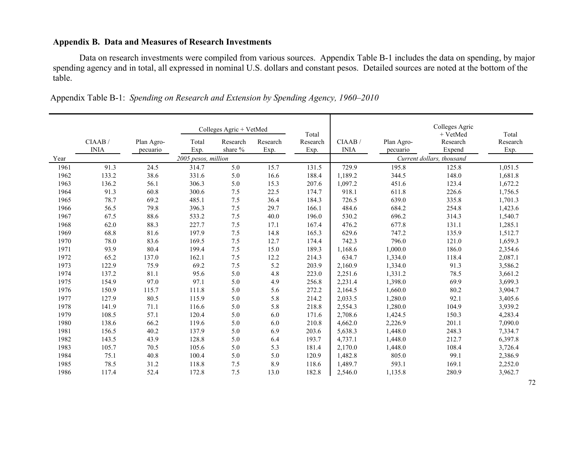## **Appendix B. Data and Measures of Research Investments**

Data on research investments were compiled from various sources. Appendix Table B-1 includes the data on spending, by major spending agency and in total, all expressed in nominal U.S. dollars and constant pesos. Detailed sources are noted at the bottom of the table.

|      |                       |                        |                     | Colleges Agric + VetMed |                  | Total            |                       |                        | Colleges Agric<br>+ VetMed | Total            |
|------|-----------------------|------------------------|---------------------|-------------------------|------------------|------------------|-----------------------|------------------------|----------------------------|------------------|
|      | CIAAB/<br><b>INIA</b> | Plan Agro-<br>pecuario | Total<br>Exp.       | Research<br>share %     | Research<br>Exp. | Research<br>Exp. | CIAAB/<br><b>INIA</b> | Plan Agro-<br>pecuario | Research<br>Expend         | Research<br>Exp. |
| Year |                       |                        | 2005 pesos, million |                         |                  |                  |                       |                        | Current dollars, thousand  |                  |
| 1961 | 91.3                  | 24.5                   | 314.7               | 5.0                     | 15.7             | 131.5            | 729.9                 | 195.8                  | 125.8                      | 1,051.5          |
| 1962 | 133.2                 | 38.6                   | 331.6               | 5.0                     | 16.6             | 188.4            | 1,189.2               | 344.5                  | 148.0                      | 1,681.8          |
| 1963 | 136.2                 | 56.1                   | 306.3               | 5.0                     | 15.3             | 207.6            | 1,097.2               | 451.6                  | 123.4                      | 1,672.2          |
| 1964 | 91.3                  | 60.8                   | 300.6               | 7.5                     | 22.5             | 174.7            | 918.1                 | 611.8                  | 226.6                      | 1,756.5          |
| 1965 | 78.7                  | 69.2                   | 485.1               | 7.5                     | 36.4             | 184.3            | 726.5                 | 639.0                  | 335.8                      | 1,701.3          |
| 1966 | 56.5                  | 79.8                   | 396.3               | 7.5                     | 29.7             | 166.1            | 484.6                 | 684.2                  | 254.8                      | 1,423.6          |
| 1967 | 67.5                  | 88.6                   | 533.2               | $7.5$                   | 40.0             | 196.0            | 530.2                 | 696.2                  | 314.3                      | 1,540.7          |
| 1968 | 62.0                  | 88.3                   | 227.7               | 7.5                     | 17.1             | 167.4            | 476.2                 | 677.8                  | 131.1                      | 1,285.1          |
| 1969 | 68.8                  | 81.6                   | 197.9               | 7.5                     | 14.8             | 165.3            | 629.6                 | 747.2                  | 135.9                      | 1,512.7          |
| 1970 | 78.0                  | 83.6                   | 169.5               | 7.5                     | 12.7             | 174.4            | 742.3                 | 796.0                  | 121.0                      | 1,659.3          |
| 1971 | 93.9                  | 80.4                   | 199.4               | $7.5\,$                 | 15.0             | 189.3            | 1,168.6               | 1,000.0                | 186.0                      | 2,354.6          |
| 1972 | 65.2                  | 137.0                  | 162.1               | 7.5                     | 12.2             | 214.3            | 634.7                 | 1,334.0                | 118.4                      | 2,087.1          |
| 1973 | 122.9                 | 75.9                   | 69.2                | 7.5                     | 5.2              | 203.9            | 2,160.9               | 1,334.0                | 91.3                       | 3,586.2          |
| 1974 | 137.2                 | 81.1                   | 95.6                | 5.0                     | 4.8              | 223.0            | 2,251.6               | 1,331.2                | 78.5                       | 3,661.2          |
| 1975 | 154.9                 | 97.0                   | 97.1                | 5.0                     | 4.9              | 256.8            | 2,231.4               | 1,398.0                | 69.9                       | 3,699.3          |
| 1976 | 150.9                 | 115.7                  | 111.8               | 5.0                     | 5.6              | 272.2            | 2,164.5               | 1,660.0                | 80.2                       | 3,904.7          |
| 1977 | 127.9                 | 80.5                   | 115.9               | 5.0                     | 5.8              | 214.2            | 2,033.5               | 1,280.0                | 92.1                       | 3,405.6          |
| 1978 | 141.9                 | 71.1                   | 116.6               | 5.0                     | 5.8              | 218.8            | 2,554.3               | 1,280.0                | 104.9                      | 3,939.2          |
| 1979 | 108.5                 | 57.1                   | 120.4               | 5.0                     | 6.0              | 171.6            | 2,708.6               | 1,424.5                | 150.3                      | 4,283.4          |
| 1980 | 138.6                 | 66.2                   | 119.6               | 5.0                     | 6.0              | 210.8            | 4,662.0               | 2,226.9                | 201.1                      | 7,090.0          |
| 1981 | 156.5                 | 40.2                   | 137.9               | 5.0                     | 6.9              | 203.6            | 5,638.3               | 1,448.0                | 248.3                      | 7,334.7          |
| 1982 | 143.5                 | 43.9                   | 128.8               | 5.0                     | 6.4              | 193.7            | 4,737.1               | 1,448.0                | 212.7                      | 6,397.8          |
| 1983 | 105.7                 | 70.5                   | 105.6               | 5.0                     | 5.3              | 181.4            | 2,170.0               | 1,448.0                | 108.4                      | 3,726.4          |
| 1984 | 75.1                  | 40.8                   | 100.4               | 5.0                     | 5.0              | 120.9            | 1,482.8               | 805.0                  | 99.1                       | 2,386.9          |
| 1985 | 78.5                  | 31.2                   | 118.8               | 7.5                     | 8.9              | 118.6            | 1,489.7               | 593.1                  | 169.1                      | 2,252.0          |
| 1986 | 117.4                 | 52.4                   | 172.8               | 7.5                     | 13.0             | 182.8            | 2,546.0               | 1,135.8                | 280.9                      | 3,962.7          |

| Appendix Table B-1: Spending on Research and Extension by Spending Agency, 1960–2010 |
|--------------------------------------------------------------------------------------|
|--------------------------------------------------------------------------------------|

72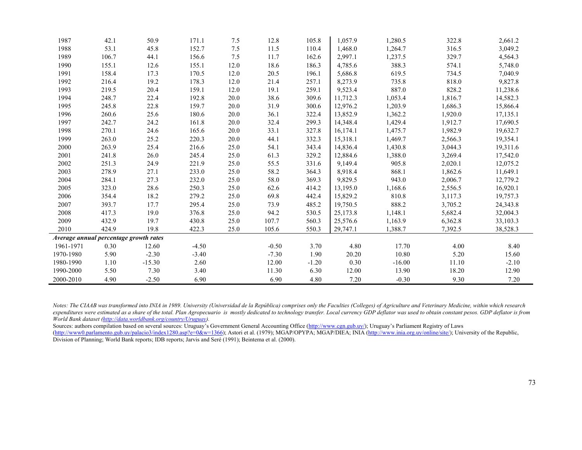| 1987                                   | 42.1  | 50.9     | 171.1   | 7.5  | 12.8    | 105.8   | 1,057.9  | 1,280.5  | 322.8   | 2,661.2  |
|----------------------------------------|-------|----------|---------|------|---------|---------|----------|----------|---------|----------|
| 1988                                   | 53.1  | 45.8     | 152.7   | 7.5  | 11.5    | 110.4   | 1,468.0  | 1,264.7  | 316.5   | 3,049.2  |
| 1989                                   | 106.7 | 44.1     | 156.6   | 7.5  | 11.7    | 162.6   | 2,997.1  | 1,237.5  | 329.7   | 4,564.3  |
| 1990                                   | 155.1 | 12.6     | 155.1   | 12.0 | 18.6    | 186.3   | 4,785.6  | 388.3    | 574.1   | 5,748.0  |
| 1991                                   | 158.4 | 17.3     | 170.5   | 12.0 | 20.5    | 196.1   | 5,686.8  | 619.5    | 734.5   | 7,040.9  |
| 1992                                   | 216.4 | 19.2     | 178.3   | 12.0 | 21.4    | 257.1   | 8,273.9  | 735.8    | 818.0   | 9,827.8  |
| 1993                                   | 219.5 | 20.4     | 159.1   | 12.0 | 19.1    | 259.1   | 9,523.4  | 887.0    | 828.2   | 11,238.6 |
| 1994                                   | 248.7 | 22.4     | 192.8   | 20.0 | 38.6    | 309.6   | 11,712.3 | 1,053.4  | 1,816.7 | 14,582.3 |
| 1995                                   | 245.8 | 22.8     | 159.7   | 20.0 | 31.9    | 300.6   | 12,976.2 | 1,203.9  | 1,686.3 | 15,866.4 |
| 1996                                   | 260.6 | 25.6     | 180.6   | 20.0 | 36.1    | 322.4   | 13,852.9 | 1,362.2  | 1,920.0 | 17,135.1 |
| 1997                                   | 242.7 | 24.2     | 161.8   | 20.0 | 32.4    | 299.3   | 14,348.4 | 1,429.4  | 1,912.7 | 17,690.5 |
| 1998                                   | 270.1 | 24.6     | 165.6   | 20.0 | 33.1    | 327.8   | 16,174.1 | 1,475.7  | 1,982.9 | 19,632.7 |
| 1999                                   | 263.0 | 25.2     | 220.3   | 20.0 | 44.1    | 332.3   | 15,318.1 | 1,469.7  | 2,566.3 | 19,354.1 |
| 2000                                   | 263.9 | 25.4     | 216.6   | 25.0 | 54.1    | 343.4   | 14,836.4 | 1,430.8  | 3,044.3 | 19,311.6 |
| 2001                                   | 241.8 | 26.0     | 245.4   | 25.0 | 61.3    | 329.2   | 12,884.6 | 1,388.0  | 3,269.4 | 17,542.0 |
| 2002                                   | 251.3 | 24.9     | 221.9   | 25.0 | 55.5    | 331.6   | 9,149.4  | 905.8    | 2,020.1 | 12,075.2 |
| 2003                                   | 278.9 | 27.1     | 233.0   | 25.0 | 58.2    | 364.3   | 8,918.4  | 868.1    | 1,862.6 | 11,649.1 |
| 2004                                   | 284.1 | 27.3     | 232.0   | 25.0 | 58.0    | 369.3   | 9,829.5  | 943.0    | 2,006.7 | 12,779.2 |
| 2005                                   | 323.0 | 28.6     | 250.3   | 25.0 | 62.6    | 414.2   | 13,195.0 | 1,168.6  | 2,556.5 | 16,920.1 |
| 2006                                   | 354.4 | 18.2     | 279.2   | 25.0 | 69.8    | 442.4   | 15,829.2 | 810.8    | 3,117.3 | 19,757.3 |
| 2007                                   | 393.7 | 17.7     | 295.4   | 25.0 | 73.9    | 485.2   | 19,750.5 | 888.2    | 3,705.2 | 24,343.8 |
| 2008                                   | 417.3 | 19.0     | 376.8   | 25.0 | 94.2    | 530.5   | 25,173.8 | 1,148.1  | 5,682.4 | 32,004.3 |
| 2009                                   | 432.9 | 19.7     | 430.8   | 25.0 | 107.7   | 560.3   | 25,576.6 | 1,163.9  | 6,362.8 | 33,103.3 |
| 2010                                   | 424.9 | 19.8     | 422.3   | 25.0 | 105.6   | 550.3   | 29,747.1 | 1,388.7  | 7,392.5 | 38,528.3 |
| Average annual percentage growth rates |       |          |         |      |         |         |          |          |         |          |
| 1961-1971                              | 0.30  | 12.60    | $-4.50$ |      | $-0.50$ | 3.70    | 4.80     | 17.70    | 4.00    | 8.40     |
| 1970-1980                              | 5.90  | $-2.30$  | $-3.40$ |      | $-7.30$ | 1.90    | 20.20    | 10.80    | 5.20    | 15.60    |
| 1980-1990                              | 1.10  | $-15.30$ | 2.60    |      | 12.00   | $-1.20$ | 0.30     | $-16.00$ | 11.10   | $-2.10$  |
| 1990-2000                              | 5.50  | 7.30     | 3.40    |      | 11.30   | 6.30    | 12.00    | 13.90    | 18.20   | 12.90    |
| 2000-2010                              | 4.90  | $-2.50$  | 6.90    |      | 6.90    | 4.80    | 7.20     | $-0.30$  | 9.30    | 7.20     |

*Notes: The CIAAB was transformed into INIA in 1989. University (Universidad de la República) comprises only the Faculties (Colleges) of Agriculture and Veterinary Medicine, within which research expenditures were estimated as a share of the total. Plan Agropecuario is mostly dedicated to technology transfer. Local currency GDP deflator was used to obtain constant pesos. GDP deflator is from World Bank dataset (http://data.worldbank.org/country/Uruguay).* 

Sources: authors compilation based on several sources: Uruguay's Government General Accounting Office (http://www.cgn.gub.uy/); Uruguay's Parliament Registry of Laws (http://www0.parlamento.gub.uy/palacio3/index1280.asp?e=0&w=1366); Astori et al. (1979); MGAP/OPYPA; MGAP/DIEA; INIA (http://www.inia.org.uy/online/site/); University of the Republic, Division of Planning; World Bank reports; IDB reports; Jarvis and Seré (1991); Beintema et al. (2000).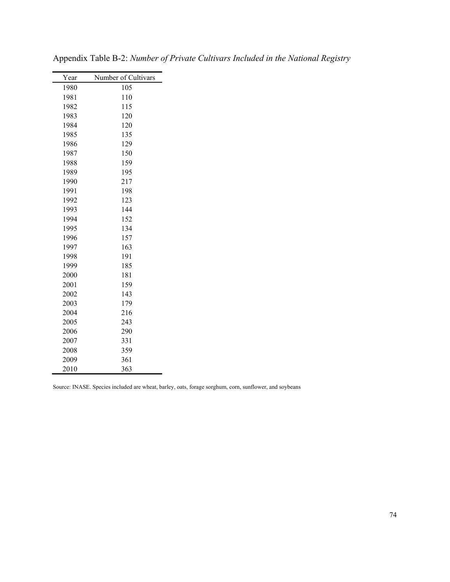| Year | Number of Cultivars |
|------|---------------------|
| 1980 | 105                 |
| 1981 | 110                 |
| 1982 | 115                 |
| 1983 | 120                 |
| 1984 | 120                 |
| 1985 | 135                 |
| 1986 | 129                 |
| 1987 | 150                 |
| 1988 | 159                 |
| 1989 | 195                 |
| 1990 | 217                 |
| 1991 | 198                 |
| 1992 | 123                 |
| 1993 | 144                 |
| 1994 | 152                 |
| 1995 | 134                 |
| 1996 | 157                 |
| 1997 | 163                 |
| 1998 | 191                 |
| 1999 | 185                 |
| 2000 | 181                 |
| 2001 | 159                 |
| 2002 | 143                 |
| 2003 | 179                 |
| 2004 | 216                 |
| 2005 | 243                 |
| 2006 | 290                 |
| 2007 | 331                 |
| 2008 | 359                 |
| 2009 | 361                 |
| 2010 | 363                 |

Appendix Table B-2: *Number of Private Cultivars Included in the National Registry*

Source: INASE. Species included are wheat, barley, oats, forage sorghum, corn, sunflower, and soybeans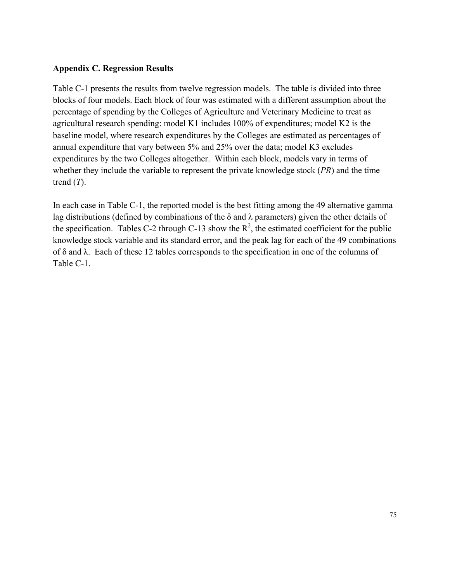## **Appendix C. Regression Results**

Table C-1 presents the results from twelve regression models. The table is divided into three blocks of four models. Each block of four was estimated with a different assumption about the percentage of spending by the Colleges of Agriculture and Veterinary Medicine to treat as agricultural research spending: model K1 includes 100% of expenditures; model K2 is the baseline model, where research expenditures by the Colleges are estimated as percentages of annual expenditure that vary between 5% and 25% over the data; model K3 excludes expenditures by the two Colleges altogether. Within each block, models vary in terms of whether they include the variable to represent the private knowledge stock (*PR*) and the time trend (*T*).

In each case in Table C-1, the reported model is the best fitting among the 49 alternative gamma lag distributions (defined by combinations of the  $\delta$  and  $\lambda$  parameters) given the other details of the specification. Tables C-2 through C-13 show the  $R^2$ , the estimated coefficient for the public knowledge stock variable and its standard error, and the peak lag for each of the 49 combinations of δ and λ. Each of these 12 tables corresponds to the specification in one of the columns of Table C-1.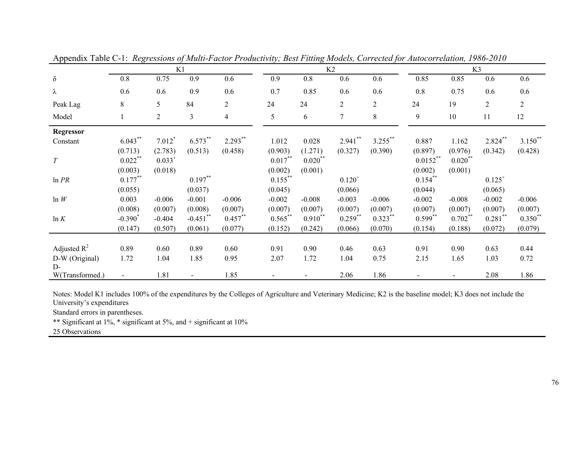|                  |                | K1             |                |                |            |            | K2             |                | K3          |                          |                |                |
|------------------|----------------|----------------|----------------|----------------|------------|------------|----------------|----------------|-------------|--------------------------|----------------|----------------|
| $\delta$         | 0.8            | 0.75           | 0.9            | 0.6            | 0.9        | 0.8        | 0.6            | 0.6            | 0.85        | 0.85                     | 0.6            | 0.6            |
| λ                | 0.6            | 0.6            | 0.9            | 0.6            | 0.7        | 0.85       | 0.6            | 0.6            | $0.8\,$     | 0.75                     | 0.6            | 0.6            |
| Peak Lag         | 8              | 5              | 84             | $\overline{2}$ | 24         | 24         | $\overline{2}$ | $\overline{2}$ | 24          | 19                       | $\overline{2}$ | $\overline{2}$ |
| Model            |                | $\overline{2}$ | $\mathfrak{Z}$ | $\overline{4}$ | 5          | 6          | $\tau$         | 8              | 9           | 10                       | 11             | 12             |
| <b>Regressor</b> |                |                |                |                |            |            |                |                |             |                          |                |                |
| Constant         | $6.043***$     | $7.012*$       | 6.573**        | $2.293***$     | 1.012      | 0.028      | $2.941$ **     | $3.255***$     | 0.887       | 1.162                    | $2.824$ **     | $3.150^{**}$   |
|                  | (0.713)        | (2.783)        | (0.513)        | (0.458)        | (0.903)    | (1.271)    | (0.327)        | (0.390)        | (0.897)     | (0.976)                  | (0.342)        | (0.428)        |
| $\cal T$         | $0.022$ **     | $0.033^{+}$    |                |                | $0.017***$ | $0.020$ ** |                |                | $0.0152***$ | $0.020$ **               |                |                |
|                  | (0.003)        | (0.018)        |                |                | (0.002)    | (0.001)    |                |                | (0.002)     | (0.001)                  |                |                |
| ln PR            | $0.177***$     |                | $0.197***$     |                | $0.155***$ |            | $0.120^{+}$    |                | $0.154***$  |                          | $0.125^{+}$    |                |
|                  | (0.055)        |                | (0.037)        |                | (0.045)    |            | (0.066)        |                | (0.044)     |                          | (0.065)        |                |
| ln W             | 0.003          | $-0.006$       | $-0.001$       | $-0.006$       | $-0.002$   | $-0.008$   | $-0.003$       | $-0.006$       | $-0.002$    | $-0.008$                 | $-0.002$       | $-0.006$       |
|                  | (0.008)        | (0.007)        | (0.008)        | (0.007)        | (0.007)    | (0.007)    | (0.007)        | (0.007)        | (0.007)     | (0.007)                  | (0.007)        | (0.007)        |
| ln K             | $-0.390^*$     | $-0.404$       | $-0.451$ **    | $0.457***$     | $0.565***$ | $0.910**$  | $0.259$ **     | $0.323***$     | $0.599**$   | $0.702**$                | $0.281$ **     | $0.350**$      |
|                  | (0.147)        | (0.507)        | (0.061)        | (0.077)        | (0.152)    | (0.242)    | (0.066)        | (0.070)        | (0.154)     | (0.188)                  | (0.072)        | (0.079)        |
|                  |                |                |                |                |            |            |                |                |             |                          |                |                |
| Adjusted $R^2$   | 0.89           | 0.60           | 0.89           | 0.60           | 0.91       | 0.90       | 0.46           | 0.63           | 0.91        | 0.90                     | 0.63           | 0.44           |
| D-W (Original)   | 1.72           | 1.04           | 1.85           | 0.95           | 2.07       | 1.72       | 1.04           | 0.75           | 2.15        | 1.65                     | 1.03           | 0.72           |
| $D$ -            |                |                |                |                |            |            |                |                |             |                          |                |                |
| W(Transformed.)  | $\blacksquare$ | 1.81           |                | 1.85           |            |            | 2.06           | 1.86           |             | $\overline{\phantom{0}}$ | 2.08           | 1.86           |

Appendix Table C-1: *Regressions of Multi-Factor Productivity; Best Fitting Models, Corrected for Autocorrelation, 1986-2010*

Notes: Model K1 includes 100% of the expenditures by the Colleges of Agriculture and Veterinary Medicine; K2 is the baseline model; K3 does not include the University's expenditures

Standard errors in parentheses.

\*\* Significant at 1%, \* significant at 5%, and + significant at 10%

25 Observations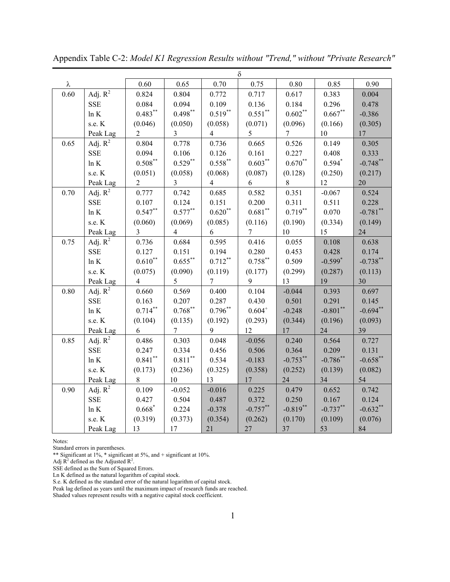|          | δ                   |                         |                         |                    |                    |             |             |             |  |  |
|----------|---------------------|-------------------------|-------------------------|--------------------|--------------------|-------------|-------------|-------------|--|--|
| λ        |                     | 0.60                    | 0.65                    | 0.70               | 0.75               | 0.80        | 0.85        | 0.90        |  |  |
| 0.60     | Adj. $\mathbf{R}^2$ | 0.824                   | 0.804                   | 0.772              | 0.717              | 0.617       | 0.383       | 0.004       |  |  |
|          | <b>SSE</b>          | 0.084                   | 0.094                   | 0.109              | 0.136              | 0.184       | 0.296       | 0.478       |  |  |
|          | $\ln K$             | $0.483***$              | $0.498***$              | $0.519***$         | $0.551$ **         | $0.602**$   | $0.667**$   | $-0.386$    |  |  |
|          | s.e. K              | (0.046)                 | (0.050)                 | (0.058)            | (0.071)            | (0.096)     | (0.166)     | (0.305)     |  |  |
|          | Peak Lag            | $\overline{2}$          | $\overline{3}$          | $\overline{4}$     | 5                  | $\tau$      | $10\,$      | 17          |  |  |
| 0.65     | Adj. $R^2$          | 0.804                   | 0.778                   | 0.736              | 0.665              | 0.526       | 0.149       | 0.305       |  |  |
|          | <b>SSE</b>          | 0.094                   | 0.106                   | 0.126              | 0.161              | 0.227       | 0.408       | 0.333       |  |  |
|          | $\ln K$             | $0.508^{\ast\ast}$      | $0.529***$              | $0.558^{\ast\ast}$ | $0.603***$         | $0.670**$   | $0.594*$    | $-0.748$ ** |  |  |
|          | s.e. K              | (0.051)                 | (0.058)                 | (0.068)            | (0.087)            | (0.128)     | (0.250)     | (0.217)     |  |  |
|          | Peak Lag            | $\overline{2}$          | $\overline{\mathbf{3}}$ | $\overline{4}$     | 6                  | $8\,$       | 12          | 20          |  |  |
| 0.70     | Adj. $R^2$          | 0.777                   | 0.742                   | 0.685              | 0.582              | 0.351       | $-0.067$    | 0.524       |  |  |
|          | <b>SSE</b>          | 0.107                   | 0.124                   | 0.151              | 0.200              | 0.311       | 0.511       | 0.228       |  |  |
|          | $\ln K$             | $0.547**$               | $0.577***$              | $0.620**$          | $0.681^{\ast\ast}$ | $0.719***$  | 0.070       | $-0.781$ ** |  |  |
|          | s.e. K              | (0.060)                 | (0.069)                 | (0.085)            | (0.116)            | (0.190)     | (0.334)     | (0.149)     |  |  |
|          | Peak Lag            | $\overline{\mathbf{3}}$ | $\overline{4}$          | 6                  | 7                  | 10          | 15          | 24          |  |  |
| 0.75     | Adj. $R^2$          | 0.736                   | 0.684                   | 0.595              | 0.416              | 0.055       | 0.108       | 0.638       |  |  |
|          | <b>SSE</b>          | 0.127                   | 0.151                   | 0.194              | 0.280              | 0.453       | 0.428       | 0.174       |  |  |
|          | ln K                | $0.610***$              | $0.655***$              | $0.712\sp{**}$     | $0.758***$         | 0.509       | $-0.599*$   | $-0.738$ ** |  |  |
|          | s.e. K              | (0.075)                 | (0.090)                 | (0.119)            | (0.177)            | (0.299)     | (0.287)     | (0.113)     |  |  |
|          | Peak Lag            | $\overline{4}$          | 5                       | $\overline{7}$     | 9                  | 13          | 19          | 30          |  |  |
| $0.80\,$ | Adj. $R^2$          | 0.660                   | 0.569                   | 0.400              | 0.104              | $-0.044$    | 0.393       | 0.697       |  |  |
|          | <b>SSE</b>          | 0.163                   | 0.207                   | 0.287              | 0.430              | 0.501       | 0.291       | 0.145       |  |  |
|          | $\ln K$             | $0.714***$              | $0.768***$              | $0.796**$          | $0.604^{+}$        | $-0.248$    | $-0.801$ ** | $-0.694**$  |  |  |
|          | s.e. K              | (0.104)                 | (0.135)                 | (0.192)            | (0.293)            | (0.344)     | (0.196)     | (0.093)     |  |  |
|          | Peak Lag            | 6                       | $\overline{7}$          | 9                  | 12                 | 17          | 24          | 39          |  |  |
| 0.85     | Adj. $R^2$          | 0.486                   | 0.303                   | 0.048              | $-0.056$           | 0.240       | 0.564       | 0.727       |  |  |
|          | <b>SSE</b>          | 0.247                   | 0.334                   | 0.456              | 0.506              | 0.364       | 0.209       | 0.131       |  |  |
|          | $\ln K$             | $0.841***$              | $0.811^{**}$            | 0.534              | $-0.183$           | $-0.753***$ | $-0.786$ ** | $-0.658$ ** |  |  |
|          | s.e. K              | (0.173)                 | (0.236)                 | (0.325)            | (0.358)            | (0.252)     | (0.139)     | (0.082)     |  |  |
|          | Peak Lag            | 8                       | 10                      | 13                 | 17                 | 24          | 34          | 54          |  |  |
| 0.90     | Adj. $R^2$          | 0.109                   | $-0.052$                | $-0.016$           | 0.225              | 0.479       | 0.652       | 0.742       |  |  |
|          | <b>SSE</b>          | 0.427                   | 0.504                   | 0.487              | 0.372              | 0.250       | 0.167       | 0.124       |  |  |
|          | $\ln K$             | $0.668*$                | 0.224                   | $-0.378$           | $-0.757**$         | $-0.819**$  | $-0.737**$  | $-0.632**$  |  |  |
|          | s.e. K              | (0.319)                 | (0.373)                 | (0.354)            | (0.262)            | (0.170)     | (0.109)     | (0.076)     |  |  |
|          | Peak Lag            | 13                      | $17\,$                  | 21                 | 27                 | 37          | 53          | 84          |  |  |

Appendix Table C-2: *Model K1 Regression Results without "Trend," without "Private Research"*

Standard errors in parentheses.

\*\* Significant at  $1\%$ , \* significant at 5%, and + significant at 10%.

Adj  $R^2$  defined as the Adjusted  $R^2$ .

SSE defined as the Sum of Squared Errors.

Ln K defined as the natural logarithm of capital stock.

S.e. K defined as the standard error of the natural logarithm of capital stock.

Peak lag defined as years until the maximum impact of research funds are reached.

Shaded values represent results with a negative capital stock coefficient.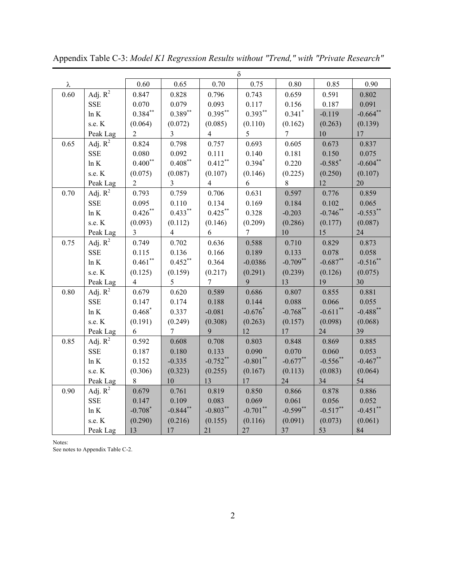|          |            | δ                     |                         |                |                |                      |                       |             |  |  |
|----------|------------|-----------------------|-------------------------|----------------|----------------|----------------------|-----------------------|-------------|--|--|
| λ        |            | 0.60                  | 0.65                    | 0.70           | 0.75           | 0.80                 | 0.85                  | 0.90        |  |  |
| 0.60     | Adj. $R^2$ | 0.847                 | 0.828                   | 0.796          | 0.743          | 0.659                | 0.591                 | 0.802       |  |  |
|          | <b>SSE</b> | 0.070                 | 0.079                   | 0.093          | 0.117          | 0.156                | 0.187                 | 0.091       |  |  |
|          | $\ln K$    | $0.384***$            | $0.389**$               | $0.395***$     | $0.393**$      | $0.341$ <sup>*</sup> | $-0.119$              | $-0.664$ ** |  |  |
|          | s.e. K     | (0.064)               | (0.072)                 | (0.085)        | (0.110)        | (0.162)              | (0.263)               | (0.139)     |  |  |
|          | Peak Lag   | $\overline{2}$        | $\overline{3}$          | $\overline{4}$ | 5              | $\overline{7}$       | $10\,$                | 17          |  |  |
| 0.65     | Adj. $R^2$ | 0.824                 | 0.798                   | 0.757          | 0.693          | 0.605                | 0.673                 | 0.837       |  |  |
|          | <b>SSE</b> | 0.080                 | 0.092                   | 0.111          | 0.140          | 0.181                | 0.150                 | 0.075       |  |  |
|          | $\ln K$    | $0.400^\ast{}^\ast$   | $0.408^{**}$            | $0.412***$     | $0.394*$       | 0.220                | $-0.585$ <sup>*</sup> | $-0.604**$  |  |  |
|          | s.e. K     | (0.075)               | (0.087)                 | (0.107)        | (0.146)        | (0.225)              | (0.250)               | (0.107)     |  |  |
|          | Peak Lag   | $\overline{2}$        | $\overline{\mathbf{3}}$ | $\overline{4}$ | 6              | $8\,$                | 12                    | 20          |  |  |
| 0.70     | Adj. $R^2$ | 0.793                 | 0.759                   | 0.706          | 0.631          | 0.597                | 0.776                 | 0.859       |  |  |
|          | <b>SSE</b> | 0.095                 | 0.110                   | 0.134          | 0.169          | 0.184                | 0.102                 | 0.065       |  |  |
|          | $\ln K$    | $0.426\sp{*}$         | $0.433***$              | $0.425***$     | 0.328          | $-0.203$             | $-0.746$ **           | $-0.553**$  |  |  |
|          | s.e. K     | (0.093)               | (0.112)                 | (0.146)        | (0.209)        | (0.286)              | (0.177)               | (0.087)     |  |  |
|          | Peak Lag   | $\overline{3}$        | $\overline{4}$          | 6              | $\overline{7}$ | 10                   | 15                    | 24          |  |  |
| 0.75     | Adj. $R^2$ | 0.749                 | 0.702                   | 0.636          | 0.588          | 0.710                | 0.829                 | 0.873       |  |  |
|          | <b>SSE</b> | 0.115                 | 0.136                   | 0.166          | 0.189          | 0.133                | 0.078                 | 0.058       |  |  |
|          | ln K       | $0.461$ **            | $0.452***$              | 0.364          | $-0.0386$      | $-0.709**$           | $-0.687**$            | $-0.516$ ** |  |  |
|          | s.e. K     | (0.125)               | (0.159)                 | (0.217)        | (0.291)        | (0.239)              | (0.126)               | (0.075)     |  |  |
|          | Peak Lag   | $\overline{4}$        | 5                       | $\overline{7}$ | 9              | 13                   | 19                    | 30          |  |  |
| $0.80\,$ | Adj. $R^2$ | 0.679                 | 0.620                   | 0.589          | 0.686          | 0.807                | 0.855                 | 0.881       |  |  |
|          | <b>SSE</b> | 0.147                 | 0.174                   | 0.188          | 0.144          | 0.088                | 0.066                 | 0.055       |  |  |
|          | ln K       | $0.468*$              | 0.337                   | $-0.081$       | $-0.676*$      | $-0.768$ **          | $-0.611$ **           | $-0.488$ ** |  |  |
|          | s.e. K     | (0.191)               | (0.249)                 | (0.308)        | (0.263)        | (0.157)              | (0.098)               | (0.068)     |  |  |
|          | Peak Lag   | 6                     | $\overline{7}$          | 9              | 12             | 17                   | 24                    | 39          |  |  |
| 0.85     | Adj. $R^2$ | 0.592                 | 0.608                   | 0.708          | 0.803          | 0.848                | 0.869                 | 0.885       |  |  |
|          | <b>SSE</b> | 0.187                 | 0.180                   | 0.133          | 0.090          | 0.070                | 0.060                 | 0.053       |  |  |
|          | $\ln K$    | 0.152                 | $-0.335$                | $-0.752$ **    | $-0.801$ **    | $-0.677**$           | $-0.556$ **           | $-0.467**$  |  |  |
|          | s.e. K     | (0.306)               | (0.323)                 | (0.255)        | (0.167)        | (0.113)              | (0.083)               | (0.064)     |  |  |
|          | Peak Lag   | $8\,$                 | 10                      | 13             | $17\,$         | 24                   | 34                    | 54          |  |  |
| 0.90     | Adj. $R^2$ | 0.679                 | 0.761                   | 0.819          | 0.850          | 0.866                | 0.878                 | 0.886       |  |  |
|          | <b>SSE</b> | 0.147                 | 0.109                   | 0.083          | 0.069          | 0.061                | 0.056                 | 0.052       |  |  |
|          | $\ln K$    | $-0.708$ <sup>*</sup> | $-0.844$ **             | $-0.803**$     | $-0.701**$     | $-0.599**$           | $-0.517**$            | $-0.451$ ** |  |  |
|          | s.e. K     | (0.290)               | (0.216)                 | (0.155)        | (0.116)        | (0.091)              | (0.073)               | (0.061)     |  |  |
|          | Peak Lag   | 13                    | 17                      | 21             | $27\,$         | 37                   | 53                    | 84          |  |  |

Appendix Table C-3: *Model K1 Regression Results without "Trend," with "Private Research"*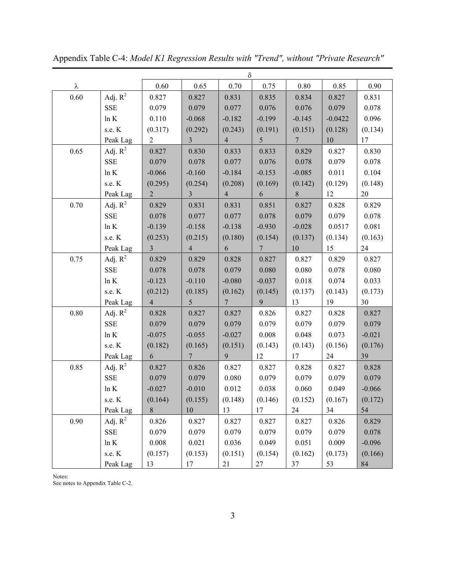|      |             |                |                 | δ               |                 |                 |           |           |
|------|-------------|----------------|-----------------|-----------------|-----------------|-----------------|-----------|-----------|
| λ    |             | 0.60           | 0.65            | 0.70            | 0.75            | $0.80\,$        | 0.85      | 0.90      |
| 0.60 | Adj. $R^2$  | 0.827          | 0.827           | 0.831           | 0.835           | 0.834           | 0.827     | 0.831     |
|      | <b>SSE</b>  | 0.079          | 0.079           | 0.077           | 0.076           | 0.076           | 0.079     | 0.078     |
|      | ln K        | 0.110          | $-0.068$        | $-0.182$        | $-0.199$        | $-0.145$        | $-0.0422$ | 0.096     |
|      | s.e. K      | (0.317)        | (0.292)         | (0.243)         | (0.191)         | (0.151)         | (0.128)   | (0.134)   |
|      | Peak Lag    | $\overline{2}$ | $\mathfrak{Z}$  | $\overline{4}$  | 5 <sup>5</sup>  | $7\phantom{.0}$ | 10        | 17        |
| 0.65 | Adj. $R^2$  | 0.827          | 0.830           | 0.833           | 0.833           | 0.829           | 0.827     | 0.830     |
|      | <b>SSE</b>  | 0.079          | 0.078           | 0.077           | 0.076           | 0.078           | 0.079     | 0.078     |
|      | $\ln K$     | $-0.066$       | $-0.160$        | $-0.184$        | $-0.153$        | $-0.085$        | 0.011     | 0.104     |
|      | s.e. K      | (0.295)        | (0.254)         | (0.208)         | (0.169)         | (0.142)         | (0.129)   | (0.148)   |
|      | Peak Lag    | $\overline{2}$ | $\overline{3}$  | $\overline{4}$  | 6               | $8\,$           | 12        | 20        |
| 0.70 | Adj. $R^2$  | 0.829          | 0.831           | 0.831           | 0.851           | 0.827           | 0.828     | 0.829     |
|      | <b>SSE</b>  | 0.078          | 0.077           | 0.077           | 0.078           | 0.079           | 0.079     | 0.078     |
|      | $\ln K$     | $-0.139$       | $-0.158$        | $-0.138$        | $-0.930$        | $-0.028$        | 0.0517    | 0.081     |
|      | s.e. K      | (0.253)        | (0.215)         | (0.180)         | (0.154)         | (0.137)         | (0.134)   | (0.163)   |
|      | Peak Lag    | $\overline{3}$ | $\overline{4}$  | 6               | $7\phantom{.0}$ | $10\,$          | 15        | 24        |
| 0.75 | Adj. $R^2$  | 0.829          | 0.829           | 0.828           | 0.827           | 0.827           | 0.829     | 0.827     |
|      | SSE         | 0.078          | 0.078           | 0.079           | 0.080           | 0.080           | 0.078     | $0.080\,$ |
|      | $\ln K$     | $-0.123$       | $-0.110$        | $-0.080$        | $-0.037$        | 0.018           | 0.074     | 0.033     |
|      | s.e. K      | (0.212)        | (0.185)         | (0.162)         | (0.145)         | (0.137)         | (0.143)   | (0.173)   |
|      | Peak Lag    | $\overline{4}$ | 5 <sup>5</sup>  | $7\phantom{.0}$ | 9               | 13              | 19        | 30        |
| 0.80 | Adj. $R^2$  | 0.828          | 0.827           | 0.827           | 0.826           | 0.827           | 0.828     | 0.827     |
|      | ${\rm SSE}$ | 0.079          | 0.079           | 0.079           | 0.079           | 0.079           | 0.079     | 0.079     |
|      | $\ln K$     | $-0.075$       | $-0.055$        | $-0.027$        | $0.008\,$       | 0.048           | 0.073     | $-0.021$  |
|      | s.e. K      | (0.182)        | (0.165)         | (0.151)         | (0.143)         | (0.143)         | (0.156)   | (0.176)   |
|      | Peak Lag    | 6              | $7\phantom{.0}$ | 9               | 12              | 17              | 24        | 39        |
| 0.85 | Adj. $R^2$  | 0.827          | 0.826           | 0.827           | 0.827           | 0.828           | 0.827     | 0.828     |
|      | <b>SSE</b>  | 0.079          | 0.079           | 0.080           | 0.079           | 0.079           | 0.079     | 0.079     |
|      | ln K        | $-0.027$       | $-0.010$        | 0.012           | 0.038           | 0.060           | 0.049     | $-0.066$  |
|      | s.e. K      | (0.164)        | (0.155)         | (0.148)         | (0.146)         | (0.152)         | (0.167)   | (0.172)   |
|      | Peak Lag    | 8              | 10              | 13              | 17              | 24              | 34        | 54        |
| 0.90 | Adj. $R^2$  | 0.826          | 0.827           | 0.827           | 0.827           | 0.827           | 0.826     | 0.829     |
|      | SSE         | 0.079          | 0.079           | 0.079           | 0.079           | 0.079           | 0.079     | 0.078     |
|      | ln K        | 0.008          | 0.021           | 0.036           | 0.049           | 0.051           | 0.009     | $-0.096$  |
|      | s.e. K      | (0.157)        | (0.153)         | (0.151)         | (0.154)         | (0.162)         | (0.173)   | (0.166)   |
|      | Peak Lag    | 13             | 17              | 21              | 27              | 37              | 53        | 84        |

Appendix Table C-4: *Model K1 Regression Results with "Trend", without "Private Research"*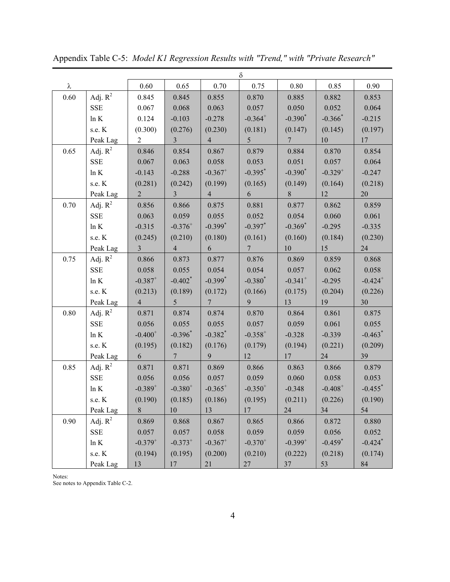|      |            |                       |                       |                       | δ              |                       |                       |                       |
|------|------------|-----------------------|-----------------------|-----------------------|----------------|-----------------------|-----------------------|-----------------------|
| λ    |            | 0.60                  | 0.65                  | 0.70                  | 0.75           | 0.80                  | 0.85                  | 0.90                  |
| 0.60 | Adj. $R^2$ | 0.845                 | 0.845                 | 0.855                 | 0.870          | 0.885                 | 0.882                 | 0.853                 |
|      | <b>SSE</b> | 0.067                 | 0.068                 | 0.063                 | 0.057          | 0.050                 | 0.052                 | 0.064                 |
|      | ln K       | 0.124                 | $-0.103$              | $-0.278$              | $-0.364^{+}$   | $-0.390^*$            | $-0.366*$             | $-0.215$              |
|      | s.e. K     | (0.300)               | (0.276)               | (0.230)               | (0.181)        | (0.147)               | (0.145)               | (0.197)               |
|      | Peak Lag   | $\overline{2}$        | $\mathfrak{Z}$        | $\overline{4}$        | 5 <sup>1</sup> | 7 <sup>7</sup>        | 10                    | 17                    |
| 0.65 | Adj. $R^2$ | 0.846                 | 0.854                 | 0.867                 | 0.879          | 0.884                 | 0.870                 | 0.854                 |
|      | SSE        | 0.067                 | 0.063                 | 0.058                 | 0.053          | 0.051                 | 0.057                 | 0.064                 |
|      | ln K       | $-0.143$              | $-0.288$              | $-0.367$ <sup>+</sup> | $-0.395^*$     | $-0.390^*$            | $-0.329^{+}$          | $-0.247$              |
|      | s.e. K     | (0.281)               | (0.242)               | (0.199)               | (0.165)        | (0.149)               | (0.164)               | (0.218)               |
|      | Peak Lag   | $\overline{2}$        | 3 <sup>1</sup>        | $\overline{4}$        | 6 <sup>1</sup> | 8                     | 12                    | 20                    |
| 0.70 | Adj. $R^2$ | 0.856                 | 0.866                 | 0.875                 | 0.881          | 0.877                 | 0.862                 | 0.859                 |
|      | SSE        | 0.063                 | 0.059                 | 0.055                 | 0.052          | 0.054                 | 0.060                 | 0.061                 |
|      | ln K       | $-0.315$              | $-0.376^{+}$          | $-0.399$ <sup>*</sup> | $-0.397$ *     | $-0.369$ <sup>*</sup> | $-0.295$              | $-0.335$              |
|      | s.e. K     | (0.245)               | (0.210)               | (0.180)               | (0.161)        | (0.160)               | (0.184)               | (0.230)               |
|      | Peak Lag   | $\overline{3}$        | $\overline{4}$        | 6                     | 7 <sup>7</sup> | $10\,$                | 15                    | 24                    |
| 0.75 | Adj. $R^2$ | 0.866                 | 0.873                 | 0.877                 | 0.876          | 0.869                 | 0.859                 | 0.868                 |
|      | <b>SSE</b> | 0.058                 | 0.055                 | 0.054                 | 0.054          | 0.057                 | 0.062                 | 0.058                 |
|      | ln K       | $-0.387$ <sup>+</sup> | $-0.402$ <sup>*</sup> | $-0.399$ <sup>*</sup> | $-0.380*$      | $-0.341$ <sup>+</sup> | $-0.295$              | $-0.424$ <sup>+</sup> |
|      | s.e. K     | (0.213)               | (0.189)               | (0.172)               | (0.166)        | (0.175)               | (0.204)               | (0.226)               |
|      | Peak Lag   | 4                     | 5 <sup>5</sup>        | $7\phantom{0}$        | 9              | 13                    | 19                    | 30                    |
| 0.80 | Adj. $R^2$ | 0.871                 | 0.874                 | 0.874                 | 0.870          | 0.864                 | 0.861                 | 0.875                 |
|      | SSE        | 0.056                 | 0.055                 | 0.055                 | 0.057          | 0.059                 | 0.061                 | 0.055                 |
|      | ln K       | $-0.400^{+}$          | $-0.396^*$            | $-0.382$ <sup>*</sup> | $-0.358^{+}$   | $-0.328$              | $-0.339$              | $-0.463$ <sup>*</sup> |
|      | s.e. K     | (0.195)               | (0.182)               | (0.176)               | (0.179)        | (0.194)               | (0.221)               | (0.209)               |
|      | Peak Lag   | 6                     | $7\phantom{.0}$       | 9                     | 12             | 17                    | 24                    | 39                    |
| 0.85 | Adj. $R^2$ | 0.871                 | 0.871                 | 0.869                 | 0.866          | 0.863                 | 0.866                 | 0.879                 |
|      | <b>SSE</b> | 0.056                 | 0.056                 | 0.057                 | 0.059          | 0.060                 | 0.058                 | 0.053                 |
|      | ln K       | $-0.389^{+}$          | $-0.380^{+}$          | $-0.365^{+}$          | $-0.350^{+}$   | $-0.348$              | $-0.408^{+}$          | $-0.455$ <sup>*</sup> |
|      | s.e. K     | (0.190)               | (0.185)               | (0.186)               | (0.195)        | (0.211)               | (0.226)               | (0.190)               |
|      | Peak Lag   | 8                     | 10                    | 13                    | 17             | 24                    | 34                    | 54                    |
| 0.90 | Adj. $R^2$ | 0.869                 | 0.868                 | 0.867                 | 0.865          | 0.866                 | 0.872                 | 0.880                 |
|      | SSE        | 0.057                 | 0.057                 | 0.058                 | 0.059          | 0.059                 | 0.056                 | 0.052                 |
|      | ln K       | $-0.379^{+}$          | $-0.373^{+}$          | $-0.367$ <sup>+</sup> | $-0.370^{+}$   | $-0.399^{+}$          | $-0.459$ <sup>*</sup> | $-0.424$ <sup>*</sup> |
|      | s.e. K     | (0.194)               | (0.195)               | (0.200)               | (0.210)        | (0.222)               | (0.218)               | (0.174)               |
|      | Peak Lag   | 13                    | 17                    | 21                    | 27             | 37                    | 53                    | 84                    |

Appendix Table C-5: *Model K1 Regression Results with "Trend," with "Private Research"*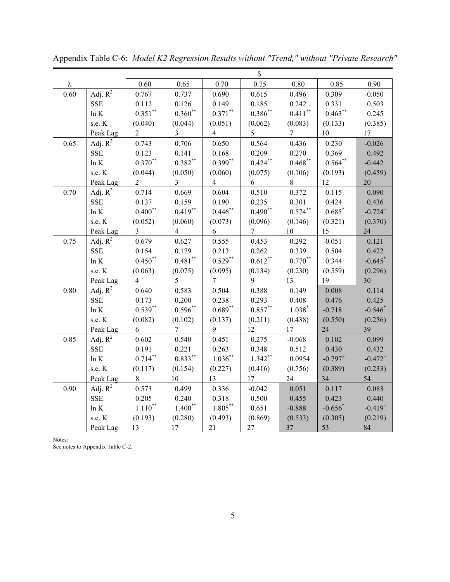|      |            |                     |                     |                    | $\delta$           |                    |                       |                       |
|------|------------|---------------------|---------------------|--------------------|--------------------|--------------------|-----------------------|-----------------------|
| λ    |            | 0.60                | 0.65                | 0.70               | 0.75               | 0.80               | 0.85                  | 0.90                  |
| 0.60 | Adj. $R^2$ | 0.767               | 0.737               | 0.690              | 0.615              | 0.496              | 0.309                 | $-0.050$              |
|      | <b>SSE</b> | 0.112               | 0.126               | 0.149              | 0.185              | 0.242              | 0.331                 | 0.503                 |
|      | $\ln K$    | $0.351***$          | $0.360^\ast{}^\ast$ | $0.371^{\ast\ast}$ | $0.386^{\ast\ast}$ | $0.411^{\ast\ast}$ | $0.463***$            | 0.245                 |
|      | s.e. K     | (0.040)             | (0.044)             | (0.051)            | (0.062)            | (0.083)            | (0.133)               | (0.385)               |
|      | Peak Lag   | $\overline{2}$      | $\overline{3}$      | $\overline{4}$     | 5                  | $\overline{7}$     | $10\,$                | 17                    |
| 0.65 | Adj. $R^2$ | 0.743               | 0.706               | 0.650              | 0.564              | 0.436              | 0.230                 | $-0.026$              |
|      | <b>SSE</b> | 0.123               | 0.141               | 0.168              | 0.209              | 0.270              | 0.369                 | 0.492                 |
|      | $\ln K$    | $0.370^{\ast\ast}$  | $0.382**$           | $0.399***$         | $0.424***$         | $0.468***$         | $0.564***$            | $-0.442$              |
|      | s.e. K     | (0.044)             | (0.050)             | (0.060)            | (0.075)            | (0.106)            | (0.193)               | (0.459)               |
|      | Peak Lag   | $\overline{c}$      | $\overline{3}$      | 4                  | 6                  | $8\,$              | 12                    | 20                    |
| 0.70 | Adj. $R^2$ | 0.714               | 0.669               | 0.604              | 0.510              | 0.372              | 0.115                 | 0.090                 |
|      | <b>SSE</b> | 0.137               | 0.159               | 0.190              | 0.235              | 0.301              | 0.424                 | 0.436                 |
|      | ln K       | $0.400$ **          | $0.419***$          | $0.446$ **         | $0.490**$          | $0.574***$         | $0.685*$              | $-0.724$ <sup>+</sup> |
|      | s.e. K     | (0.052)             | (0.060)             | (0.073)            | (0.096)            | (0.146)            | (0.321)               | (0.370)               |
|      | Peak Lag   | $\overline{3}$      | $\overline{4}$      | 6                  | 7                  | 10                 | 15                    | 24                    |
| 0.75 | Adj. $R^2$ | 0.679               | 0.627               | 0.555              | 0.453              | 0.292              | $-0.051$              | 0.121                 |
|      | <b>SSE</b> | 0.154               | 0.179               | 0.213              | 0.262              | 0.339              | 0.504                 | 0.422                 |
|      | ln K       | $0.450**$           | $0.481$ **          | $0.529***$         | $0.612***$         | $0.770**$          | 0.344                 | $-0.645$ *            |
|      | s.e. K     | (0.063)             | (0.075)             | (0.095)            | (0.134)            | (0.230)            | (0.559)               | (0.296)               |
|      | Peak Lag   | $\overline{4}$      | 5                   | 7                  | 9                  | 13                 | 19                    | 30                    |
| 0.80 | Adj. $R^2$ | 0.640               | 0.583               | 0.504              | 0.388              | 0.149              | 0.008                 | 0.114                 |
|      | <b>SSE</b> | 0.173               | 0.200               | 0.238              | 0.293              | 0.408              | 0.476                 | 0.425                 |
|      | ln K       | $0.539**$           | $0.596**$           | $0.689**$          | $0.857***$         | $1.038*$           | $-0.718$              | $-0.546*$             |
|      | s.e. K     | (0.082)             | (0.102)             | (0.137)            | (0.211)            | (0.438)            | (0.550)               | (0.256)               |
|      | Peak Lag   | 6                   | $\overline{7}$      | 9                  | 12                 | 17                 | 24                    | 39                    |
| 0.85 | Adj. $R^2$ | 0.602               | 0.540               | 0.451              | 0.275              | $-0.068$           | 0.102                 | 0.099                 |
|      | <b>SSE</b> | 0.191               | 0.221               | 0.263              | 0.348              | 0.512              | 0.430                 | 0.432                 |
|      | $\ln K$    | $0.714***$          | $0.833***$          | $1.036***$         | $1.342**$          | 0.0954             | $-0.797$ <sup>+</sup> | $-0.472^{+}$          |
|      | s.e. K     | (0.117)             | (0.154)             | (0.227)            | (0.416)            | (0.756)            | (0.389)               | (0.233)               |
|      | Peak Lag   | $8\,$               | 10                  | 13                 | 17                 | 24                 | 34                    | 54                    |
| 0.90 | Adj. $R^2$ | 0.573               | 0.499               | 0.336              | $-0.042$           | 0.051              | 0.117                 | 0.083                 |
|      | <b>SSE</b> | 0.205               | 0.240               | 0.318              | 0.500              | 0.455              | 0.423                 | 0.440                 |
|      | $\ln K$    | $1.110^\ast{}^\ast$ | $1.400**$           | $1.805***$         | 0.651              | $-0.888$           | $-0.656*$             | $-0.419^{+}$          |
|      | s.e. K     | (0.193)             | (0.280)             | (0.493)            | (0.869)            | (0.533)            | (0.305)               | (0.219)               |
|      | Peak Lag   | 13                  | 17                  | 21                 | 27                 | 37                 | 53                    | 84                    |

Appendix Table C-6: *Model K2 Regression Results without "Trend," without "Private Research"*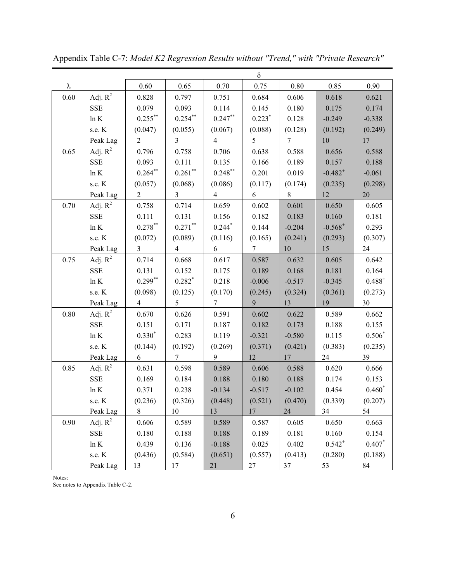|      |            |                |                |                      | $\delta$        |                 |              |             |
|------|------------|----------------|----------------|----------------------|-----------------|-----------------|--------------|-------------|
| λ    |            | 0.60           | 0.65           | 0.70                 | 0.75            | 0.80            | 0.85         | 0.90        |
| 0.60 | Adj. $R^2$ | 0.828          | 0.797          | 0.751                | 0.684           | 0.606           | 0.618        | 0.621       |
|      | <b>SSE</b> | 0.079          | 0.093          | 0.114                | 0.145           | 0.180           | 0.175        | 0.174       |
|      | $\ln K$    | $0.255***$     | $0.254$ **     | $0.247***$           | $0.223*$        | 0.128           | $-0.249$     | $-0.338$    |
|      | s.e. K     | (0.047)        | (0.055)        | (0.067)              | (0.088)         | (0.128)         | (0.192)      | (0.249)     |
|      | Peak Lag   | $\overline{2}$ | $\mathfrak{Z}$ | $\overline{4}$       | 5 <sup>5</sup>  | $7\phantom{.0}$ | 10           | 17          |
| 0.65 | Adj. $R^2$ | 0.796          | 0.758          | 0.706                | 0.638           | 0.588           | 0.656        | 0.588       |
|      | <b>SSE</b> | 0.093          | 0.111          | 0.135                | 0.166           | 0.189           | 0.157        | 0.188       |
|      | $\ln K$    | $0.264***$     | $0.261$ **     | $0.248***$           | 0.201           | 0.019           | $-0.482^{+}$ | $-0.061$    |
|      | s.e. K     | (0.057)        | (0.068)        | (0.086)              | (0.117)         | (0.174)         | (0.235)      | (0.298)     |
|      | Peak Lag   | $\overline{2}$ | 3 <sup>7</sup> | $\overline{4}$       | 6               | 8               | 12           | 20          |
| 0.70 | Adj. $R^2$ | 0.758          | 0.714          | 0.659                | 0.602           | 0.601           | 0.650        | 0.605       |
|      | <b>SSE</b> | 0.111          | 0.131          | 0.156                | 0.182           | 0.183           | 0.160        | 0.181       |
|      | $\ln K$    | $0.278***$     | $0.271$ **     | $0.244$ <sup>*</sup> | 0.144           | $-0.204$        | $-0.568^{+}$ | 0.293       |
|      | s.e. K     | (0.072)        | (0.089)        | (0.116)              | (0.165)         | (0.241)         | (0.293)      | (0.307)     |
|      | Peak Lag   | $\mathfrak{Z}$ | $\overline{4}$ | 6                    | $\tau$          | 10              | 15           | 24          |
| 0.75 | Adj. $R^2$ | 0.714          | 0.668          | 0.617                | 0.587           | 0.632           | 0.605        | 0.642       |
|      | <b>SSE</b> | 0.131          | 0.152          | 0.175                | 0.189           | 0.168           | 0.181        | 0.164       |
|      | $\ln K$    | $0.299***$     | $0.282*$       | 0.218                | $-0.006$        | $-0.517$        | $-0.345$     | $0.488^{+}$ |
|      | s.e. K     | (0.098)        | (0.125)        | (0.170)              | (0.245)         | (0.324)         | (0.361)      | (0.273)     |
|      | Peak Lag   | $\overline{4}$ | 5              | $\tau$               | 9               | 13              | 19           | 30          |
| 0.80 | Adj. $R^2$ | 0.670          | 0.626          | 0.591                | 0.602           | 0.622           | 0.589        | 0.662       |
|      | <b>SSE</b> | 0.151          | 0.171          | 0.187                | 0.182           | 0.173           | 0.188        | 0.155       |
|      | ln K       | $0.330*$       | 0.283          | 0.119                | $-0.321$        | $-0.580$        | 0.115        | $0.506*$    |
|      | s.e. K     | (0.144)        | (0.192)        | (0.269)              | (0.371)         | (0.421)         | (0.383)      | (0.235)     |
|      | Peak Lag   | 6              | $\tau$         | 9                    | 12              | 17              | 24           | 39          |
| 0.85 | Adj. $R^2$ | 0.631          | 0.598          | 0.589                | 0.606           | 0.588           | 0.620        | 0.666       |
|      | <b>SSE</b> | 0.169          | 0.184          | 0.188                | 0.180           | 0.188           | 0.174        | 0.153       |
|      | ln K       | 0.371          | 0.238          | $-0.134$             | $-0.517$        | $-0.102$        | 0.454        | $0.460*$    |
|      | s.e. K     | (0.236)        | (0.326)        | (0.448)              | (0.521) (0.470) |                 | (0.339)      | (0.207)     |
|      | Peak Lag   | 8              | 10             | 13                   | 17              | 24              | 34           | 54          |
| 0.90 | Adj. $R^2$ | 0.606          | 0.589          | 0.589                | 0.587           | 0.605           | 0.650        | 0.663       |
|      | <b>SSE</b> | 0.180          | 0.188          | 0.188                | 0.189           | 0.181           | 0.160        | 0.154       |
|      | $\ln K$    | 0.439          | 0.136          | $-0.188$             | 0.025           | 0.402           | $0.542^{+}$  | $0.407*$    |
|      | s.e. K     | (0.436)        | (0.584)        | (0.651)              | (0.557)         | (0.413)         | (0.280)      | (0.188)     |
|      | Peak Lag   | 13             | 17             | 21                   | 27              | 37              | 53           | 84          |

Appendix Table C-7: *Model K2 Regression Results without "Trend," with "Private Research"*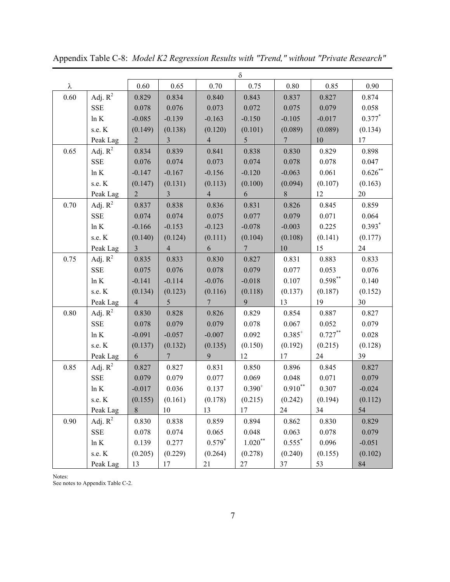|          |            |                |                 |                 | δ               |                 |                    |            |
|----------|------------|----------------|-----------------|-----------------|-----------------|-----------------|--------------------|------------|
| λ        |            | $0.60\,$       | 0.65            | 0.70            | 0.75            | 0.80            | 0.85               | 0.90       |
| 0.60     | Adj. $R^2$ | 0.829          | 0.834           | 0.840           | 0.843           | 0.837           | 0.827              | 0.874      |
|          | <b>SSE</b> | 0.078          | 0.076           | 0.073           | 0.072           | 0.075           | 0.079              | 0.058      |
|          | ln K       | $-0.085$       | $-0.139$        | $-0.163$        | $-0.150$        | $-0.105$        | $-0.017$           | $0.377*$   |
|          | s.e. K     | (0.149)        | (0.138)         | (0.120)         | (0.101)         | (0.089)         | (0.089)            | (0.134)    |
|          | Peak Lag   | $\overline{2}$ | $\mathfrak{Z}$  | $\overline{4}$  | 5 <sup>5</sup>  | $7\overline{ }$ | 10                 | 17         |
| 0.65     | Adj. $R^2$ | 0.834          | 0.839           | 0.841           | 0.838           | 0.830           | 0.829              | 0.898      |
|          | <b>SSE</b> | 0.076          | 0.074           | 0.073           | 0.074           | 0.078           | 0.078              | 0.047      |
|          | ln K       | $-0.147$       | $-0.167$        | $-0.156$        | $-0.120$        | $-0.063$        | 0.061              | $0.626***$ |
|          | s.e. K     | (0.147)        | (0.131)         | (0.113)         | (0.100)         | (0.094)         | (0.107)            | (0.163)    |
|          | Peak Lag   | $\overline{2}$ | $\mathfrak{Z}$  | $\overline{4}$  | 6               | 8               | 12                 | 20         |
| 0.70     | Adj. $R^2$ | 0.837          | 0.838           | 0.836           | 0.831           | 0.826           | 0.845              | 0.859      |
|          | <b>SSE</b> | 0.074          | 0.074           | 0.075           | 0.077           | 0.079           | 0.071              | 0.064      |
|          | ln K       | $-0.166$       | $-0.153$        | $-0.123$        | $-0.078$        | $-0.003$        | 0.225              | $0.393*$   |
|          | s.e. K     | (0.140)        | (0.124)         | (0.111)         | (0.104)         | (0.108)         | (0.141)            | (0.177)    |
|          | Peak Lag   | $\mathfrak{Z}$ | $\overline{4}$  | 6               | $7\phantom{.0}$ | 10              | 15                 | 24         |
| 0.75     | Adj. $R^2$ | 0.835          | 0.833           | 0.830           | 0.827           | 0.831           | 0.883              | 0.833      |
|          | SSE        | 0.075          | 0.076           | 0.078           | 0.079           | 0.077           | 0.053              | 0.076      |
|          | $\ln K$    | $-0.141$       | $-0.114$        | $-0.076$        | $-0.018$        | 0.107           | $0.598^{\ast\ast}$ | 0.140      |
|          | s.e. K     | (0.134)        | (0.123)         | (0.116)         | (0.118)         | (0.137)         | (0.187)            | (0.152)    |
|          | Peak Lag   | 4              | $5\overline{)}$ | $7\phantom{.0}$ | 9               | 13              | 19                 | 30         |
| $0.80\,$ | Adj. $R^2$ | 0.830          | 0.828           | 0.826           | 0.829           | 0.854           | 0.887              | 0.827      |
|          | <b>SSE</b> | 0.078          | 0.079           | 0.079           | 0.078           | 0.067           | 0.052              | 0.079      |
|          | ln K       | $-0.091$       | $-0.057$        | $-0.007$        | 0.092           | $0.385^{+}$     | $0.727***$         | 0.028      |
|          | s.e. K     | (0.137)        | (0.132)         | (0.135)         | (0.150)         | (0.192)         | (0.215)            | (0.128)    |
|          | Peak Lag   | 6              | $7\overline{ }$ | 9               | 12              | 17              | 24                 | 39         |
| 0.85     | Adj. $R^2$ | 0.827          | 0.827           | 0.831           | 0.850           | 0.896           | 0.845              | 0.827      |
|          | SSE        | 0.079          | 0.079           | 0.077           | 0.069           | 0.048           | 0.071              | 0.079      |
|          | $\ln K$    | $-0.017$       | 0.036           | 0.137           | $0.390^{+}$     | $0.910**$       | 0.307              | $-0.024$   |
|          | s.e. K     | (0.155)        | (0.161)         | (0.178)         | (0.215)         | (0.242)         | (0.194)            | (0.112)    |
|          | Peak Lag   | 8              | 10              | 13              | 17              | 24              | 34                 | 54         |
| 0.90     | Adj. $R^2$ | 0.830          | 0.838           | 0.859           | 0.894           | 0.862           | 0.830              | 0.829      |
|          | SSE        | 0.078          | 0.074           | 0.065           | 0.048           | 0.063           | 0.078              | 0.079      |
|          | ln K       | 0.139          | 0.277           | $0.579*$        | $1.020\sp{*}^*$ | $0.555*$        | 0.096              | $-0.051$   |
|          | s.e. K     | (0.205)        | (0.229)         | (0.264)         | (0.278)         | (0.240)         | (0.155)            | (0.102)    |
|          | Peak Lag   | 13             | 17              | 21              | 27              | 37              | 53                 | 84         |

Appendix Table C-8: *Model K2 Regression Results with "Trend," without "Private Research"*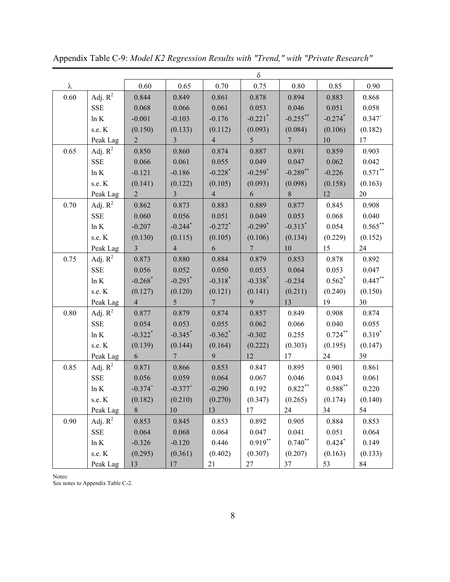|      |            |                       |                       |                       | $\delta$              |                       |                       |             |
|------|------------|-----------------------|-----------------------|-----------------------|-----------------------|-----------------------|-----------------------|-------------|
| λ    |            | 0.60                  | 0.65                  | 0.70                  | 0.75                  | $0.80\,$              | 0.85                  | 0.90        |
| 0.60 | Adj. $R^2$ | 0.844                 | 0.849                 | 0.861                 | 0.878                 | 0.894                 | 0.883                 | 0.868       |
|      | <b>SSE</b> | 0.068                 | 0.066                 | 0.061                 | 0.053                 | 0.046                 | 0.051                 | 0.058       |
|      | ln K       | $-0.001$              | $-0.103$              | $-0.176$              | $-0.221$ <sup>*</sup> | $-0.255$ **           | $-0.274$ <sup>*</sup> | $0.347^{+}$ |
|      | s.e. K     | (0.150)               | (0.133)               | (0.112)               | (0.093)               | (0.084)               | (0.106)               | (0.182)     |
|      | Peak Lag   | $\overline{2}$        | $\overline{3}$        | $\overline{4}$        | 5 <sup>5</sup>        | $7\overline{ }$       | $10\,$                | 17          |
| 0.65 | Adj. $R^2$ | 0.850                 | 0.860                 | 0.874                 | 0.887                 | 0.891                 | 0.859                 | 0.903       |
|      | <b>SSE</b> | 0.066                 | 0.061                 | 0.055                 | 0.049                 | 0.047                 | 0.062                 | 0.042       |
|      | ln K       | $-0.121$              | $-0.186$              | $-0.228$ <sup>*</sup> | $-0.259$ <sup>*</sup> | $-0.289$ **           | $-0.226$              | $0.571$ **  |
|      | s.e. K     | (0.141)               | (0.122)               | (0.105)               | (0.093)               | (0.098)               | (0.158)               | (0.163)     |
|      | Peak Lag   | $\overline{2}$        | $\overline{3}$        | $\overline{4}$        | 6                     | 8                     | 12                    | 20          |
| 0.70 | Adj. $R^2$ | 0.862                 | 0.873                 | 0.883                 | 0.889                 | 0.877                 | 0.845                 | 0.908       |
|      | <b>SSE</b> | 0.060                 | 0.056                 | 0.051                 | 0.049                 | 0.053                 | 0.068                 | 0.040       |
|      | ln K       | $-0.207$              | $-0.244$ <sup>*</sup> | $-0.272$ <sup>*</sup> | $-0.299$ <sup>*</sup> | $-0.313$ <sup>*</sup> | 0.054                 | $0.565***$  |
|      | s.e. K     | (0.130)               | (0.115)               | (0.105)               | (0.106)               | (0.134)               | (0.229)               | (0.152)     |
|      | Peak Lag   | $\mathfrak{Z}$        | $\overline{4}$        | 6                     | $7\overline{ }$       | 10                    | 15                    | 24          |
| 0.75 | Adj. $R^2$ | 0.873                 | 0.880                 | 0.884                 | 0.879                 | 0.853                 | 0.878                 | 0.892       |
|      | <b>SSE</b> | 0.056                 | 0.052                 | 0.050                 | 0.053                 | 0.064                 | 0.053                 | 0.047       |
|      | ln K       | $-0.268$ <sup>*</sup> | $-0.293$ <sup>*</sup> | $-0.318$ <sup>*</sup> | $-0.338*$             | $-0.234$              | $0.562*$              | $0.447**$   |
|      | s.e. K     | (0.127)               | (0.120)               | (0.121)               | (0.141)               | (0.211)               | (0.240)               | (0.150)     |
|      | Peak Lag   | $\overline{4}$        | 5 <sup>5</sup>        | $7\phantom{.0}$       | 9                     | 13                    | 19                    | 30          |
| 0.80 | Adj. $R^2$ | 0.877                 | 0.879                 | 0.874                 | 0.857                 | 0.849                 | 0.908                 | 0.874       |
|      | SSE        | 0.054                 | 0.053                 | 0.055                 | 0.062                 | 0.066                 | 0.040                 | 0.055       |
|      | ln K       | $-0.322$ <sup>*</sup> | $-0.345$ *            | $-0.362^*$            | $-0.302$              | 0.255                 | $0.724***$            | $0.319*$    |
|      | s.e. K     | (0.139)               | (0.144)               | (0.164)               | (0.222)               | (0.303)               | (0.195)               | (0.147)     |
|      | Peak Lag   | 6                     | $7\overline{ }$       | 9                     | 12                    | 17                    | 24                    | 39          |
| 0.85 | Adj. $R^2$ | 0.871                 | 0.866                 | 0.853                 | 0.847                 | 0.895                 | 0.901                 | 0.861       |
|      | SSE        | 0.056                 | 0.059                 | 0.064                 | 0.067                 | 0.046                 | 0.043                 | 0.061       |
|      | ln K       | $-0.374^{+}$          | $-0.377^{+}$          | $-0.290$              | 0.192                 | $0.822$ **            | $0.588***$            | 0.220       |
|      | s.e. K     | (0.182)               | (0.210)               | (0.270)               | (0.347)               | (0.265)               | (0.174)               | (0.140)     |
|      | Peak Lag   | 8                     | 10                    | 13                    | 17                    | 24                    | 34                    | 54          |
| 0.90 | Adj. $R^2$ | 0.853                 | 0.845                 | 0.853                 | 0.892                 | 0.905                 | 0.884                 | 0.853       |
|      | SSE        | 0.064                 | 0.068                 | 0.064                 | 0.047                 | 0.041                 | 0.051                 | 0.064       |
|      | ln K       | $-0.326$              | $-0.120$              | 0.446                 | $0.919**$             | $0.740**$             | $0.424*$              | 0.149       |
|      | s.e. K     | (0.295)               | (0.361)               | (0.402)               | (0.307)               | (0.207)               | (0.163)               | (0.133)     |
|      | Peak Lag   | 13                    | 17                    | 21                    | 27                    | 37                    | 53                    | 84          |

Appendix Table C-9: *Model K2 Regression Results with "Trend," with "Private Research"*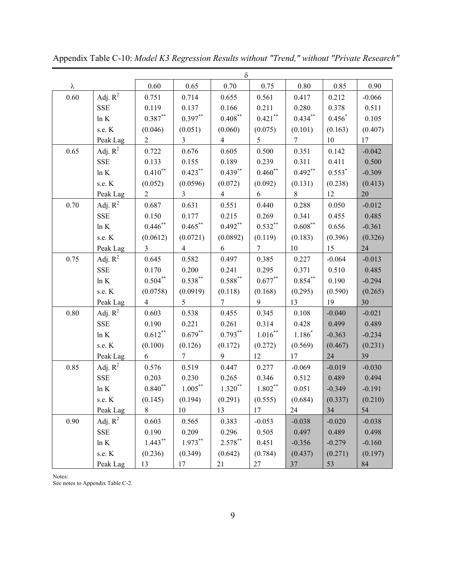|      |            |                     |                 | δ                   |                |                |          |          |
|------|------------|---------------------|-----------------|---------------------|----------------|----------------|----------|----------|
| λ    |            | 0.60                | 0.65            | 0.70                | 0.75           | 0.80           | 0.85     | 0.90     |
| 0.60 | Adj. $R^2$ | 0.751               | 0.714           | 0.655               | 0.561          | 0.417          | 0.212    | $-0.066$ |
|      | <b>SSE</b> | 0.119               | 0.137           | 0.166               | 0.211          | 0.280          | 0.378    | 0.511    |
|      | $\ln K$    | $0.387**$           | $0.397**$       | $0.408^\ast{}^\ast$ | $0.421$ **     | $0.434***$     | $0.456*$ | 0.105    |
|      | s.e. K     | (0.046)             | (0.051)         | (0.060)             | (0.075)        | (0.101)        | (0.163)  | (0.407)  |
|      | Peak Lag   | $\overline{2}$      | $\overline{3}$  | $\overline{4}$      | 5              | $\overline{7}$ | 10       | 17       |
| 0.65 | Adj. $R^2$ | 0.722               | 0.676           | 0.605               | 0.500          | 0.351          | 0.142    | $-0.042$ |
|      | <b>SSE</b> | 0.133               | 0.155           | 0.189               | 0.239          | 0.311          | 0.411    | 0.500    |
|      | $\ln K$    | $0.410^{**}$        | $0.423***$      | $0.439**$           | $0.460$ **     | $0.492**$      | $0.553*$ | $-0.309$ |
|      | s.e. K     | (0.052)             | (0.0596)        | (0.072)             | (0.092)        | (0.131)        | (0.238)  | (0.413)  |
|      | Peak Lag   | $\overline{2}$      | $\overline{3}$  | $\overline{4}$      | 6              | 8              | 12       | 20       |
| 0.70 | Adj. $R^2$ | 0.687               | 0.631           | 0.551               | 0.440          | 0.288          | 0.050    | $-0.012$ |
|      | <b>SSE</b> | 0.150               | 0.177           | 0.215               | 0.269          | 0.341          | 0.455    | 0.485    |
|      | ln K       | $0.446$ **          | $0.465***$      | $0.492**$           | $0.532***$     | $0.608***$     | 0.656    | $-0.361$ |
|      | s.e. K     | (0.0612)            | (0.0721)        | (0.0892)            | (0.119)        | (0.183)        | (0.396)  | (0.326)  |
|      | Peak Lag   | $\overline{3}$      | $\overline{4}$  | 6                   | $\overline{7}$ | 10             | 15       | 24       |
| 0.75 | Adj. $R^2$ | 0.645               | 0.582           | 0.497               | 0.385          | 0.227          | $-0.064$ | $-0.013$ |
|      | <b>SSE</b> | 0.170               | 0.200           | 0.241               | 0.295          | 0.371          | 0.510    | 0.485    |
|      | ln K       | $0.504***$          | $0.538***$      | $0.588^{\ast\ast}$  | $0.677**$      | $0.854***$     | 0.190    | $-0.294$ |
|      | s.e. K     | (0.0758)            | (0.0919)        | (0.118)             | (0.168)        | (0.295)        | (0.590)  | (0.265)  |
|      | Peak Lag   | $\overline{4}$      | 5               | $\tau$              | 9              | 13             | 19       | 30       |
| 0.80 | Adj. $R^2$ | 0.603               | 0.538           | 0.455               | 0.345          | 0.108          | $-0.040$ | $-0.021$ |
|      | <b>SSE</b> | 0.190               | 0.221           | 0.261               | 0.314          | 0.428          | 0.499    | 0.489    |
|      | ln K       | $0.612***$          | $0.679**$       | $0.793**$           | $1.016^{**}$   | $1.186*$       | $-0.363$ | $-0.234$ |
|      | s.e. K     | (0.100)             | (0.126)         | (0.172)             | (0.272)        | (0.569)        | (0.467)  | (0.231)  |
|      | Peak Lag   | 6                   | $7\overline{ }$ | 9                   | 12             | 17             | 24       | 39       |
| 0.85 | Adj. $R^2$ | 0.576               | 0.519           | 0.447               | 0.277          | $-0.069$       | $-0.019$ | $-0.030$ |
|      | <b>SSE</b> | 0.203               | 0.230           | 0.265               | 0.346          | 0.512          | 0.489    | 0.494    |
|      | $\ln K$    | $0.840^\ast{}^\ast$ | $1.005***$      | $1.320**$           | $1.802***$     | 0.051          | $-0.349$ | $-0.191$ |
|      | s.e. K     | (0.145)             | (0.194)         | (0.291)             | (0.555)        | (0.684)        | (0.337)  | (0.210)  |
|      | Peak Lag   | $8\,$               | 10              | 13                  | 17             | 24             | 34       | 54       |
| 0.90 | Adj. $R^2$ | 0.603               | 0.565           | 0.383               | $-0.053$       | $-0.038$       | $-0.020$ | $-0.038$ |
|      | <b>SSE</b> | 0.190               | 0.209           | 0.296               | 0.505          | 0.497          | 0.489    | 0.498    |
|      | ln K       | $1.443***$          | $1.973**$       | $2.578***$          | 0.451          | $-0.356$       | $-0.279$ | $-0.160$ |
|      | s.e. K     | (0.236)             | (0.349)         | (0.642)             | (0.784)        | (0.437)        | (0.271)  | (0.197)  |
|      | Peak Lag   | 13                  | 17              | 21                  | 27             | 37             | 53       | 84       |

Appendix Table C-10: *Model K3 Regression Results without "Trend," without "Private Research"*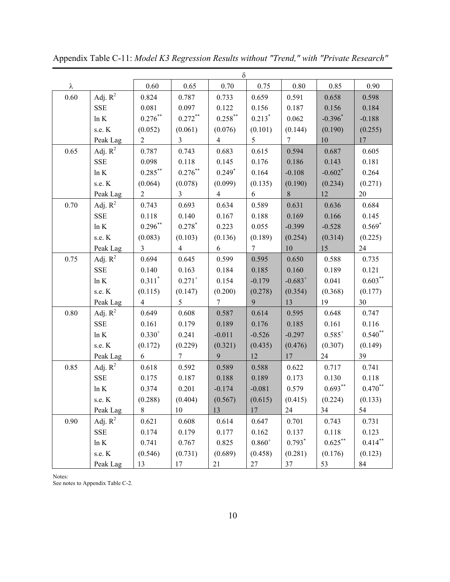|      | $\delta$     |                |                |                |                |                 |                       |                 |
|------|--------------|----------------|----------------|----------------|----------------|-----------------|-----------------------|-----------------|
| λ    |              | 0.60           | 0.65           | 0.70           | 0.75           | 0.80            | 0.85                  | 0.90            |
| 0.60 | Adj. $R^2$   | 0.824          | 0.787          | 0.733          | 0.659          | 0.591           | 0.658                 | 0.598           |
|      | <b>SSE</b>   | 0.081          | 0.097          | 0.122          | 0.156          | 0.187           | 0.156                 | 0.184           |
|      | ln K         | $0.276***$     | $0.272***$     | $0.258***$     | $0.213*$       | 0.062           | $-0.396*$             | $-0.188$        |
|      | s.e. K       | (0.052)        | (0.061)        | (0.076)        | (0.101)        | (0.144)         | (0.190)               | (0.255)         |
|      | Peak Lag     | $\overline{2}$ | $\overline{3}$ | $\overline{4}$ | 5              | $7\overline{ }$ | 10                    | 17 <sup>7</sup> |
| 0.65 | Adj. $R^2$   | 0.787          | 0.743          | 0.683          | 0.615          | 0.594           | 0.687                 | 0.605           |
|      | <b>SSE</b>   | 0.098          | 0.118          | 0.145          | 0.176          | 0.186           | 0.143                 | 0.181           |
|      | ln K         | $0.285***$     | $0.276***$     | $0.249*$       | 0.164          | $-0.108$        | $-0.602$ <sup>*</sup> | 0.264           |
|      | s.e. K       | (0.064)        | (0.078)        | (0.099)        | (0.135)        | (0.190)         | (0.234)               | (0.271)         |
|      | Peak Lag     | $\overline{2}$ | 3 <sup>7</sup> | $\overline{4}$ | 6              | 8               | 12                    | 20              |
| 0.70 | Adj. $R^2$   | 0.743          | 0.693          | 0.634          | 0.589          | 0.631           | 0.636                 | 0.684           |
|      | SSE          | 0.118          | 0.140          | 0.167          | 0.188          | 0.169           | 0.166                 | 0.145           |
|      | ln K         | $0.296***$     | $0.278*$       | 0.223          | 0.055          | $-0.399$        | $-0.528$              | $0.569*$        |
|      | s.e. K       | (0.083)        | (0.103)        | (0.136)        | (0.189)        | (0.254)         | (0.314)               | (0.225)         |
|      | Peak Lag     | $\overline{3}$ | $\overline{4}$ | 6              | $\overline{7}$ | 10              | 15                    | 24              |
| 0.75 | Adj. $R^2$   | 0.694          | 0.645          | 0.599          | 0.595          | 0.650           | 0.588                 | 0.735           |
|      | <b>SSE</b>   | 0.140          | 0.163          | 0.184          | 0.185          | 0.160           | 0.189                 | 0.121           |
|      | ln K         | $0.311*$       | $0.271^{+}$    | 0.154          | $-0.179$       | $-0.683^{+}$    | 0.041                 | $0.603***$      |
|      | s.e. K       | (0.115)        | (0.147)        | (0.200)        | (0.278)        | (0.354)         | (0.368)               | (0.177)         |
|      | Peak Lag     | $\overline{4}$ | 5              | $\tau$         | 9              | 13              | 19                    | 30              |
| 0.80 | Adj. $R^2$   | 0.649          | 0.608          | 0.587          | 0.614          | 0.595           | 0.648                 | 0.747           |
|      | SSE          | 0.161          | 0.179          | 0.189          | 0.176          | 0.185           | 0.161                 | 0.116           |
|      | ln K         | $0.330^{+}$    | 0.241          | $-0.011$       | $-0.526$       | $-0.297$        | $0.585^{+}$           | $0.540**$       |
|      | s.e. K       | (0.172)        | (0.229)        | (0.321)        | (0.435)        | (0.476)         | (0.307)               | (0.149)         |
|      | Peak Lag     | 6              | $\tau$         | 9              | 12             | 17              | 24                    | 39              |
| 0.85 | Adj. $R^2$   | 0.618          | 0.592          | 0.589          | 0.588          | 0.622           | 0.717                 | 0.741           |
|      | SSE          | 0.175          | 0.187          | 0.188          | 0.189          | 0.173           | 0.130                 | 0.118           |
|      | ln K         | 0.374          | 0.201          | $-0.174$       | $-0.081$       | 0.579           | $0.693***$            | $0.470**$       |
|      | s.e. K       | (0.288)        | (0.404)        | (0.567)        | (0.615)        | (0.415)         | (0.224)               | (0.133)         |
|      | Peak Lag     | 8              | 10             | 13             | 17             | 24              | 34                    | 54              |
| 0.90 | Adj. $R^2$   | 0.621          | 0.608          | 0.614          | 0.647          | 0.701           | 0.743                 | 0.731           |
|      | SSE          | 0.174          | 0.179          | 0.177          | 0.162          | 0.137           | 0.118                 | 0.123           |
|      | ln K         | 0.741          | 0.767          | 0.825          | $0.860^{+}$    | $0.793*$        | $0.625***$            | $0.414$ **      |
|      | s.e. $\rm K$ | (0.546)        | (0.731)        | (0.689)        | (0.458)        | (0.281)         | (0.176)               | (0.123)         |
|      | Peak Lag     | 13             | 17             | 21             | 27             | 37              | 53                    | 84              |

Appendix Table C-11: *Model K3 Regression Results without "Trend," with "Private Research"*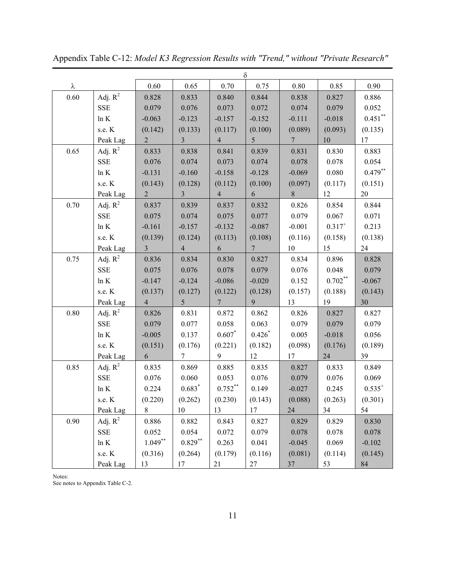|      | $\delta$   |                |                |                 |                 |                 |             |             |
|------|------------|----------------|----------------|-----------------|-----------------|-----------------|-------------|-------------|
| λ    |            | 0.60           | 0.65           | 0.70            | 0.75            | $0.80\,$        | 0.85        | 0.90        |
| 0.60 | Adj. $R^2$ | 0.828          | 0.833          | 0.840           | 0.844           | 0.838           | 0.827       | 0.886       |
|      | <b>SSE</b> | 0.079          | 0.076          | 0.073           | 0.072           | 0.074           | 0.079       | 0.052       |
|      | $\ln K$    | $-0.063$       | $-0.123$       | $-0.157$        | $-0.152$        | $-0.111$        | $-0.018$    | $0.451$ **  |
|      | s.e. K     | (0.142)        | (0.133)        | (0.117)         | (0.100)         | (0.089)         | (0.093)     | (0.135)     |
|      | Peak Lag   | $\overline{2}$ | $\overline{3}$ | $\overline{4}$  | 5               | $7\phantom{.0}$ | $10\,$      | 17          |
| 0.65 | Adj. $R^2$ | 0.833          | 0.838          | 0.841           | 0.839           | 0.831           | 0.830       | 0.883       |
|      | <b>SSE</b> | 0.076          | 0.074          | 0.073           | 0.074           | 0.078           | 0.078       | 0.054       |
|      | $\ln K$    | $-0.131$       | $-0.160$       | $-0.158$        | $-0.128$        | $-0.069$        | 0.080       | $0.479**$   |
|      | s.e. K     | (0.143)        | (0.128)        | (0.112)         | (0.100)         | (0.097)         | (0.117)     | (0.151)     |
|      | Peak Lag   | $\overline{2}$ | 3 <sup>1</sup> | $\overline{4}$  | 6               | 8               | 12          | 20          |
| 0.70 | Adj. $R^2$ | 0.837          | 0.839          | 0.837           | 0.832           | 0.826           | 0.854       | 0.844       |
|      | <b>SSE</b> | 0.075          | 0.074          | 0.075           | 0.077           | 0.079           | 0.067       | 0.071       |
|      | $\ln K$    | $-0.161$       | $-0.157$       | $-0.132$        | $-0.087$        | $-0.001$        | $0.317^{+}$ | 0.213       |
|      | s.e. K     | (0.139)        | (0.124)        | (0.113)         | (0.108)         | (0.116)         | (0.158)     | (0.138)     |
|      | Peak Lag   | $\overline{3}$ | $\overline{4}$ | 6               | $7\overline{ }$ | 10              | 15          | 24          |
| 0.75 | Adj. $R^2$ | 0.836          | 0.834          | 0.830           | 0.827           | 0.834           | 0.896       | 0.828       |
|      | <b>SSE</b> | 0.075          | 0.076          | 0.078           | 0.079           | 0.076           | 0.048       | 0.079       |
|      | ln K       | $-0.147$       | $-0.124$       | $-0.086$        | $-0.020$        | 0.152           | $0.702**$   | $-0.067$    |
|      | s.e. $K$   | (0.137)        | (0.127)        | (0.122)         | (0.128)         | (0.157)         | (0.188)     | (0.143)     |
|      | Peak Lag   | $\overline{4}$ | 5              | $7\phantom{.0}$ | 9               | 13              | 19          | 30          |
| 0.80 | Adj. $R^2$ | 0.826          | 0.831          | 0.872           | 0.862           | 0.826           | 0.827       | 0.827       |
|      | <b>SSE</b> | 0.079          | 0.077          | 0.058           | 0.063           | 0.079           | 0.079       | 0.079       |
|      | $\ln K$    | $-0.005$       | 0.137          | $0.607*$        | $0.426*$        | 0.005           | $-0.018$    | 0.056       |
|      | s.e. K     | (0.151)        | (0.176)        | (0.221)         | (0.182)         | (0.098)         | (0.176)     | (0.189)     |
|      | Peak Lag   | 6              | 7 <sup>1</sup> | 9               | 12              | 17              | 24          | 39          |
| 0.85 | Adj. $R^2$ | 0.835          | 0.869          | 0.885           | 0.835           | 0.827           | 0.833       | 0.849       |
|      | <b>SSE</b> | 0.076          | 0.060          | 0.053           | 0.076           | 0.079           | 0.076       | 0.069       |
|      | ln K       | 0.224          | $0.683*$       | $0.752$ **      | 0.149           | $-0.027$        | 0.245       | $0.535^{+}$ |
|      | s.e. K     | (0.220)        | (0.262)        | (0.230)         | (0.143)         | (0.088)         | (0.263)     | (0.301)     |
|      | Peak Lag   | 8              | 10             | 13              | 17              | 24              | 34          | 54          |
| 0.90 | Adj. $R^2$ | 0.886          | 0.882          | 0.843           | 0.827           | 0.829           | 0.829       | 0.830       |
|      | <b>SSE</b> | 0.052          | 0.054          | 0.072           | 0.079           | 0.078           | 0.078       | 0.078       |
|      | ln K       | $1.049**$      | $0.829**$      | 0.263           | 0.041           | $-0.045$        | 0.069       | $-0.102$    |
|      | s.e. K     | (0.316)        | (0.264)        | (0.179)         | (0.116)         | (0.081)         | (0.114)     | (0.145)     |
|      | Peak Lag   | 13             | 17             | 21              | 27              | 37              | 53          | 84          |

Appendix Table C-12: *Model K3 Regression Results with "Trend," without "Private Research"*